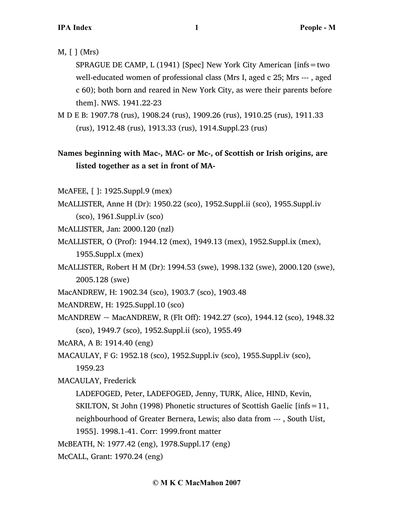### M, [ ] (Mrs)

SPRAGUE DE CAMP, L (1941) [Spec] New York City American [infs=two well-educated women of professional class (Mrs I, aged c 25; Mrs --- , aged c 60); both born and reared in New York City, as were their parents before them]. NWS. 1941.22-23

M D E B: 1907.78 (rus), 1908.24 (rus), 1909.26 (rus), 1910.25 (rus), 1911.33 (rus), 1912.48 (rus), 1913.33 (rus), 1914.Suppl.23 (rus)

## **Names beginning with Mac-, MAC- or Mc-, of Scottish or Irish origins, are listed together as a set in front of MA-**

McAFEE, [ ]: 1925.Suppl.9 (mex)

McALLISTER, Anne H (Dr): 1950.22 (sco), 1952.Suppl.ii (sco), 1955.Suppl.iv (sco), 1961.Suppl.iv (sco)

McALLISTER, Jan: 2000.120 (nzl)

- McALLISTER, O (Prof): 1944.12 (mex), 1949.13 (mex), 1952.Suppl.ix (mex), 1955.Suppl.x (mex)
- McALLISTER, Robert H M (Dr): 1994.53 (swe), 1998.132 (swe), 2000.120 (swe), 2005.128 (swe)
- MacANDREW, H: 1902.34 (sco), 1903.7 (sco), 1903.48

McANDREW, H: 1925.Suppl.10 (sco)

McANDREW  $\sim$  MacANDREW, R (Flt Off): 1942.27 (sco), 1944.12 (sco), 1948.32 (sco), 1949.7 (sco), 1952.Suppl.ii (sco), 1955.49

McARA, A B: 1914.40 (eng)

MACAULAY, F G: 1952.18 (sco), 1952.Suppl.iv (sco), 1955.Suppl.iv (sco),

1959.23

MACAULAY, Frederick

LADEFOGED, Peter, LADEFOGED, Jenny, TURK, Alice, HIND, Kevin,

SKILTON, St John (1998) Phonetic structures of Scottish Gaelic [infs=11,

neighbourhood of Greater Bernera, Lewis; also data from --- , South Uist,

1955]. 1998.1-41. Corr: 1999.front matter

McBEATH, N: 1977.42 (eng), 1978.Suppl.17 (eng)

McCALL, Grant: 1970.24 (eng)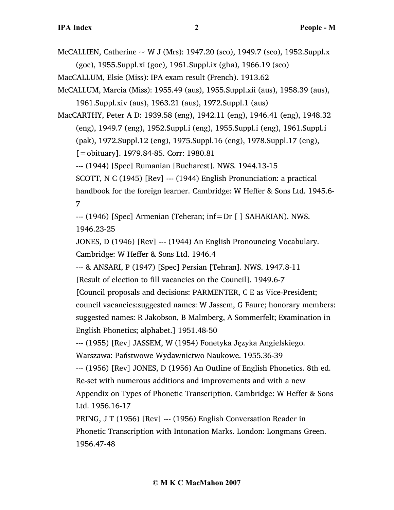McCALLIEN, Catherine  $\sim$  W J (Mrs): 1947.20 (sco), 1949.7 (sco), 1952.Suppl.x (goc), 1955.Suppl.xi (goc), 1961.Suppl.ix (gha), 1966.19 (sco)

- MacCALLUM, Elsie (Miss): IPA exam result (French). 1913.62
- McCALLUM, Marcia (Miss): 1955.49 (aus), 1955.Suppl.xii (aus), 1958.39 (aus), 1961.Suppl.xiv (aus), 1963.21 (aus), 1972.Suppl.1 (aus)

MacCARTHY, Peter A D: 1939.58 (eng), 1942.11 (eng), 1946.41 (eng), 1948.32 (eng), 1949.7 (eng), 1952.Suppl.i (eng), 1955.Suppl.i (eng), 1961.Suppl.i (pak), 1972.Suppl.12 (eng), 1975.Suppl.16 (eng), 1978.Suppl.17 (eng), [=obituary]. 1979.84-85. Corr: 1980.81

--- (1944) [Spec] Rumanian [Bucharest]. NWS. 1944.13-15

SCOTT, N C (1945) [Rev] --- (1944) English Pronunciation: a practical handbook for the foreign learner. Cambridge: W Heffer & Sons Ltd. 1945.6- 7

--- (1946) [Spec] Armenian (Teheran; inf=Dr [ ] SAHAKIAN). NWS. 1946.23-25

JONES, D (1946) [Rev] --- (1944) An English Pronouncing Vocabulary. Cambridge: W Heffer & Sons Ltd. 1946.4

--- & ANSARI, P (1947) [Spec] Persian [Tehran]. NWS. 1947.8-11

[Result of election to fill vacancies on the Council]. 1949.6-7

[Council proposals and decisions: PARMENTER, C E as Vice-President; council vacancies:suggested names: W Jassem, G Faure; honorary members: suggested names: R Jakobson, B Malmberg, A Sommerfelt; Examination in

English Phonetics; alphabet.] 1951.48-50

--- (1955) [Rev] JASSEM, W (1954) Fonetyka Języka Angielskiego. Warszawa: Państwowe Wydawnictwo Naukowe. 1955.36-39

--- (1956) [Rev] JONES, D (1956) An Outline of English Phonetics. 8th ed. Re-set with numerous additions and improvements and with a new Appendix on Types of Phonetic Transcription. Cambridge: W Heffer & Sons Ltd. 1956.16-17

PRING, J T (1956) [Rev] --- (1956) English Conversation Reader in Phonetic Transcription with Intonation Marks. London: Longmans Green. 1956.47-48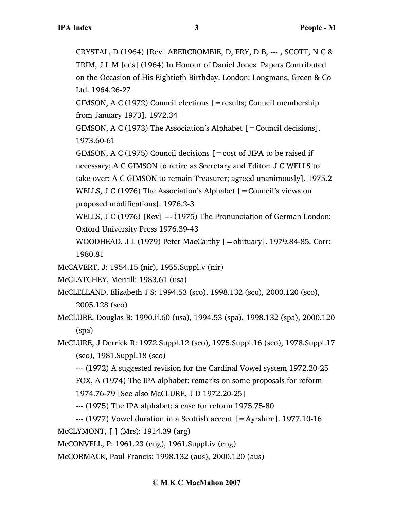CRYSTAL, D (1964) [Rev] ABERCROMBIE, D, FRY, D B, --- , SCOTT, N C & TRIM, J L M [eds] (1964) In Honour of Daniel Jones. Papers Contributed on the Occasion of His Eightieth Birthday. London: Longmans, Green & Co Ltd. 1964.26-27

GIMSON, A C (1972) Council elections [=results; Council membership from January 1973]. 1972.34

GIMSON, A C (1973) The Association's Alphabet  $[=$  Council decisions]. 1973.60-61

GIMSON, A C (1975) Council decisions  $\mathbf{r} = \cos t$  of JIPA to be raised if necessary; A C GIMSON to retire as Secretary and Editor: J C WELLS to take over; A C GIMSON to remain Treasurer; agreed unanimously]. 1975.2 WELLS, J C (1976) The Association's Alphabet [=Council's views on proposed modifications]. 1976.2-3

WELLS, J C (1976) [Rev] --- (1975) The Pronunciation of German London: Oxford University Press 1976.39-43

WOODHEAD, J L (1979) Peter MacCarthy  $[=$ obituary]. 1979.84-85. Corr: 1980.81

McCAVERT, J: 1954.15 (nir), 1955.Suppl.v (nir)

McCLATCHEY, Merrill: 1983.61 (usa)

McCLELLAND, Elizabeth J S: 1994.53 (sco), 1998.132 (sco), 2000.120 (sco), 2005.128 (sco)

McCLURE, Douglas B: 1990.ii.60 (usa), 1994.53 (spa), 1998.132 (spa), 2000.120 (spa)

McCLURE, J Derrick R: 1972.Suppl.12 (sco), 1975.Suppl.16 (sco), 1978.Suppl.17 (sco), 1981.Suppl.18 (sco)

--- (1972) A suggested revision for the Cardinal Vowel system 1972.20-25 FOX, A (1974) The IPA alphabet: remarks on some proposals for reform 1974.76-79 [See also McCLURE, J D 1972.20-25]

--- (1975) The IPA alphabet: a case for reform 1975.75-80

 $-$ -- (1977) Vowel duration in a Scottish accent  $[$  = Ayrshire]. 1977.10-16

McCLYMONT, [ ] (Mrs): 1914.39 (arg)

McCONVELL, P: 1961.23 (eng), 1961.Suppl.iv (eng)

McCORMACK, Paul Francis: 1998.132 (aus), 2000.120 (aus)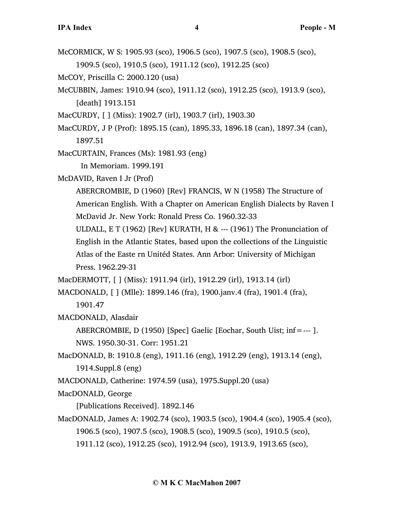- McCORMICK, W S: 1905.93 (sco), 1906.5 (sco), 1907.5 (sco), 1908.5 (sco), 1909.5 (sco), 1910.5 (sco), 1911.12 (sco), 1912.25 (sco)
- McCOY, Priscilla C: 2000.120 (usa)
- McCUBBIN, James: 1910.94 (sco), 1911.12 (sco), 1912.25 (sco), 1913.9 (sco), [death] 1913.151
- MacCURDY, [ ] (Miss): 1902.7 (irl), 1903.7 (irl), 1903.30
- MacCURDY, J P (Prof): 1895.15 (can), 1895.33, 1896.18 (can), 1897.34 (can), 1897.51
- MacCURTAIN, Frances (Ms): 1981.93 (eng) In Memoriam. 1999.191
- McDAVID, Raven I Jr (Prof)
	- ABERCROMBIE, D (1960) [Rev] FRANCIS, W N (1958) The Structure of American English. With a Chapter on American English Dialects by Raven I McDavid Jr. New York: Ronald Press Co. 1960.32-33
	- ULDALL, E T (1962) [Rev] KURATH, H & --- (1961) The Pronunciation of English in the Atlantic States, based upon the collections of the Linguistic Atlas of the Easte rn Unitéd States. Ann Arbor: University of Michigan Press. 1962.29-31
- MacDERMOTT, [ ] (Miss): 1911.94 (irl), 1912.29 (irl), 1913.14 (irl)
- MACDONALD, [ ] (Mlle): 1899.146 (fra), 1900.janv.4 (fra), 1901.4 (fra), 1901.47
- MACDONALD, Alasdair
	- ABERCROMBIE, D (1950) [Spec] Gaelic [Eochar, South Uist; inf=--- ]. NWS. 1950.30-31. Corr: 1951.21
- MacDONALD, B: 1910.8 (eng), 1911.16 (eng), 1912.29 (eng), 1913.14 (eng), 1914.Suppl.8 (eng)
- MACDONALD, Catherine: 1974.59 (usa), 1975.Suppl.20 (usa)
- MacDONALD, George
	- [Publications Received]. 1892.146
- MacDONALD, James A: 1902.74 (sco), 1903.5 (sco), 1904.4 (sco), 1905.4 (sco), 1906.5 (sco), 1907.5 (sco), 1908.5 (sco), 1909.5 (sco), 1910.5 (sco), 1911.12 (sco), 1912.25 (sco), 1912.94 (sco), 1913.9, 1913.65 (sco),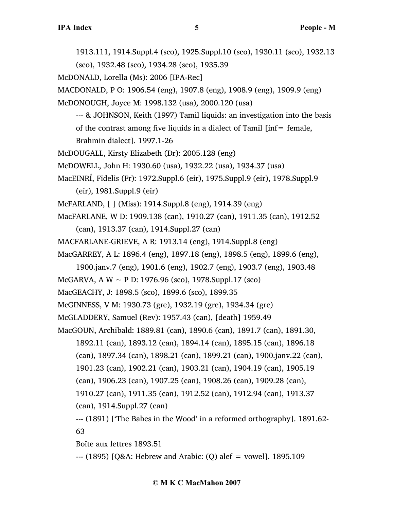1913.111, 1914.Suppl.4 (sco), 1925.Suppl.10 (sco), 1930.11 (sco), 1932.13 (sco), 1932.48 (sco), 1934.28 (sco), 1935.39

McDONALD, Lorella (Ms): 2006 [IPA-Rec]

MACDONALD, P O: 1906.54 (eng), 1907.8 (eng), 1908.9 (eng), 1909.9 (eng)

McDONOUGH, Joyce M: 1998.132 (usa), 2000.120 (usa)

--- & JOHNSON, Keith (1997) Tamil liquids: an investigation into the basis of the contrast among five liquids in a dialect of Tamil  $\text{inf} = \text{female}$ ,

Brahmin dialect]. 1997.1-26

McDOUGALL, Kirsty Elizabeth (Dr): 2005.128 (eng)

McDOWELL, John H: 1930.60 (usa), 1932.22 (usa), 1934.37 (usa)

MacEINRÍ, Fidelis (Fr): 1972.Suppl.6 (eir), 1975.Suppl.9 (eir), 1978.Suppl.9 (eir), 1981.Suppl.9 (eir)

McFARLAND, [ ] (Miss): 1914.Suppl.8 (eng), 1914.39 (eng)

MacFARLANE, W D: 1909.138 (can), 1910.27 (can), 1911.35 (can), 1912.52

(can), 1913.37 (can), 1914.Suppl.27 (can)

MACFARLANE-GRIEVE, A R: 1913.14 (eng), 1914.Suppl.8 (eng)

MacGARREY, A L: 1896.4 (eng), 1897.18 (eng), 1898.5 (eng), 1899.6 (eng),

1900.janv.7 (eng), 1901.6 (eng), 1902.7 (eng), 1903.7 (eng), 1903.48

McGARVA, A W  $\sim$  P D: 1976.96 (sco), 1978. Suppl. 17 (sco)

MacGEACHY, J: 1898.5 (sco), 1899.6 (sco), 1899.35

McGINNESS, V M: 1930.73 (gre), 1932.19 (gre), 1934.34 (gre)

McGLADDERY, Samuel (Rev): 1957.43 (can), [death] 1959.49

MacGOUN, Archibald: 1889.81 (can), 1890.6 (can), 1891.7 (can), 1891.30,

- 1892.11 (can), 1893.12 (can), 1894.14 (can), 1895.15 (can), 1896.18
- (can), 1897.34 (can), 1898.21 (can), 1899.21 (can), 1900.janv.22 (can),

1901.23 (can), 1902.21 (can), 1903.21 (can), 1904.19 (can), 1905.19

(can), 1906.23 (can), 1907.25 (can), 1908.26 (can), 1909.28 (can),

1910.27 (can), 1911.35 (can), 1912.52 (can), 1912.94 (can), 1913.37

(can), 1914.Suppl.27 (can)

--- (1891) ['The Babes in the Wood' in a reformed orthography]. 1891.62- 63

Boîte aux lettres 1893.51

--- (1895) [Q&A: Hebrew and Arabic: (Q) alef = vowel]. 1895.109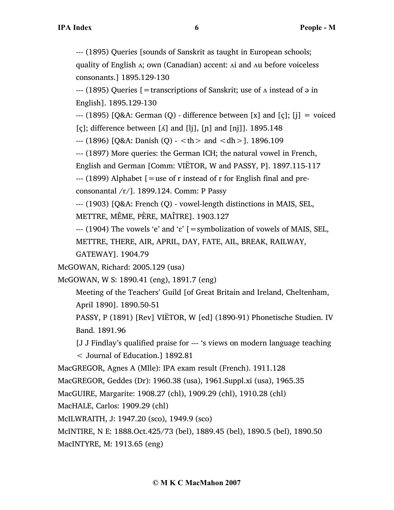--- (1895) Queries [sounds of Sanskrit as taught in European schools;

quality of English ʌ; own (Canadian) accent: ʌi and ʌu before voiceless consonants.] 1895.129-130

 $-$ -- (1895) Queries  $\mathfrak{f}$  = transcriptions of Sanskrit; use of  $\Lambda$  instead of  $\vartheta$  in English]. 1895.129-130

 $-$ -- (1895) [Q&A: German (Q) - difference between [x] and [ç]; [j] = voiced [c]; difference between  $\lceil \Lambda \rceil$  and  $\lceil \frac{1}{\lceil n \rceil} \rceil$  and  $\lceil \frac{1}{\lceil n \rceil} \rceil$ . 1895.148

 $-$  (1896) [Q&A: Danish (Q)  $-$  <th > and <dh >]. 1896.109

--- (1897) More queries: the German ICH; the natural vowel in French,

English and German [Comm: VIËTOR, W and PASSY, P]. 1897.115-117

 $-$ --- (1899) Alphabet  $\lceil$  = use of r instead of r for English final and pre-

consonantal /r/]. 1899.124. Comm: P Passy

--- (1903) [Q&A: French (Q) - vowel-length distinctions in MAIS, SEL,

METTRE, MÊME, PÈRE, MAÎTRE]. 1903.127

 $-$ -- (1904) The vowels 'e' and ' $\varepsilon$ ' [=symbolization of vowels of MAIS, SEL,

METTRE, THERE, AIR, APRIL, DAY, FATE, AIL, BREAK, RAILWAY,

GATEWAY]. 1904.79

McGOWAN, Richard: 2005.129 (usa)

McGOWAN, W S: 1890.41 (eng), 1891.7 (eng)

Meeting of the Teachers' Guild [of Great Britain and Ireland, Cheltenham, April 1890]. 1890.50-51

PASSY, P (1891) [Rev] VIËTOR, W [ed] (1890-91) Phonetische Studien. IV Band. 1891.96

[J J Findlay's qualified praise for --- 's views on modern language teaching

< Journal of Education.] 1892.81

MacGREGOR, Agnes A (Mlle): IPA exam result (French). 1911.128

MacGREGOR, Geddes (Dr): 1960.38 (usa), 1961.Suppl.xi (usa), 1965.35

MacGUIRE, Margarite: 1908.27 (chl), 1909.29 (chl), 1910.28 (chl)

MacHALE, Carlos: 1909.29 (chl)

McILWRAITH, J: 1947.20 (sco), 1949.9 (sco)

McINTIRE, N E: 1888.Oct.425/73 (bel), 1889.45 (bel), 1890.5 (bel), 1890.50

MacINTYRE, M: 1913.65 (eng)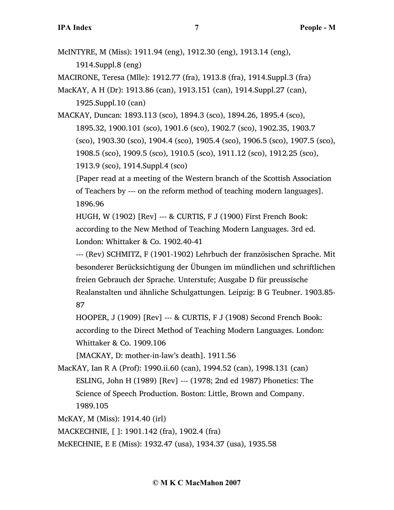McINTYRE, M (Miss): 1911.94 (eng), 1912.30 (eng), 1913.14 (eng), 1914.Suppl.8 (eng) MACIRONE, Teresa (Mlle): 1912.77 (fra), 1913.8 (fra), 1914.Suppl.3 (fra) MacKAY, A H (Dr): 1913.86 (can), 1913.151 (can), 1914.Suppl.27 (can), 1925.Suppl.10 (can) MACKAY, Duncan: 1893.113 (sco), 1894.3 (sco), 1894.26, 1895.4 (sco), 1895.32, 1900.101 (sco), 1901.6 (sco), 1902.7 (sco), 1902.35, 1903.7 (sco), 1903.30 (sco), 1904.4 (sco), 1905.4 (sco), 1906.5 (sco), 1907.5 (sco), 1908.5 (sco), 1909.5 (sco), 1910.5 (sco), 1911.12 (sco), 1912.25 (sco), 1913.9 (sco), 1914.Suppl.4 (sco) [Paper read at a meeting of the Western branch of the Scottish Association of Teachers by --- on the reform method of teaching modern languages]. 1896.96 HUGH, W (1902) [Rev] --- & CURTIS, F J (1900) First French Book: according to the New Method of Teaching Modern Languages. 3rd ed. London: Whittaker & Co. 1902.40-41 --- (Rev) SCHMITZ, F (1901-1902) Lehrbuch der französischen Sprache. Mit besonderer Berücksichtigung der Übungen im mündlichen und schriftlichen freien Gebrauch der Sprache. Unterstufe; Ausgabe D für preussische Realanstalten und ähnliche Schulgattungen. Leipzig: B G Teubner. 1903.85- 87 HOOPER, J (1909) [Rev] --- & CURTIS, F J (1908) Second French Book: according to the Direct Method of Teaching Modern Languages. London: Whittaker & Co. 1909.106 [MACKAY, D: mother-in-law's death]. 1911.56 MacKAY, Ian R A (Prof): 1990.ii.60 (can), 1994.52 (can), 1998.131 (can) ESLING, John H (1989) [Rev] --- (1978; 2nd ed 1987) Phonetics: The Science of Speech Production. Boston: Little, Brown and Company. 1989.105

McKAY, M (Miss): 1914.40 (irl)

MACKECHNIE, [ ]: 1901.142 (fra), 1902.4 (fra)

McKECHNIE, E E (Miss): 1932.47 (usa), 1934.37 (usa), 1935.58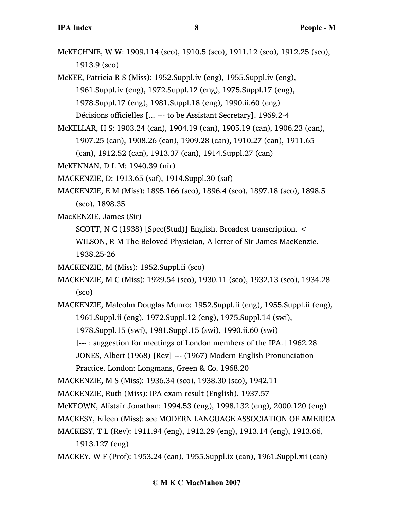McKECHNIE, W W: 1909.114 (sco), 1910.5 (sco), 1911.12 (sco), 1912.25 (sco), 1913.9 (sco)

McKEE, Patricia R S (Miss): 1952.Suppl.iv (eng), 1955.Suppl.iv (eng), 1961.Suppl.iv (eng), 1972.Suppl.12 (eng), 1975.Suppl.17 (eng), 1978.Suppl.17 (eng), 1981.Suppl.18 (eng), 1990.ii.60 (eng) Décisions officielles [... --- to be Assistant Secretary]. 1969.2-4

McKELLAR, H S: 1903.24 (can), 1904.19 (can), 1905.19 (can), 1906.23 (can), 1907.25 (can), 1908.26 (can), 1909.28 (can), 1910.27 (can), 1911.65 (can), 1912.52 (can), 1913.37 (can), 1914.Suppl.27 (can)

McKENNAN, D L M: 1940.39 (nir)

MACKENZIE, D: 1913.65 (saf), 1914.Suppl.30 (saf)

MACKENZIE, E M (Miss): 1895.166 (sco), 1896.4 (sco), 1897.18 (sco), 1898.5 (sco), 1898.35

MacKENZIE, James (Sir)

SCOTT, N C (1938) [Spec(Stud)] English. Broadest transcription. <

WILSON, R M The Beloved Physician, A letter of Sir James MacKenzie. 1938.25-26

- MACKENZIE, M (Miss): 1952.Suppl.ii (sco)
- MACKENZIE, M C (Miss): 1929.54 (sco), 1930.11 (sco), 1932.13 (sco), 1934.28 (sco)

MACKENZIE, Malcolm Douglas Munro: 1952.Suppl.ii (eng), 1955.Suppl.ii (eng), 1961.Suppl.ii (eng), 1972.Suppl.12 (eng), 1975.Suppl.14 (swi), 1978.Suppl.15 (swi), 1981.Suppl.15 (swi), 1990.ii.60 (swi)

[--- : suggestion for meetings of London members of the IPA.] 1962.28

JONES, Albert (1968) [Rev] --- (1967) Modern English Pronunciation Practice. London: Longmans, Green & Co. 1968.20

MACKENZIE, M S (Miss): 1936.34 (sco), 1938.30 (sco), 1942.11

MACKENZIE, Ruth (Miss): IPA exam result (English). 1937.57

McKEOWN, Alistair Jonathan: 1994.53 (eng), 1998.132 (eng), 2000.120 (eng)

MACKESY, Eileen (Miss): see MODERN LANGUAGE ASSOCIATION OF AMERICA

MACKESY, T L (Rev): 1911.94 (eng), 1912.29 (eng), 1913.14 (eng), 1913.66, 1913.127 (eng)

MACKEY, W F (Prof): 1953.24 (can), 1955.Suppl.ix (can), 1961.Suppl.xii (can)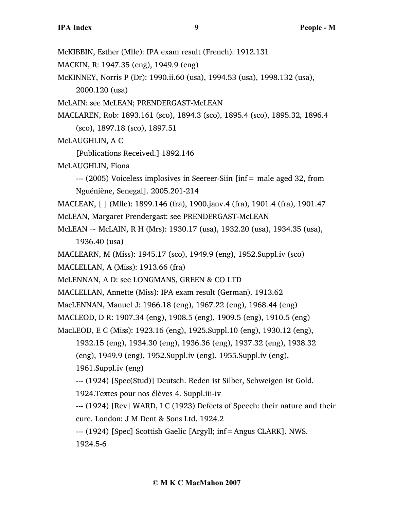McKIBBIN, Esther (Mlle): IPA exam result (French). 1912.131

MACKIN, R: 1947.35 (eng), 1949.9 (eng)

McKINNEY, Norris P (Dr): 1990.ii.60 (usa), 1994.53 (usa), 1998.132 (usa), 2000.120 (usa)

McLAIN: see McLEAN; PRENDERGAST-McLEAN

MACLAREN, Rob: 1893.161 (sco), 1894.3 (sco), 1895.4 (sco), 1895.32, 1896.4 (sco), 1897.18 (sco), 1897.51

McLAUGHLIN, A C

[Publications Received.] 1892.146

McLAUGHLIN, Fiona

--- (2005) Voiceless implosives in Seereer-Siin [inf= male aged 32, from Nguéniène, Senegal]. 2005.201-214

MACLEAN, [ ] (Mlle): 1899.146 (fra), 1900.janv.4 (fra), 1901.4 (fra), 1901.47

- McLEAN, Margaret Prendergast: see PRENDERGAST-McLEAN
- McLEAN ~ McLAIN, R H (Mrs): 1930.17 (usa), 1932.20 (usa), 1934.35 (usa), 1936.40 (usa)
- MACLEARN, M (Miss): 1945.17 (sco), 1949.9 (eng), 1952.Suppl.iv (sco)

MACLELLAN, A (Miss): 1913.66 (fra)

McLENNAN, A D: see LONGMANS, GREEN & CO LTD

MACLELLAN, Annette (Miss): IPA exam result (German). 1913.62

MacLENNAN, Manuel J: 1966.18 (eng), 1967.22 (eng), 1968.44 (eng)

MACLEOD, D R: 1907.34 (eng), 1908.5 (eng), 1909.5 (eng), 1910.5 (eng)

MacLEOD, E C (Miss): 1923.16 (eng), 1925.Suppl.10 (eng), 1930.12 (eng),

1932.15 (eng), 1934.30 (eng), 1936.36 (eng), 1937.32 (eng), 1938.32

(eng), 1949.9 (eng), 1952.Suppl.iv (eng), 1955.Suppl.iv (eng),

1961.Suppl.iv (eng)

--- (1924) [Spec(Stud)] Deutsch. Reden ist Silber, Schweigen ist Gold.

1924.Textes pour nos élèves 4. Suppl.iii-iv

--- (1924) [Rev] WARD, I C (1923) Defects of Speech: their nature and their cure. London: J M Dent & Sons Ltd. 1924.2

--- (1924) [Spec] Scottish Gaelic [Argyll; inf=Angus CLARK]. NWS. 1924.5-6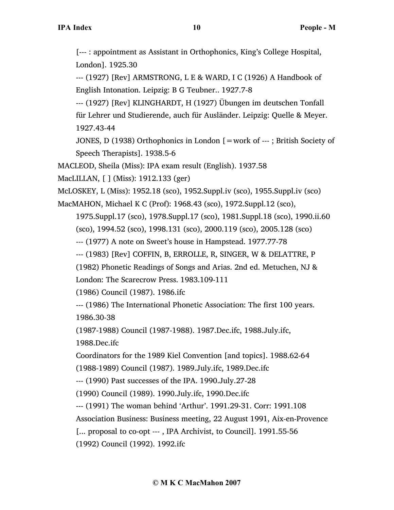[--- : appointment as Assistant in Orthophonics, King's College Hospital, London]. 1925.30

--- (1927) [Rev] ARMSTRONG, L E & WARD, I C (1926) A Handbook of English Intonation. Leipzig: B G Teubner.. 1927.7-8

--- (1927) [Rev] KLINGHARDT, H (1927) Übungen im deutschen Tonfall für Lehrer und Studierende, auch für Ausländer. Leipzig: Quelle & Meyer. 1927.43-44

JONES, D (1938) Orthophonics in London [=work of --- ; British Society of Speech Therapists]. 1938.5-6

MACLEOD, Sheila (Miss): IPA exam result (English). 1937.58

MacLILLAN, [ ] (Miss): 1912.133 (ger)

McLOSKEY, L (Miss): 1952.18 (sco), 1952.Suppl.iv (sco), 1955.Suppl.iv (sco)

MacMAHON, Michael K C (Prof): 1968.43 (sco), 1972.Suppl.12 (sco),

1975.Suppl.17 (sco), 1978.Suppl.17 (sco), 1981.Suppl.18 (sco), 1990.ii.60

(sco), 1994.52 (sco), 1998.131 (sco), 2000.119 (sco), 2005.128 (sco)

--- (1977) A note on Sweet's house in Hampstead. 1977.77-78

--- (1983) [Rev] COFFIN, B, ERROLLE, R, SINGER, W & DELATTRE, P

(1982) Phonetic Readings of Songs and Arias. 2nd ed. Metuchen, NJ &

London: The Scarecrow Press. 1983.109-111

(1986) Council (1987). 1986.ifc

--- (1986) The International Phonetic Association: The first 100 years. 1986.30-38

(1987-1988) Council (1987-1988). 1987.Dec.ifc, 1988.July.ifc,

1988.Dec.ifc

Coordinators for the 1989 Kiel Convention [and topics]. 1988.62-64

(1988-1989) Council (1987). 1989.July.ifc, 1989.Dec.ifc

--- (1990) Past successes of the IPA. 1990.July.27-28

(1990) Council (1989). 1990.July.ifc, 1990.Dec.ifc

--- (1991) The woman behind 'Arthur'. 1991.29-31. Corr: 1991.108

Association Business: Business meeting, 22 August 1991, Aix-en-Provence

[... proposal to co-opt --- , IPA Archivist, to Council]. 1991.55-56

(1992) Council (1992). 1992.ifc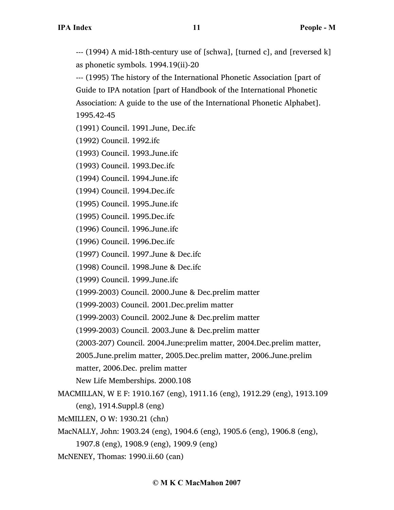--- (1994) A mid-18th-century use of [schwa], [turned c], and [reversed k] as phonetic symbols. 1994.19(ii)-20

--- (1995) The history of the International Phonetic Association [part of Guide to IPA notation [part of Handbook of the International Phonetic Association: A guide to the use of the International Phonetic Alphabet]. 1995.42-45

(1991) Council. 1991.June, Dec.ifc

(1992) Council. 1992.ifc

(1993) Council. 1993.June.ifc

(1993) Council. 1993.Dec.ifc

(1994) Council. 1994.June.ifc

(1994) Council. 1994.Dec.ifc

(1995) Council. 1995.June.ifc

(1995) Council. 1995.Dec.ifc

(1996) Council. 1996.June.ifc

(1996) Council. 1996.Dec.ifc

(1997) Council. 1997.June & Dec.ifc

(1998) Council. 1998.June & Dec.ifc

(1999) Council. 1999.June.ifc

(1999-2003) Council. 2000.June & Dec.prelim matter

(1999-2003) Council. 2001.Dec.prelim matter

(1999-2003) Council. 2002.June & Dec.prelim matter

(1999-2003) Council. 2003.June & Dec.prelim matter

(2003-207) Council. 2004.June:prelim matter, 2004.Dec.prelim matter,

2005.June.prelim matter, 2005.Dec.prelim matter, 2006.June.prelim

matter, 2006.Dec. prelim matter

New Life Memberships. 2000.108

MACMILLAN, W E F: 1910.167 (eng), 1911.16 (eng), 1912.29 (eng), 1913.109 (eng), 1914.Suppl.8 (eng)

McMILLEN, O W: 1930.21 (chn)

MacNALLY, John: 1903.24 (eng), 1904.6 (eng), 1905.6 (eng), 1906.8 (eng),

1907.8 (eng), 1908.9 (eng), 1909.9 (eng)

McNENEY, Thomas: 1990.ii.60 (can)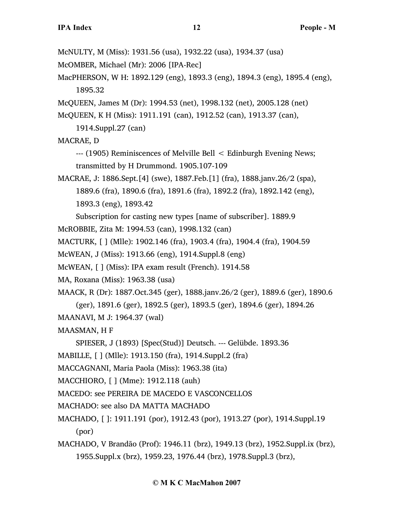McNULTY, M (Miss): 1931.56 (usa), 1932.22 (usa), 1934.37 (usa)

McOMBER, Michael (Mr): 2006 [IPA-Rec]

MacPHERSON, W H: 1892.129 (eng), 1893.3 (eng), 1894.3 (eng), 1895.4 (eng), 1895.32

McQUEEN, James M (Dr): 1994.53 (net), 1998.132 (net), 2005.128 (net)

McQUEEN, K H (Miss): 1911.191 (can), 1912.52 (can), 1913.37 (can),

1914.Suppl.27 (can)

MACRAE, D

--- (1905) Reminiscences of Melville Bell < Edinburgh Evening News; transmitted by H Drummond. 1905.107-109

MACRAE, J: 1886.Sept.[4] (swe), 1887.Feb.[1] (fra), 1888.janv.26/2 (spa), 1889.6 (fra), 1890.6 (fra), 1891.6 (fra), 1892.2 (fra), 1892.142 (eng), 1893.3 (eng), 1893.42

Subscription for casting new types [name of subscriber]. 1889.9

McROBBIE, Zita M: 1994.53 (can), 1998.132 (can)

MACTURK, [ ] (Mlle): 1902.146 (fra), 1903.4 (fra), 1904.4 (fra), 1904.59

McWEAN, J (Miss): 1913.66 (eng), 1914.Suppl.8 (eng)

McWEAN, [ ] (Miss): IPA exam result (French). 1914.58

MA, Roxana (Miss): 1963.38 (usa)

MAACK, R (Dr): 1887.Oct.345 (ger), 1888.janv.26/2 (ger), 1889.6 (ger), 1890.6

(ger), 1891.6 (ger), 1892.5 (ger), 1893.5 (ger), 1894.6 (ger), 1894.26

MAANAVI, M J: 1964.37 (wal)

MAASMAN, H F

SPIESER, J (1893) [Spec(Stud)] Deutsch. --- Gelübde. 1893.36

MABILLE, [ ] (Mlle): 1913.150 (fra), 1914.Suppl.2 (fra)

MACCAGNANI, Maria Paola (Miss): 1963.38 (ita)

MACCHIORO, [ ] (Mme): 1912.118 (auh)

MACEDO: see PEREIRA DE MACEDO E VASCONCELLOS

MACHADO: see also DA MATTA MACHADO

MACHADO, [ ]: 1911.191 (por), 1912.43 (por), 1913.27 (por), 1914.Suppl.19 (por)

MACHADO, V Brandão (Prof): 1946.11 (brz), 1949.13 (brz), 1952.Suppl.ix (brz), 1955.Suppl.x (brz), 1959.23, 1976.44 (brz), 1978.Suppl.3 (brz),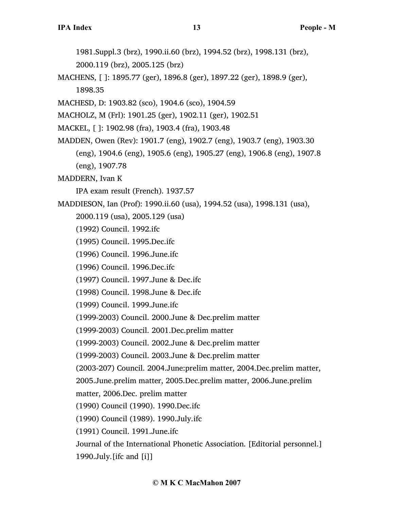1981.Suppl.3 (brz), 1990.ii.60 (brz), 1994.52 (brz), 1998.131 (brz), 2000.119 (brz), 2005.125 (brz)

- MACHENS, [ ]: 1895.77 (ger), 1896.8 (ger), 1897.22 (ger), 1898.9 (ger), 1898.35
- MACHESD, D: 1903.82 (sco), 1904.6 (sco), 1904.59

MACHOLZ, M (Frl): 1901.25 (ger), 1902.11 (ger), 1902.51

- MACKEL, [ ]: 1902.98 (fra), 1903.4 (fra), 1903.48
- MADDEN, Owen (Rev): 1901.7 (eng), 1902.7 (eng), 1903.7 (eng), 1903.30 (eng), 1904.6 (eng), 1905.6 (eng), 1905.27 (eng), 1906.8 (eng), 1907.8 (eng), 1907.78

MADDERN, Ivan K

IPA exam result (French). 1937.57

MADDIESON, Ian (Prof): 1990.ii.60 (usa), 1994.52 (usa), 1998.131 (usa),

- 2000.119 (usa), 2005.129 (usa)
- (1992) Council. 1992.ifc
- (1995) Council. 1995.Dec.ifc
- (1996) Council. 1996.June.ifc
- (1996) Council. 1996.Dec.ifc
- (1997) Council. 1997.June & Dec.ifc
- (1998) Council. 1998.June & Dec.ifc

(1999) Council. 1999.June.ifc

(1999-2003) Council. 2000.June & Dec.prelim matter

(1999-2003) Council. 2001.Dec.prelim matter

(1999-2003) Council. 2002.June & Dec.prelim matter

(1999-2003) Council. 2003.June & Dec.prelim matter

(2003-207) Council. 2004.June:prelim matter, 2004.Dec.prelim matter,

2005.June.prelim matter, 2005.Dec.prelim matter, 2006.June.prelim

matter, 2006.Dec. prelim matter

(1990) Council (1990). 1990.Dec.ifc

(1990) Council (1989). 1990.July.ifc

(1991) Council. 1991.June.ifc

Journal of the International Phonetic Association. [Editorial personnel.]

1990.July.[ifc and [i]]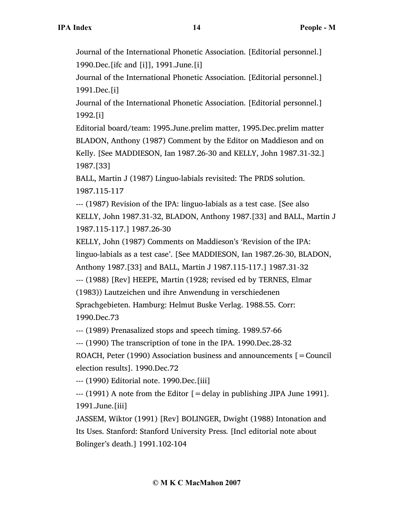Journal of the International Phonetic Association. [Editorial personnel.] 1990.Dec.[ifc and [i]], 1991.June.[i]

Journal of the International Phonetic Association. [Editorial personnel.] 1991.Dec.[i]

Journal of the International Phonetic Association. [Editorial personnel.] 1992.[i]

Editorial board/team: 1995.June.prelim matter, 1995.Dec.prelim matter BLADON, Anthony (1987) Comment by the Editor on Maddieson and on Kelly. [See MADDIESON, Ian 1987.26-30 and KELLY, John 1987.31-32.] 1987.[33]

BALL, Martin J (1987) Linguo-labials revisited: The PRDS solution. 1987.115-117

--- (1987) Revision of the IPA: linguo-labials as a test case. [See also KELLY, John 1987.31-32, BLADON, Anthony 1987.[33] and BALL, Martin J 1987.115-117.] 1987.26-30

KELLY, John (1987) Comments on Maddieson's 'Revision of the IPA: linguo-labials as a test case'. [See MADDIESON, Ian 1987.26-30, BLADON, Anthony 1987.[33] and BALL, Martin J 1987.115-117.] 1987.31-32

--- (1988) [Rev] HEEPE, Martin (1928; revised ed by TERNES, Elmar

(1983)) Lautzeichen und ihre Anwendung in verschiedenen

Sprachgebieten. Hamburg: Helmut Buske Verlag. 1988.55. Corr: 1990.Dec.73

--- (1989) Prenasalized stops and speech timing. 1989.57-66

--- (1990) The transcription of tone in the IPA. 1990.Dec.28-32

ROACH, Peter (1990) Association business and announcements  $[=$  Council election results]. 1990.Dec.72

--- (1990) Editorial note. 1990.Dec.[iii]

 $-$ -- (1991) A note from the Editor  $=$  delay in publishing JIPA June 1991]. 1991.June.[iii]

JASSEM, Wiktor (1991) [Rev] BOLINGER, Dwight (1988) Intonation and Its Uses. Stanford: Stanford University Press. [Incl editorial note about Bolinger's death.] 1991.102-104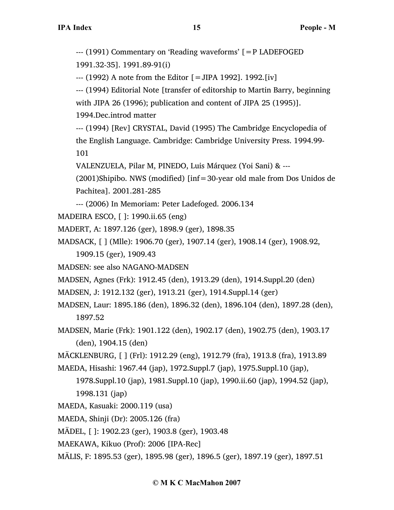--- (1991) Commentary on 'Reading waveforms' [=P LADEFOGED 1991.32-35]. 1991.89-91(i) --- (1992) A note from the Editor [=JIPA 1992]. 1992.[iv] --- (1994) Editorial Note [transfer of editorship to Martin Barry, beginning with JIPA 26 (1996); publication and content of JIPA 25 (1995)]. 1994.Dec.introd matter --- (1994) [Rev] CRYSTAL, David (1995) The Cambridge Encyclopedia of the English Language. Cambridge: Cambridge University Press. 1994.99- 101 VALENZUELA, Pilar M, PINEDO, Luis Márquez (Yoi Sani) & --- (2001)Shipibo. NWS (modified) [inf=30-year old male from Dos Unidos de Pachitea]. 2001.281-285 --- (2006) In Memoriam: Peter Ladefoged. 2006.134 MADEIRA ESCO, [ ]: 1990.ii.65 (eng) MADERT, A: 1897.126 (ger), 1898.9 (ger), 1898.35 MADSACK, [ ] (Mlle): 1906.70 (ger), 1907.14 (ger), 1908.14 (ger), 1908.92, 1909.15 (ger), 1909.43 MADSEN: see also NAGANO-MADSEN MADSEN, Agnes (Frk): 1912.45 (den), 1913.29 (den), 1914.Suppl.20 (den) MADSEN, J: 1912.132 (ger), 1913.21 (ger), 1914.Suppl.14 (ger) MADSEN, Laur: 1895.186 (den), 1896.32 (den), 1896.104 (den), 1897.28 (den), 1897.52 MADSEN, Marie (Frk): 1901.122 (den), 1902.17 (den), 1902.75 (den), 1903.17 (den), 1904.15 (den) MÄCKLENBURG, [ ] (Frl): 1912.29 (eng), 1912.79 (fra), 1913.8 (fra), 1913.89 MAEDA, Hisashi: 1967.44 (jap), 1972.Suppl.7 (jap), 1975.Suppl.10 (jap), 1978.Suppl.10 (jap), 1981.Suppl.10 (jap), 1990.ii.60 (jap), 1994.52 (jap), 1998.131 (jap) MAEDA, Kasuaki: 2000.119 (usa) MAEDA, Shinji (Dr): 2005.126 (fra) MÄDEL, [ ]: 1902.23 (ger), 1903.8 (ger), 1903.48 MAEKAWA, Kikuo (Prof): 2006 [IPA-Rec]

MÄLIS, F: 1895.53 (ger), 1895.98 (ger), 1896.5 (ger), 1897.19 (ger), 1897.51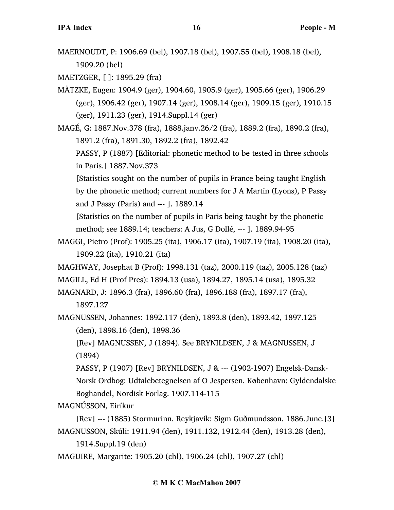MAERNOUDT, P: 1906.69 (bel), 1907.18 (bel), 1907.55 (bel), 1908.18 (bel), 1909.20 (bel)

MAETZGER, [ ]: 1895.29 (fra)

MÄTZKE, Eugen: 1904.9 (ger), 1904.60, 1905.9 (ger), 1905.66 (ger), 1906.29 (ger), 1906.42 (ger), 1907.14 (ger), 1908.14 (ger), 1909.15 (ger), 1910.15 (ger), 1911.23 (ger), 1914.Suppl.14 (ger)

MAGÉ, G: 1887.Nov.378 (fra), 1888.janv.26/2 (fra), 1889.2 (fra), 1890.2 (fra), 1891.2 (fra), 1891.30, 1892.2 (fra), 1892.42

PASSY, P (1887) [Editorial: phonetic method to be tested in three schools in Paris.] 1887.Nov.373

[Statistics sought on the number of pupils in France being taught English by the phonetic method; current numbers for J A Martin (Lyons), P Passy and J Passy (Paris) and --- ]. 1889.14

[Statistics on the number of pupils in Paris being taught by the phonetic method; see 1889.14; teachers: A Jus, G Dollé, --- ]. 1889.94-95

- MAGGI, Pietro (Prof): 1905.25 (ita), 1906.17 (ita), 1907.19 (ita), 1908.20 (ita), 1909.22 (ita), 1910.21 (ita)
- MAGHWAY, Josephat B (Prof): 1998.131 (taz), 2000.119 (taz), 2005.128 (taz)

MAGILL, Ed H (Prof Pres): 1894.13 (usa), 1894.27, 1895.14 (usa), 1895.32

MAGNARD, J: 1896.3 (fra), 1896.60 (fra), 1896.188 (fra), 1897.17 (fra), 1897.127

MAGNUSSEN, Johannes: 1892.117 (den), 1893.8 (den), 1893.42, 1897.125 (den), 1898.16 (den), 1898.36

[Rev] MAGNUSSEN, J (1894). See BRYNILDSEN, J & MAGNUSSEN, J (1894)

PASSY, P (1907) [Rev] BRYNILDSEN, J & --- (1902-1907) Engelsk-Dansk-Norsk Ordbog: Udtalebetegnelsen af O Jespersen. København: Gyldendalske Boghandel, Nordisk Forlag. 1907.114-115

MAGNÚSSON, Eiríkur

[Rev] --- (1885) Stormurinn. Reykjavík: Sigm Guðmundsson. 1886.June.[3] MAGNUSSON, Skúli: 1911.94 (den), 1911.132, 1912.44 (den), 1913.28 (den),

1914.Suppl.19 (den)

MAGUIRE, Margarite: 1905.20 (chl), 1906.24 (chl), 1907.27 (chl)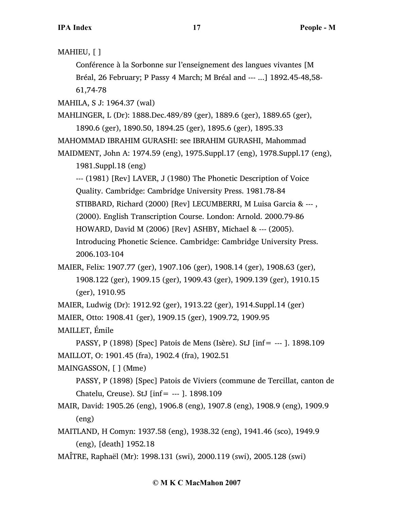MAHIEU, [ ]

Conférence à la Sorbonne sur l'enseignement des langues vivantes [M Bréal, 26 February; P Passy 4 March; M Bréal and --- ...] 1892.45-48,58- 61,74-78

MAHILA, S J: 1964.37 (wal)

MAHLINGER, L (Dr): 1888.Dec.489/89 (ger), 1889.6 (ger), 1889.65 (ger), 1890.6 (ger), 1890.50, 1894.25 (ger), 1895.6 (ger), 1895.33

MAHOMMAD IBRAHIM GURASHI: see IBRAHIM GURASHI, Mahommad

MAIDMENT, John A: 1974.59 (eng), 1975.Suppl.17 (eng), 1978.Suppl.17 (eng), 1981.Suppl.18 (eng)

--- (1981) [Rev] LAVER, J (1980) The Phonetic Description of Voice Quality. Cambridge: Cambridge University Press. 1981.78-84 STIBBARD, Richard (2000) [Rev] LECUMBERRI, M Luisa Garcia & --- , (2000). English Transcription Course. London: Arnold. 2000.79-86 HOWARD, David M (2006) [Rev] ASHBY, Michael & --- (2005). Introducing Phonetic Science. Cambridge: Cambridge University Press. 2006.103-104

MAIER, Felix: 1907.77 (ger), 1907.106 (ger), 1908.14 (ger), 1908.63 (ger), 1908.122 (ger), 1909.15 (ger), 1909.43 (ger), 1909.139 (ger), 1910.15 (ger), 1910.95

MAIER, Ludwig (Dr): 1912.92 (ger), 1913.22 (ger), 1914.Suppl.14 (ger) MAIER, Otto: 1908.41 (ger), 1909.15 (ger), 1909.72, 1909.95

MAILLET, Émile

PASSY, P (1898) [Spec] Patois de Mens (Isère). StJ [inf= --- ]. 1898.109 MAILLOT, O: 1901.45 (fra), 1902.4 (fra), 1902.51

MAINGASSON, [ ] (Mme)

PASSY, P (1898) [Spec] Patois de Viviers (commune de Tercillat, canton de Chatelu, Creuse). StJ [inf= --- ]. 1898.109

- MAIR, David: 1905.26 (eng), 1906.8 (eng), 1907.8 (eng), 1908.9 (eng), 1909.9 (eng)
- MAITLAND, H Comyn: 1937.58 (eng), 1938.32 (eng), 1941.46 (sco), 1949.9 (eng), [death] 1952.18

MAÎTRE, Raphaël (Mr): 1998.131 (swi), 2000.119 (swi), 2005.128 (swi)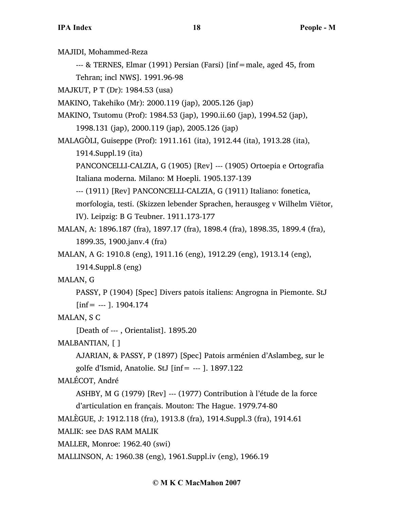MAJIDI, Mohammed-Reza

--- & TERNES, Elmar (1991) Persian (Farsi) [inf=male, aged 45, from

Tehran; incl NWS]. 1991.96-98

MAJKUT, P T (Dr): 1984.53 (usa)

MAKINO, Takehiko (Mr): 2000.119 (jap), 2005.126 (jap)

MAKINO, Tsutomu (Prof): 1984.53 (jap), 1990.ii.60 (jap), 1994.52 (jap), 1998.131 (jap), 2000.119 (jap), 2005.126 (jap)

MALAGÒLI, Guiseppe (Prof): 1911.161 (ita), 1912.44 (ita), 1913.28 (ita), 1914.Suppl.19 (ita)

PANCONCELLI-CALZIA, G (1905) [Rev] --- (1905) Ortoepia e Ortografia Italiana moderna. Milano: M Hoepli. 1905.137-139

--- (1911) [Rev] PANCONCELLI-CALZIA, G (1911) Italiano: fonetica, morfologia, testi. (Skizzen lebender Sprachen, herausgeg v Wilhelm Viëtor, IV). Leipzig: B G Teubner. 1911.173-177

MALAN, A: 1896.187 (fra), 1897.17 (fra), 1898.4 (fra), 1898.35, 1899.4 (fra), 1899.35, 1900.janv.4 (fra)

MALAN, A G: 1910.8 (eng), 1911.16 (eng), 1912.29 (eng), 1913.14 (eng), 1914.Suppl.8 (eng)

MALAN, G

PASSY, P (1904) [Spec] Divers patois italiens: Angrogna in Piemonte. StJ  $[inf = -1$ . 1904.174

MALAN, S C

[Death of --- , Orientalist]. 1895.20

MALBANTIAN, [ ]

AJARIAN, & PASSY, P (1897) [Spec] Patois arménien d'Aslambeg, sur le golfe d'Ismid, Anatolie. StJ [inf= --- ]. 1897.122

MALÉCOT, André

ASHBY, M G (1979) [Rev] --- (1977) Contribution à l'étude de la force d'articulation en français. Mouton: The Hague. 1979.74-80

MALÈGUE, J: 1912.118 (fra), 1913.8 (fra), 1914.Suppl.3 (fra), 1914.61

MALIK: see DAS RAM MALIK

MALLER, Monroe: 1962.40 (swi)

MALLINSON, A: 1960.38 (eng), 1961.Suppl.iv (eng), 1966.19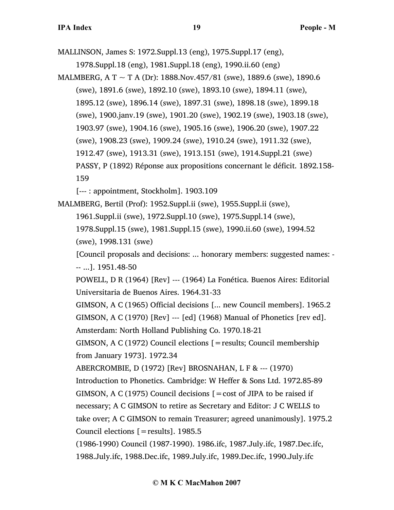MALLINSON, James S: 1972.Suppl.13 (eng), 1975.Suppl.17 (eng),

1978.Suppl.18 (eng), 1981.Suppl.18 (eng), 1990.ii.60 (eng)

MALMBERG, A T  $\sim$  T A (Dr): 1888.Nov.457/81 (swe), 1889.6 (swe), 1890.6 (swe), 1891.6 (swe), 1892.10 (swe), 1893.10 (swe), 1894.11 (swe), 1895.12 (swe), 1896.14 (swe), 1897.31 (swe), 1898.18 (swe), 1899.18 (swe), 1900.janv.19 (swe), 1901.20 (swe), 1902.19 (swe), 1903.18 (swe), 1903.97 (swe), 1904.16 (swe), 1905.16 (swe), 1906.20 (swe), 1907.22 (swe), 1908.23 (swe), 1909.24 (swe), 1910.24 (swe), 1911.32 (swe), 1912.47 (swe), 1913.31 (swe), 1913.151 (swe), 1914.Suppl.21 (swe) PASSY, P (1892) Réponse aux propositions concernant le déficit. 1892.158- 159

[--- : appointment, Stockholm]. 1903.109

# MALMBERG, Bertil (Prof): 1952.Suppl.ii (swe), 1955.Suppl.ii (swe), 1961.Suppl.ii (swe), 1972.Suppl.10 (swe), 1975.Suppl.14 (swe), 1978.Suppl.15 (swe), 1981.Suppl.15 (swe), 1990.ii.60 (swe), 1994.52 (swe), 1998.131 (swe)

[Council proposals and decisions: ... honorary members: suggested names: - -- ...]. 1951.48-50

POWELL, D R (1964) [Rev] --- (1964) La Fonética. Buenos Aires: Editorial Universitaria de Buenos Aires. 1964.31-33

GIMSON, A C (1965) Official decisions [... new Council members]. 1965.2 GIMSON, A C (1970) [Rev] --- [ed] (1968) Manual of Phonetics [rev ed]. Amsterdam: North Holland Publishing Co. 1970.18-21

GIMSON, A C (1972) Council elections [=results; Council membership from January 1973]. 1972.34

ABERCROMBIE, D (1972) [Rev] BROSNAHAN, L F & --- (1970)

Introduction to Phonetics. Cambridge: W Heffer & Sons Ltd. 1972.85-89 GIMSON, A C (1975) Council decisions  $\mathbf{r} = \cos t$  of JIPA to be raised if necessary; A C GIMSON to retire as Secretary and Editor: J C WELLS to take over; A C GIMSON to remain Treasurer; agreed unanimously]. 1975.2 Council elections [=results]. 1985.5

(1986-1990) Council (1987-1990). 1986.ifc, 1987.July.ifc, 1987.Dec.ifc, 1988.July.ifc, 1988.Dec.ifc, 1989.July.ifc, 1989.Dec.ifc, 1990.July.ifc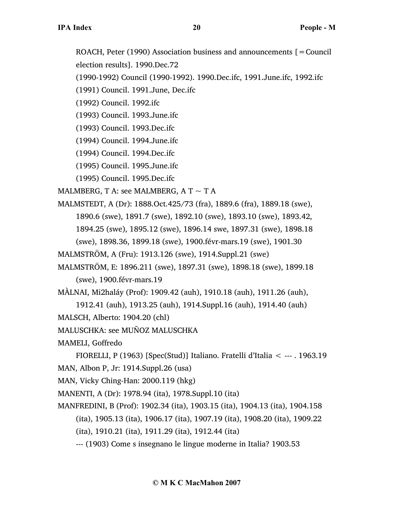ROACH, Peter (1990) Association business and announcements  $\mathbf{r} =$  Council election results]. 1990.Dec.72

(1990-1992) Council (1990-1992). 1990.Dec.ifc, 1991.June.ifc, 1992.ifc

(1991) Council. 1991.June, Dec.ifc

(1992) Council. 1992.ifc

(1993) Council. 1993.June.ifc

(1993) Council. 1993.Dec.ifc

(1994) Council. 1994.June.ifc

(1994) Council. 1994.Dec.ifc

(1995) Council. 1995.June.ifc

(1995) Council. 1995.Dec.ifc

MALMBERG, T A: see MALMBERG, A T  $\sim$  T A

- MALMSTEDT, A (Dr): 1888.Oct.425/73 (fra), 1889.6 (fra), 1889.18 (swe), 1890.6 (swe), 1891.7 (swe), 1892.10 (swe), 1893.10 (swe), 1893.42, 1894.25 (swe), 1895.12 (swe), 1896.14 swe, 1897.31 (swe), 1898.18 (swe), 1898.36, 1899.18 (swe), 1900.févr-mars.19 (swe), 1901.30
- MALMSTRÖM, A (Fru): 1913.126 (swe), 1914.Suppl.21 (swe)
- MALMSTRÖM, E: 1896.211 (swe), 1897.31 (swe), 1898.18 (swe), 1899.18 (swe), 1900.févr-mars.19

MÀLNAI, Mi2haláy (Prof): 1909.42 (auh), 1910.18 (auh), 1911.26 (auh),

1912.41 (auh), 1913.25 (auh), 1914.Suppl.16 (auh), 1914.40 (auh)

MALSCH, Alberto: 1904.20 (chl)

MALUSCHKA: see MUÑOZ MALUSCHKA

MAMELI, Goffredo

FIORELLI, P (1963) [Spec(Stud)] Italiano. Fratelli d'Italia < --- . 1963.19 MAN, Albon P, Jr: 1914.Suppl.26 (usa)

MAN, Vicky Ching-Han: 2000.119 (hkg)

MANENTI, A (Dr): 1978.94 (ita), 1978.Suppl.10 (ita)

MANFREDINI, B (Prof): 1902.34 (ita), 1903.15 (ita), 1904.13 (ita), 1904.158 (ita), 1905.13 (ita), 1906.17 (ita), 1907.19 (ita), 1908.20 (ita), 1909.22 (ita), 1910.21 (ita), 1911.29 (ita), 1912.44 (ita) --- (1903) Come s insegnano le lingue moderne in Italia? 1903.53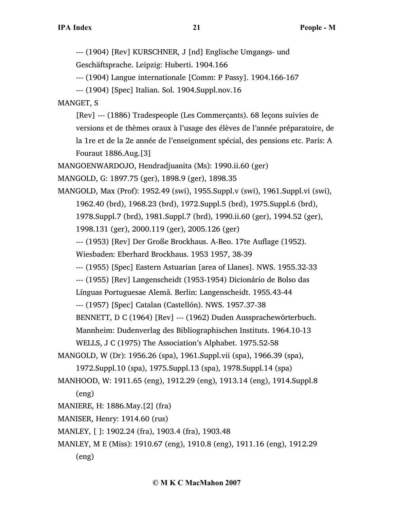--- (1904) [Rev] KURSCHNER, J [nd] Englische Umgangs- und

Geschäftsprache. Leipzig: Huberti. 1904.166

--- (1904) Langue internationale [Comm: P Passy]. 1904.166-167

--- (1904) [Spec] Italian. Sol. 1904.Suppl.nov.16

MANGET, S

[Rev] --- (1886) Tradespeople (Les Commerçants). 68 leçons suivies de versions et de thèmes oraux à l'usage des élèves de l'année préparatoire, de la 1re et de la 2e année de l'enseignment spécial, des pensions etc. Paris: A Fouraut 1886.Aug.[3]

MANGOENWARDOJO, Hendradjuanita (Ms): 1990.ii.60 (ger)

MANGOLD, G: 1897.75 (ger), 1898.9 (ger), 1898.35

MANGOLD, Max (Prof): 1952.49 (swi), 1955.Suppl.v (swi), 1961.Suppl.vi (swi), 1962.40 (brd), 1968.23 (brd), 1972.Suppl.5 (brd), 1975.Suppl.6 (brd), 1978.Suppl.7 (brd), 1981.Suppl.7 (brd), 1990.ii.60 (ger), 1994.52 (ger), 1998.131 (ger), 2000.119 (ger), 2005.126 (ger) --- (1953) [Rev] Der Große Brockhaus. A-Beo. 17te Auflage (1952).

Wiesbaden: Eberhard Brockhaus. 1953 1957, 38-39

--- (1955) [Spec] Eastern Astuarian [area of Llanes]. NWS. 1955.32-33

--- (1955) [Rev] Langenscheidt (1953-1954) Dicionário de Bolso das

Línguas Portuguesae Alemã. Berlin: Langenscheidt. 1955.43-44

--- (1957) [Spec] Catalan (Castellón). NWS. 1957.37-38

BENNETT, D C (1964) [Rev] --- (1962) Duden Aussprachewörterbuch.

Mannheim: Dudenverlag des Bibliographischen Instituts. 1964.10-13

WELLS, J C (1975) The Association's Alphabet. 1975.52-58

- MANGOLD, W (Dr): 1956.26 (spa), 1961.Suppl.vii (spa), 1966.39 (spa), 1972.Suppl.10 (spa), 1975.Suppl.13 (spa), 1978.Suppl.14 (spa)
- MANHOOD, W: 1911.65 (eng), 1912.29 (eng), 1913.14 (eng), 1914.Suppl.8 (eng)
- MANIERE, H: 1886.May.[2] (fra)
- MANISER, Henry: 1914.60 (rus)
- MANLEY, [ ]: 1902.24 (fra), 1903.4 (fra), 1903.48
- MANLEY, M E (Miss): 1910.67 (eng), 1910.8 (eng), 1911.16 (eng), 1912.29 (eng)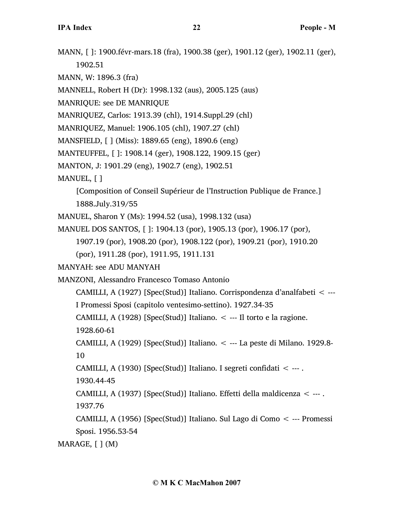- MANN, [ ]: 1900.févr-mars.18 (fra), 1900.38 (ger), 1901.12 (ger), 1902.11 (ger), 1902.51
- MANN, W: 1896.3 (fra)
- MANNELL, Robert H (Dr): 1998.132 (aus), 2005.125 (aus)
- MANRIQUE: see DE MANRIQUE
- MANRIQUEZ, Carlos: 1913.39 (chl), 1914.Suppl.29 (chl)
- MANRIQUEZ, Manuel: 1906.105 (chl), 1907.27 (chl)
- MANSFIELD, [ ] (Miss): 1889.65 (eng), 1890.6 (eng)
- MANTEUFFEL, [ ]: 1908.14 (ger), 1908.122, 1909.15 (ger)
- MANTON, J: 1901.29 (eng), 1902.7 (eng), 1902.51
- MANUEL, [ ]
	- [Composition of Conseil Supérieur de l'Instruction Publique de France.] 1888.July.319/55
- MANUEL, Sharon Y (Ms): 1994.52 (usa), 1998.132 (usa)
- MANUEL DOS SANTOS, [ ]: 1904.13 (por), 1905.13 (por), 1906.17 (por),
	- 1907.19 (por), 1908.20 (por), 1908.122 (por), 1909.21 (por), 1910.20
	- (por), 1911.28 (por), 1911.95, 1911.131
- MANYAH: see ADU MANYAH
- MANZONI, Alessandro Francesco Tomaso Antonio
	- CAMILLI, A (1927) [Spec(Stud)] Italiano. Corrispondenza d'analfabeti < ---
	- I Promessi Sposi (capitolo ventesimo-settino). 1927.34-35
	- CAMILLI, A (1928) [Spec(Stud)] Italiano.  $\lt$  --- Il torto e la ragione.
	- 1928.60-61
	- CAMILLI, A (1929) [Spec(Stud)] Italiano. < --- La peste di Milano. 1929.8- 10
	- CAMILLI, A (1930) [Spec(Stud)] Italiano. I segreti confidati < --- .
	- 1930.44-45
	- CAMILLI, A (1937) [Spec(Stud)] Italiano. Effetti della maldicenza < --- . 1937.76
	- CAMILLI, A (1956) [Spec(Stud)] Italiano. Sul Lago di Como < --- Promessi Sposi. 1956.53-54
- MARAGE, [ ] (M)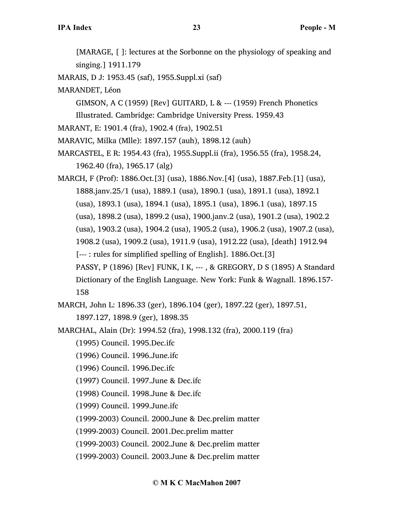[MARAGE, [ ]: lectures at the Sorbonne on the physiology of speaking and singing.] 1911.179

MARAIS, D J: 1953.45 (saf), 1955.Suppl.xi (saf)

MARANDET, Léon

GIMSON, A C (1959) [Rev] GUITARD, L & --- (1959) French Phonetics Illustrated. Cambridge: Cambridge University Press. 1959.43

MARANT, E: 1901.4 (fra), 1902.4 (fra), 1902.51

MARAVIC, Milka (Mlle): 1897.157 (auh), 1898.12 (auh)

MARCASTEL, E R: 1954.43 (fra), 1955.Suppl.ii (fra), 1956.55 (fra), 1958.24, 1962.40 (fra), 1965.17 (alg)

MARCH, F (Prof): 1886.Oct.[3] (usa), 1886.Nov.[4] (usa), 1887.Feb.[1] (usa), 1888.janv.25/1 (usa), 1889.1 (usa), 1890.1 (usa), 1891.1 (usa), 1892.1 (usa), 1893.1 (usa), 1894.1 (usa), 1895.1 (usa), 1896.1 (usa), 1897.15 (usa), 1898.2 (usa), 1899.2 (usa), 1900.janv.2 (usa), 1901.2 (usa), 1902.2 (usa), 1903.2 (usa), 1904.2 (usa), 1905.2 (usa), 1906.2 (usa), 1907.2 (usa), 1908.2 (usa), 1909.2 (usa), 1911.9 (usa), 1912.22 (usa), [death] 1912.94 [--- : rules for simplified spelling of English]. 1886.Oct.[3] PASSY, P (1896) [Rev] FUNK, I K, --- , & GREGORY, D S (1895) A Standard Dictionary of the English Language. New York: Funk & Wagnall. 1896.157- 158

MARCH, John L: 1896.33 (ger), 1896.104 (ger), 1897.22 (ger), 1897.51, 1897.127, 1898.9 (ger), 1898.35

MARCHAL, Alain (Dr): 1994.52 (fra), 1998.132 (fra), 2000.119 (fra)

(1995) Council. 1995.Dec.ifc

(1996) Council. 1996.June.ifc

(1996) Council. 1996.Dec.ifc

(1997) Council. 1997.June & Dec.ifc

(1998) Council. 1998.June & Dec.ifc

(1999) Council. 1999.June.ifc

(1999-2003) Council. 2000.June & Dec.prelim matter

(1999-2003) Council. 2001.Dec.prelim matter

(1999-2003) Council. 2002.June & Dec.prelim matter

(1999-2003) Council. 2003.June & Dec.prelim matter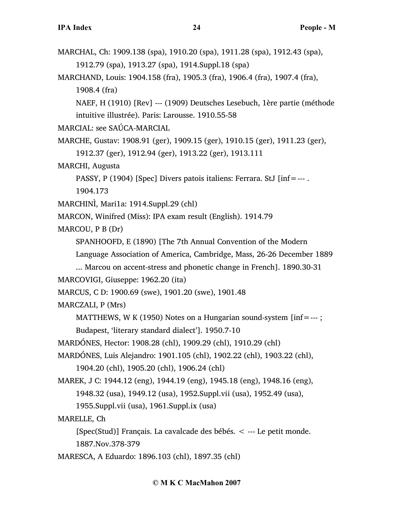- MARCHAL, Ch: 1909.138 (spa), 1910.20 (spa), 1911.28 (spa), 1912.43 (spa), 1912.79 (spa), 1913.27 (spa), 1914.Suppl.18 (spa)
- MARCHAND, Louis: 1904.158 (fra), 1905.3 (fra), 1906.4 (fra), 1907.4 (fra), 1908.4 (fra)

NAEF, H (1910) [Rev] --- (1909) Deutsches Lesebuch, 1ère partie (méthode intuitive illustrée). Paris: Larousse. 1910.55-58

MARCIAL: see SAÚCA-MARCIAL

MARCHE, Gustav: 1908.91 (ger), 1909.15 (ger), 1910.15 (ger), 1911.23 (ger), 1912.37 (ger), 1912.94 (ger), 1913.22 (ger), 1913.111

MARCHI, Augusta

PASSY, P (1904) [Spec] Divers patois italiens: Ferrara. StJ [inf=--- . 1904.173

```
MARCHINÌ, Mari1a: 1914.Suppl.29 (chl)
```
MARCON, Winifred (Miss): IPA exam result (English). 1914.79

MARCOU, P B (Dr)

SPANHOOFD, E (1890) [The 7th Annual Convention of the Modern

Language Association of America, Cambridge, Mass, 26-26 December 1889

... Marcou on accent-stress and phonetic change in French]. 1890.30-31

MARCOVIGI, Giuseppe: 1962.20 (ita)

MARCUS, C D: 1900.69 (swe), 1901.20 (swe), 1901.48

MARCZALI, P (Mrs)

MATTHEWS, W K (1950) Notes on a Hungarian sound-system  $[inf=--;]$ Budapest, 'literary standard dialect']. 1950.7-10

MARDÓNES, Hector: 1908.28 (chl), 1909.29 (chl), 1910.29 (chl)

MARDÓNES, Luis Alejandro: 1901.105 (chl), 1902.22 (chl), 1903.22 (chl), 1904.20 (chl), 1905.20 (chl), 1906.24 (chl)

MAREK, J C: 1944.12 (eng), 1944.19 (eng), 1945.18 (eng), 1948.16 (eng), 1948.32 (usa), 1949.12 (usa), 1952.Suppl.vii (usa), 1952.49 (usa), 1955.Suppl.vii (usa), 1961.Suppl.ix (usa)

MARELLE, Ch

[Spec(Stud)] Français. La cavalcade des bébés. < --- Le petit monde. 1887.Nov.378-379

MARESCA, A Eduardo: 1896.103 (chl), 1897.35 (chl)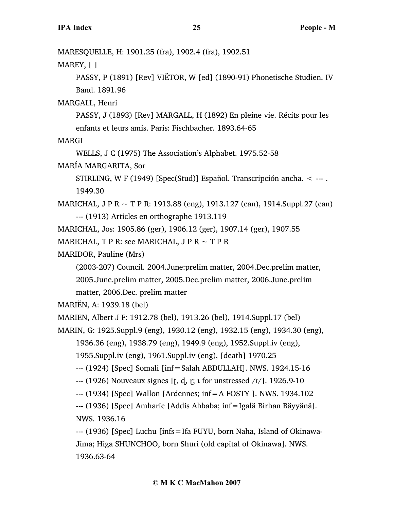MARESQUELLE, H: 1901.25 (fra), 1902.4 (fra), 1902.51

MAREY, [ ]

PASSY, P (1891) [Rev] VIËTOR, W [ed] (1890-91) Phonetische Studien. IV Band. 1891.96

MARGALL, Henri

PASSY, J (1893) [Rev] MARGALL, H (1892) En pleine vie. Récits pour les enfants et leurs amis. Paris: Fischbacher. 1893.64-65

MARGI

WELLS, J C (1975) The Association's Alphabet. 1975.52-58

MARÍA MARGARITA, Sor

STIRLING, W F (1949) [Spec(Stud)] Español. Transcripción ancha. < --- . 1949.30

MARICHAL, J P R ~ T P R: 1913.88 (eng), 1913.127 (can), 1914.Suppl.27 (can) --- (1913) Articles en orthographe 1913.119

MARICHAL, Jos: 1905.86 (ger), 1906.12 (ger), 1907.14 (ger), 1907.55

```
MARICHAL, T P R: see MARICHAL, J P R \sim T P R
```
MARIDOR, Pauline (Mrs)

(2003-207) Council. 2004.June:prelim matter, 2004.Dec.prelim matter, 2005.June.prelim matter, 2005.Dec.prelim matter, 2006.June.prelim matter, 2006.Dec. prelim matter

MARIËN, A: 1939.18 (bel)

MARIEN, Albert J F: 1912.78 (bel), 1913.26 (bel), 1914.Suppl.17 (bel)

MARIN, G: 1925.Suppl.9 (eng), 1930.12 (eng), 1932.15 (eng), 1934.30 (eng),

1936.36 (eng), 1938.79 (eng), 1949.9 (eng), 1952.Suppl.iv (eng),

1955.Suppl.iv (eng), 1961.Suppl.iv (eng), [death] 1970.25

--- (1924) [Spec] Somali [inf=Salah ABDULLAH]. NWS. 1924.15-16

 $-$ -- $(1926)$  Nouveaux signes [t, d, r;  $\iota$  for unstressed  $\iota$ <sub>1</sub>/]. 1926.9-10

--- (1934) [Spec] Wallon [Ardennes; inf=A FOSTY ]. NWS. 1934.102

--- (1936) [Spec] Amharic [Addis Abbaba; inf=Igalä Birhan Bäyyänä]. NWS. 1936.16

--- (1936) [Spec] Luchu [infs=Ifa FUYU, born Naha, Island of Okinawa-Jima; Higa SHUNCHOO, born Shuri (old capital of Okinawa]. NWS. 1936.63-64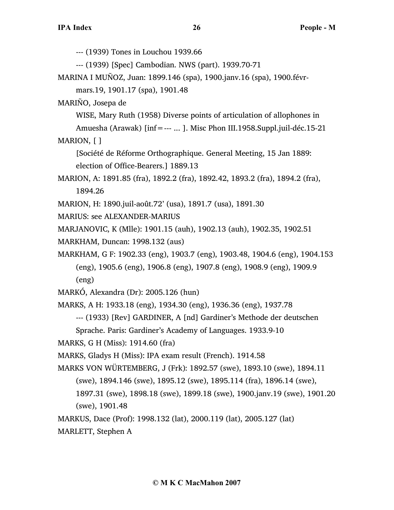--- (1939) Tones in Louchou 1939.66

--- (1939) [Spec] Cambodian. NWS (part). 1939.70-71

MARINA I MUÑOZ, Juan: 1899.146 (spa), 1900.janv.16 (spa), 1900.févr-

mars.19, 1901.17 (spa), 1901.48

MARIÑO, Josepa de

WISE, Mary Ruth (1958) Diverse points of articulation of allophones in

Amuesha (Arawak) [inf=--- ... ]. Misc Phon III.1958.Suppl.juil-déc.15-21

MARION, [ ]

[Société de Réforme Orthographique. General Meeting, 15 Jan 1889: election of Office-Bearers.] 1889.13

MARION, A: 1891.85 (fra), 1892.2 (fra), 1892.42, 1893.2 (fra), 1894.2 (fra), 1894.26

MARION, H: 1890.juil-août.72' (usa), 1891.7 (usa), 1891.30

MARIUS: see ALEXANDER-MARIUS

MARJANOVIC, K (Mlle): 1901.15 (auh), 1902.13 (auh), 1902.35, 1902.51

- MARKHAM, Duncan: 1998.132 (aus)
- MARKHAM, G F: 1902.33 (eng), 1903.7 (eng), 1903.48, 1904.6 (eng), 1904.153 (eng), 1905.6 (eng), 1906.8 (eng), 1907.8 (eng), 1908.9 (eng), 1909.9 (eng)

MARKÓ, Alexandra (Dr): 2005.126 (hun)

MARKS, A H: 1933.18 (eng), 1934.30 (eng), 1936.36 (eng), 1937.78

--- (1933) [Rev] GARDINER, A [nd] Gardiner's Methode der deutschen

Sprache. Paris: Gardiner's Academy of Languages. 1933.9-10

MARKS, G H (Miss): 1914.60 (fra)

MARKS, Gladys H (Miss): IPA exam result (French). 1914.58

MARKS VON WÜRTEMBERG, J (Frk): 1892.57 (swe), 1893.10 (swe), 1894.11

(swe), 1894.146 (swe), 1895.12 (swe), 1895.114 (fra), 1896.14 (swe), 1897.31 (swe), 1898.18 (swe), 1899.18 (swe), 1900.janv.19 (swe), 1901.20 (swe), 1901.48

MARKUS, Dace (Prof): 1998.132 (lat), 2000.119 (lat), 2005.127 (lat)

MARLETT, Stephen A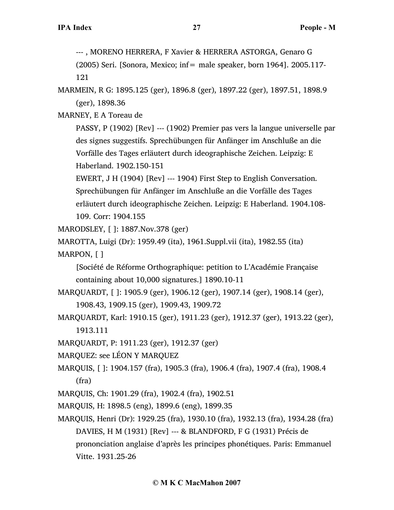--- , MORENO HERRERA, F Xavier & HERRERA ASTORGA, Genaro G

(2005) Seri. [Sonora, Mexico; inf= male speaker, born 1964]. 2005.117- 121

MARMEIN, R G: 1895.125 (ger), 1896.8 (ger), 1897.22 (ger), 1897.51, 1898.9 (ger), 1898.36

MARNEY, E A Toreau de

PASSY, P (1902) [Rev] --- (1902) Premier pas vers la langue universelle par des signes suggestifs. Sprechübungen für Anfänger im Anschluße an die Vorfälle des Tages erläutert durch ideographische Zeichen. Leipzig: E Haberland. 1902.150-151

EWERT, J H (1904) [Rev] --- 1904) First Step to English Conversation. Sprechübungen für Anfänger im Anschluße an die Vorfälle des Tages erläutert durch ideographische Zeichen. Leipzig: E Haberland. 1904.108- 109. Corr: 1904.155

MARODSLEY, [ ]: 1887.Nov.378 (ger)

MAROTTA, Luigi (Dr): 1959.49 (ita), 1961.Suppl.vii (ita), 1982.55 (ita) MARPON, [ ]

[Société de Réforme Orthographique: petition to L'Académie Française containing about 10,000 signatures.] 1890.10-11

- MARQUARDT, [ ]: 1905.9 (ger), 1906.12 (ger), 1907.14 (ger), 1908.14 (ger), 1908.43, 1909.15 (ger), 1909.43, 1909.72
- MARQUARDT, Karl: 1910.15 (ger), 1911.23 (ger), 1912.37 (ger), 1913.22 (ger), 1913.111
- MARQUARDT, P: 1911.23 (ger), 1912.37 (ger)
- MARQUEZ: see LÉON Y MARQUEZ
- MARQUIS, [ ]: 1904.157 (fra), 1905.3 (fra), 1906.4 (fra), 1907.4 (fra), 1908.4 (fra)
- MARQUIS, Ch: 1901.29 (fra), 1902.4 (fra), 1902.51
- MARQUIS, H: 1898.5 (eng), 1899.6 (eng), 1899.35
- MARQUIS, Henri (Dr): 1929.25 (fra), 1930.10 (fra), 1932.13 (fra), 1934.28 (fra) DAVIES, H M (1931) [Rev] --- & BLANDFORD, F G (1931) Précis de prononciation anglaise d'après les principes phonétiques. Paris: Emmanuel Vitte. 1931.25-26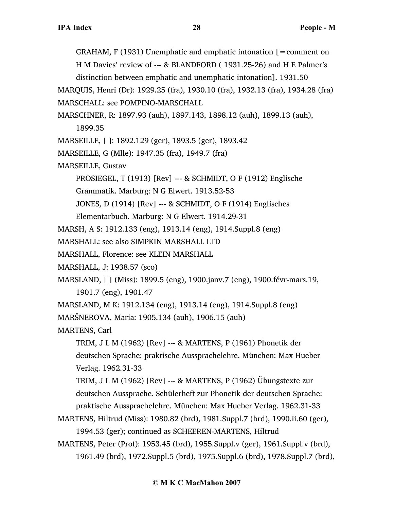GRAHAM,  $F(1931)$  Unemphatic and emphatic intonation  $[=$  comment on H M Davies' review of --- & BLANDFORD ( 1931.25-26) and H E Palmer's distinction between emphatic and unemphatic intonation]. 1931.50

MARQUIS, Henri (Dr): 1929.25 (fra), 1930.10 (fra), 1932.13 (fra), 1934.28 (fra) MARSCHALL: see POMPINO-MARSCHALL

- MARSCHNER, R: 1897.93 (auh), 1897.143, 1898.12 (auh), 1899.13 (auh), 1899.35
- MARSEILLE, [ ]: 1892.129 (ger), 1893.5 (ger), 1893.42
- MARSEILLE, G (Mlle): 1947.35 (fra), 1949.7 (fra)
- MARSEILLE, Gustav

PROSIEGEL, T (1913) [Rev] --- & SCHMIDT, O F (1912) Englische

Grammatik. Marburg: N G Elwert. 1913.52-53

JONES, D (1914) [Rev] --- & SCHMIDT, O F (1914) Englisches

- Elementarbuch. Marburg: N G Elwert. 1914.29-31
- MARSH, A S: 1912.133 (eng), 1913.14 (eng), 1914.Suppl.8 (eng)
- MARSHALL: see also SIMPKIN MARSHALL LTD
- MARSHALL, Florence: see KLEIN MARSHALL
- MARSHALL, J: 1938.57 (sco)
- MARSLAND, [ ] (Miss): 1899.5 (eng), 1900.janv.7 (eng), 1900.févr-mars.19, 1901.7 (eng), 1901.47

MARSLAND, M K: 1912.134 (eng), 1913.14 (eng), 1914.Suppl.8 (eng)

MARŠNEROVA, Maria: 1905.134 (auh), 1906.15 (auh)

MARTENS, Carl

TRIM, J L M (1962) [Rev] --- & MARTENS, P (1961) Phonetik der deutschen Sprache: praktische Aussprachelehre. München: Max Hueber Verlag. 1962.31-33

TRIM, J L M (1962) [Rev] --- & MARTENS, P (1962) Übungstexte zur deutschen Aussprache. Schülerheft zur Phonetik der deutschen Sprache: praktische Aussprachelehre. München: Max Hueber Verlag. 1962.31-33

- MARTENS, Hiltrud (Miss): 1980.82 (brd), 1981.Suppl.7 (brd), 1990.ii.60 (ger), 1994.53 (ger); continued as SCHEEREN-MARTENS, Hiltrud
- MARTENS, Peter (Prof): 1953.45 (brd), 1955.Suppl.v (ger), 1961.Suppl.v (brd), 1961.49 (brd), 1972.Suppl.5 (brd), 1975.Suppl.6 (brd), 1978.Suppl.7 (brd),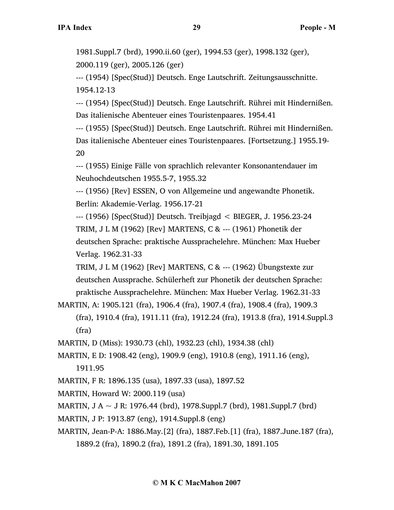1981.Suppl.7 (brd), 1990.ii.60 (ger), 1994.53 (ger), 1998.132 (ger), 2000.119 (ger), 2005.126 (ger)

--- (1954) [Spec(Stud)] Deutsch. Enge Lautschrift. Zeitungsausschnitte. 1954.12-13

--- (1954) [Spec(Stud)] Deutsch. Enge Lautschrift. Rührei mit Hindernißen. Das italienische Abenteuer eines Touristenpaares. 1954.41

--- (1955) [Spec(Stud)] Deutsch. Enge Lautschrift. Rührei mit Hindernißen. Das italienische Abenteuer eines Touristenpaares. [Fortsetzung.] 1955.19- 20

--- (1955) Einige Fälle von sprachlich relevanter Konsonantendauer im Neuhochdeutschen 1955.5-7, 1955.32

--- (1956) [Rev] ESSEN, O von Allgemeine und angewandte Phonetik. Berlin: Akademie-Verlag. 1956.17-21

--- (1956) [Spec(Stud)] Deutsch. Treibjagd < BIEGER, J. 1956.23-24 TRIM, J L M (1962) [Rev] MARTENS, C & --- (1961) Phonetik der deutschen Sprache: praktische Aussprachelehre. München: Max Hueber Verlag. 1962.31-33

TRIM, J L M (1962) [Rev] MARTENS, C & --- (1962) Übungstexte zur deutschen Aussprache. Schülerheft zur Phonetik der deutschen Sprache: praktische Aussprachelehre. München: Max Hueber Verlag. 1962.31-33

MARTIN, A: 1905.121 (fra), 1906.4 (fra), 1907.4 (fra), 1908.4 (fra), 1909.3 (fra), 1910.4 (fra), 1911.11 (fra), 1912.24 (fra), 1913.8 (fra), 1914.Suppl.3 (fra)

MARTIN, D (Miss): 1930.73 (chl), 1932.23 (chl), 1934.38 (chl)

MARTIN, E D: 1908.42 (eng), 1909.9 (eng), 1910.8 (eng), 1911.16 (eng),

1911.95

MARTIN, F R: 1896.135 (usa), 1897.33 (usa), 1897.52

MARTIN, Howard W: 2000.119 (usa)

MARTIN, J A  $\sim$  J R: 1976.44 (brd), 1978.Suppl.7 (brd), 1981.Suppl.7 (brd)

MARTIN, J P: 1913.87 (eng), 1914.Suppl.8 (eng)

MARTIN, Jean-P-A: 1886.May.[2] (fra), 1887.Feb.[1] (fra), 1887.June.187 (fra),

1889.2 (fra), 1890.2 (fra), 1891.2 (fra), 1891.30, 1891.105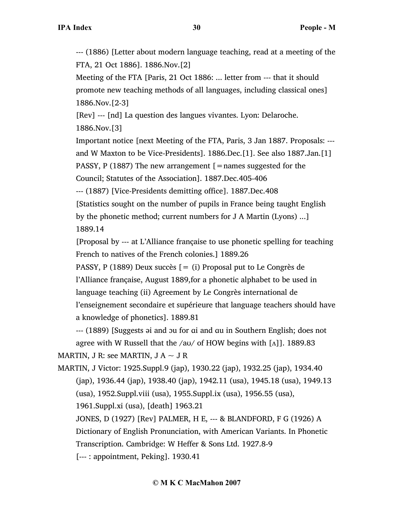--- (1886) [Letter about modern language teaching, read at a meeting of the FTA, 21 Oct 1886]. 1886.Nov.[2]

Meeting of the FTA [Paris, 21 Oct 1886: ... letter from --- that it should promote new teaching methods of all languages, including classical ones] 1886.Nov.[2-3]

[Rev] --- [nd] La question des langues vivantes. Lyon: Delaroche. 1886.Nov.[3]

Important notice [next Meeting of the FTA, Paris, 3 Jan 1887. Proposals: -- and W Maxton to be Vice-Presidents]. 1886.Dec.[1]. See also 1887.Jan.[1] PASSY, P (1887) The new arrangement  $\mathfrak{[}=$  names suggested for the

Council; Statutes of the Association]. 1887.Dec.405-406

--- (1887) [Vice-Presidents demitting office]. 1887.Dec.408

[Statistics sought on the number of pupils in France being taught English by the phonetic method; current numbers for J A Martin (Lyons) ...] 1889.14

[Proposal by --- at L'Alliance française to use phonetic spelling for teaching French to natives of the French colonies.] 1889.26

PASSY, P (1889) Deux succès  $[= (i)$  Proposal put to Le Congrès de l'Alliance française, August 1889,for a phonetic alphabet to be used in language teaching (ii) Agreement by Le Congrès international de l'enseignement secondaire et supérieure that language teachers should have a knowledge of phonetics]. 1889.81

--- (1889) [Suggests əi and ɔu for ɑi and ɑu in Southern English; does not agree with W Russell that the /a $u$ / of HOW begins with [ $\Lambda$ ]]. 1889.83 MARTIN, J R: see MARTIN, J A  $\sim$  J R

MARTIN, J Victor: 1925.Suppl.9 (jap), 1930.22 (jap), 1932.25 (jap), 1934.40 (jap), 1936.44 (jap), 1938.40 (jap), 1942.11 (usa), 1945.18 (usa), 1949.13 (usa), 1952.Suppl.viii (usa), 1955.Suppl.ix (usa), 1956.55 (usa),

1961.Suppl.xi (usa), [death] 1963.21

JONES, D (1927) [Rev] PALMER, H E, --- & BLANDFORD, F G (1926) A Dictionary of English Pronunciation, with American Variants. In Phonetic

Transcription. Cambridge: W Heffer & Sons Ltd. 1927.8-9

[--- : appointment, Peking]. 1930.41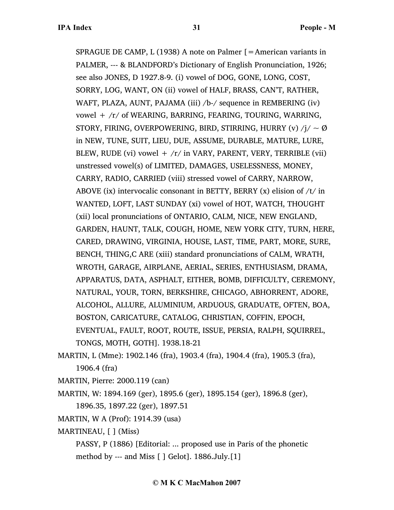SPRAGUE DE CAMP, L (1938) A note on Palmer [=American variants in PALMER, --- & BLANDFORD's Dictionary of English Pronunciation, 1926; see also JONES, D 1927.8-9. (i) vowel of DOG, GONE, LONG, COST, SORRY, LOG, WANT, ON (ii) vowel of HALF, BRASS, CAN'T, RATHER, WAFT, PLAZA, AUNT, PAJAMA (iii) /b-/ sequence in REMBERING (iv) vowel + /r/ of WEARING, BARRING, FEARING, TOURING, WARRING, STORY, FIRING, OVERPOWERING, BIRD, STIRRING, HURRY (v)  $/ j / \sim \emptyset$ in NEW, TUNE, SUIT, LIEU, DUE, ASSUME, DURABLE, MATURE, LURE, BLEW, RUDE (vi) vowel  $+$  /r/ in VARY, PARENT, VERY, TERRIBLE (vii) unstressed vowel(s) of LIMITED, DAMAGES, USELESSNESS, MONEY, CARRY, RADIO, CARRIED (viii) stressed vowel of CARRY, NARROW, ABOVE (ix) intervocalic consonant in BETTY, BERRY (x) elision of  $/t$  in WANTED, LOFT, LAST SUNDAY (xi) vowel of HOT, WATCH, THOUGHT (xii) local pronunciations of ONTARIO, CALM, NICE, NEW ENGLAND, GARDEN, HAUNT, TALK, COUGH, HOME, NEW YORK CITY, TURN, HERE, CARED, DRAWING, VIRGINIA, HOUSE, LAST, TIME, PART, MORE, SURE, BENCH, THING,C ARE (xiii) standard pronunciations of CALM, WRATH, WROTH, GARAGE, AIRPLANE, AERIAL, SERIES, ENTHUSIASM, DRAMA, APPARATUS, DATA, ASPHALT, EITHER, BOMB, DIFFICULTY, CEREMONY, NATURAL, YOUR, TORN, BERKSHIRE, CHICAGO, ABHORRENT, ADORE, ALCOHOL, ALLURE, ALUMINIUM, ARDUOUS, GRADUATE, OFTEN, BOA, BOSTON, CARICATURE, CATALOG, CHRISTIAN, COFFIN, EPOCH, EVENTUAL, FAULT, ROOT, ROUTE, ISSUE, PERSIA, RALPH, SQUIRREL, TONGS, MOTH, GOTH]. 1938.18-21

- MARTIN, L (Mme): 1902.146 (fra), 1903.4 (fra), 1904.4 (fra), 1905.3 (fra), 1906.4 (fra)
- MARTIN, Pierre: 2000.119 (can)
- MARTIN, W: 1894.169 (ger), 1895.6 (ger), 1895.154 (ger), 1896.8 (ger), 1896.35, 1897.22 (ger), 1897.51
- MARTIN, W A (Prof): 1914.39 (usa)
- MARTINEAU, [ ] (Miss)

PASSY, P (1886) [Editorial: ... proposed use in Paris of the phonetic method by --- and Miss [ ] Gelot]. 1886.July.[1]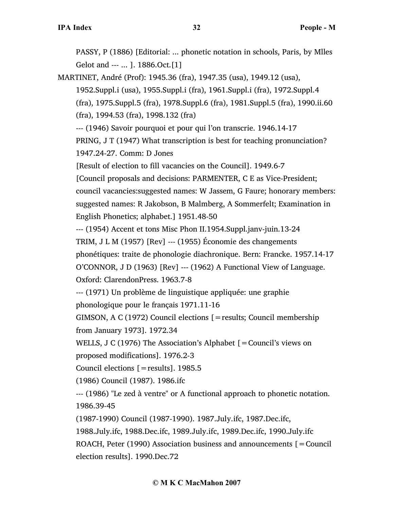PASSY, P (1886) [Editorial: ... phonetic notation in schools, Paris, by Mlles Gelot and --- ... ]. 1886.Oct.[1]

MARTINET, André (Prof): 1945.36 (fra), 1947.35 (usa), 1949.12 (usa),

1952.Suppl.i (usa), 1955.Suppl.i (fra), 1961.Suppl.i (fra), 1972.Suppl.4 (fra), 1975.Suppl.5 (fra), 1978.Suppl.6 (fra), 1981.Suppl.5 (fra), 1990.ii.60 (fra), 1994.53 (fra), 1998.132 (fra)

--- (1946) Savoir pourquoi et pour qui l'on transcrie. 1946.14-17

PRING, J T (1947) What transcription is best for teaching pronunciation? 1947.24-27. Comm: D Jones

[Result of election to fill vacancies on the Council]. 1949.6-7

[Council proposals and decisions: PARMENTER, C E as Vice-President; council vacancies:suggested names: W Jassem, G Faure; honorary members: suggested names: R Jakobson, B Malmberg, A Sommerfelt; Examination in English Phonetics; alphabet.] 1951.48-50

--- (1954) Accent et tons Misc Phon II.1954.Suppl.janv-juin.13-24

TRIM, J L M (1957) [Rev] --- (1955) Économie des changements

phonétiques: traite de phonologie diachronique. Bern: Francke. 1957.14-17 O'CONNOR, J D (1963) [Rev] --- (1962) A Functional View of Language.

Oxford: ClarendonPress. 1963.7-8

--- (1971) Un problème de linguistique appliquée: une graphie phonologique pour le français 1971.11-16

GIMSON, A C (1972) Council elections [=results; Council membership from January 1973]. 1972.34

WELLS, J C (1976) The Association's Alphabet [=Council's views on proposed modifications]. 1976.2-3

Council elections [=results]. 1985.5

(1986) Council (1987). 1986.ifc

--- (1986) "Le zed à ventre" or A functional approach to phonetic notation. 1986.39-45

(1987-1990) Council (1987-1990). 1987.July.ifc, 1987.Dec.ifc,

1988.July.ifc, 1988.Dec.ifc, 1989.July.ifc, 1989.Dec.ifc, 1990.July.ifc ROACH, Peter (1990) Association business and announcements  $\mathbf{r} =$  Council

election results]. 1990.Dec.72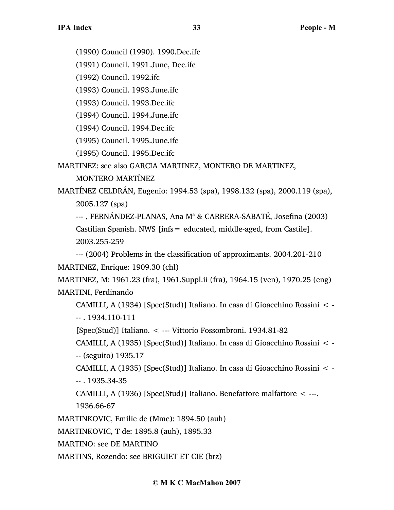(1990) Council (1990). 1990.Dec.ifc

(1991) Council. 1991.June, Dec.ifc

(1992) Council. 1992.ifc

(1993) Council. 1993.June.ifc

(1993) Council. 1993.Dec.ifc

(1994) Council. 1994.June.ifc

(1994) Council. 1994.Dec.ifc

(1995) Council. 1995.June.ifc

(1995) Council. 1995.Dec.ifc

MARTINEZ: see also GARCIA MARTINEZ, MONTERO DE MARTINEZ,

MONTERO MARTÍNEZ

MARTÍNEZ CELDRÁN, Eugenio: 1994.53 (spa), 1998.132 (spa), 2000.119 (spa), 2005.127 (spa)

---, FERNÁNDEZ-PLANAS, Ana M<sup>a</sup> & CARRERA-SABATÉ, Josefina (2003) Castilian Spanish. NWS [infs= educated, middle-aged, from Castile]. 2003.255-259

--- (2004) Problems in the classification of approximants. 2004.201-210 MARTINEZ, Enrique: 1909.30 (chl)

MARTINEZ, M: 1961.23 (fra), 1961.Suppl.ii (fra), 1964.15 (ven), 1970.25 (eng) MARTINI, Ferdinando

CAMILLI, A (1934) [Spec(Stud)] Italiano. In casa di Gioacchino Rossini < - -- . 1934.110-111

[Spec(Stud)] Italiano. < --- Vittorio Fossombroni. 1934.81-82

CAMILLI, A (1935) [Spec(Stud)] Italiano. In casa di Gioacchino Rossini < - -- (seguito) 1935.17

CAMILLI, A (1935) [Spec(Stud)] Italiano. In casa di Gioacchino Rossini < - -- . 1935.34-35

CAMILLI, A (1936) [Spec(Stud)] Italiano. Benefattore malfattore  $\leq$  ---. 1936.66-67

MARTINKOVIC, Emilie de (Mme): 1894.50 (auh)

MARTINKOVIC, T de: 1895.8 (auh), 1895.33

MARTINO: see DE MARTINO

MARTINS, Rozendo: see BRIGUIET ET CIE (brz)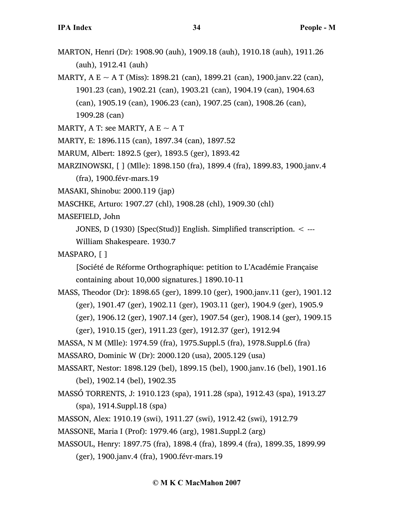- MARTON, Henri (Dr): 1908.90 (auh), 1909.18 (auh), 1910.18 (auh), 1911.26 (auh), 1912.41 (auh)
- MARTY, A E  $\sim$  A T (Miss): 1898.21 (can), 1899.21 (can), 1900.janv.22 (can), 1901.23 (can), 1902.21 (can), 1903.21 (can), 1904.19 (can), 1904.63 (can), 1905.19 (can), 1906.23 (can), 1907.25 (can), 1908.26 (can), 1909.28 (can)
- MARTY, A T: see MARTY, A E  $\sim$  A T
- MARTY, E: 1896.115 (can), 1897.34 (can), 1897.52
- MARUM, Albert: 1892.5 (ger), 1893.5 (ger), 1893.42
- MARZINOWSKI, [ ] (Mlle): 1898.150 (fra), 1899.4 (fra), 1899.83, 1900.janv.4
	- (fra), 1900.févr-mars.19
- MASAKI, Shinobu: 2000.119 (jap)
- MASCHKE, Arturo: 1907.27 (chl), 1908.28 (chl), 1909.30 (chl)
- MASEFIELD, John
	- JONES, D (1930) [Spec(Stud)] English. Simplified transcription. < ---
	- William Shakespeare. 1930.7
- MASPARO, [ ]

[Société de Réforme Orthographique: petition to L'Académie Française containing about 10,000 signatures.] 1890.10-11

- MASS, Theodor (Dr): 1898.65 (ger), 1899.10 (ger), 1900.janv.11 (ger), 1901.12 (ger), 1901.47 (ger), 1902.11 (ger), 1903.11 (ger), 1904.9 (ger), 1905.9 (ger), 1906.12 (ger), 1907.14 (ger), 1907.54 (ger), 1908.14 (ger), 1909.15
	-
	- (ger), 1910.15 (ger), 1911.23 (ger), 1912.37 (ger), 1912.94
- MASSA, N M (Mlle): 1974.59 (fra), 1975.Suppl.5 (fra), 1978.Suppl.6 (fra)
- MASSARO, Dominic W (Dr): 2000.120 (usa), 2005.129 (usa)
- MASSART, Nestor: 1898.129 (bel), 1899.15 (bel), 1900.janv.16 (bel), 1901.16 (bel), 1902.14 (bel), 1902.35
- MASSÓ TORRENTS, J: 1910.123 (spa), 1911.28 (spa), 1912.43 (spa), 1913.27 (spa), 1914.Suppl.18 (spa)
- MASSON, Alex: 1910.19 (swi), 1911.27 (swi), 1912.42 (swi), 1912.79
- MASSONE, Maria I (Prof): 1979.46 (arg), 1981.Suppl.2 (arg)
- MASSOUL, Henry: 1897.75 (fra), 1898.4 (fra), 1899.4 (fra), 1899.35, 1899.99 (ger), 1900.janv.4 (fra), 1900.févr-mars.19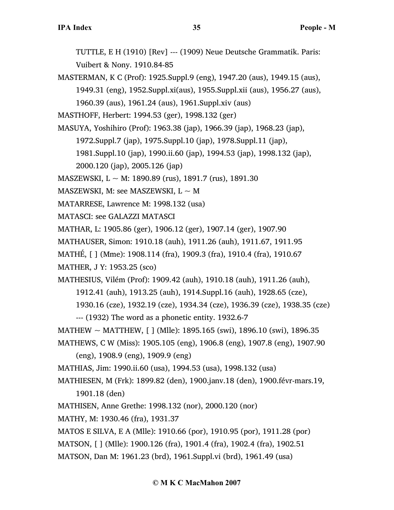TUTTLE, E H (1910) [Rev] --- (1909) Neue Deutsche Grammatik. Paris: Vuibert & Nony. 1910.84-85

MASTERMAN, K C (Prof): 1925.Suppl.9 (eng), 1947.20 (aus), 1949.15 (aus), 1949.31 (eng), 1952.Suppl.xi(aus), 1955.Suppl.xii (aus), 1956.27 (aus), 1960.39 (aus), 1961.24 (aus), 1961.Suppl.xiv (aus)

MASTHOFF, Herbert: 1994.53 (ger), 1998.132 (ger)

MASUYA, Yoshihiro (Prof): 1963.38 (jap), 1966.39 (jap), 1968.23 (jap),

1972.Suppl.7 (jap), 1975.Suppl.10 (jap), 1978.Suppl.11 (jap),

1981.Suppl.10 (jap), 1990.ii.60 (jap), 1994.53 (jap), 1998.132 (jap),

2000.120 (jap), 2005.126 (jap)

MASZEWSKI, L  $\sim$  M: 1890.89 (rus), 1891.7 (rus), 1891.30

MASZEWSKI, M: see MASZEWSKI,  $L \sim M$ 

MATARRESE, Lawrence M: 1998.132 (usa)

MATASCI: see GALAZZI MATASCI

MATHAR, L: 1905.86 (ger), 1906.12 (ger), 1907.14 (ger), 1907.90

MATHAUSER, Simon: 1910.18 (auh), 1911.26 (auh), 1911.67, 1911.95

MATHÉ, [ ] (Mme): 1908.114 (fra), 1909.3 (fra), 1910.4 (fra), 1910.67

MATHER, J Y: 1953.25 (sco)

MATHESIUS, Vilém (Prof): 1909.42 (auh), 1910.18 (auh), 1911.26 (auh),

1912.41 (auh), 1913.25 (auh), 1914.Suppl.16 (auh), 1928.65 (cze),

1930.16 (cze), 1932.19 (cze), 1934.34 (cze), 1936.39 (cze), 1938.35 (cze)

--- (1932) The word as a phonetic entity. 1932.6-7

MATHEW  $\sim$  MATTHEW, [ ] (Mlle): 1895.165 (swi), 1896.10 (swi), 1896.35

MATHEWS, C W (Miss): 1905.105 (eng), 1906.8 (eng), 1907.8 (eng), 1907.90

(eng), 1908.9 (eng), 1909.9 (eng)

MATHIAS, Jim: 1990.ii.60 (usa), 1994.53 (usa), 1998.132 (usa)

MATHIESEN, M (Frk): 1899.82 (den), 1900.janv.18 (den), 1900.févr-mars.19,

1901.18 (den)

MATHISEN, Anne Grethe: 1998.132 (nor), 2000.120 (nor)

MATHY, M: 1930.46 (fra), 1931.37

MATOS E SILVA, E A (Mlle): 1910.66 (por), 1910.95 (por), 1911.28 (por)

MATSON, [ ] (Mlle): 1900.126 (fra), 1901.4 (fra), 1902.4 (fra), 1902.51

MATSON, Dan M: 1961.23 (brd), 1961.Suppl.vi (brd), 1961.49 (usa)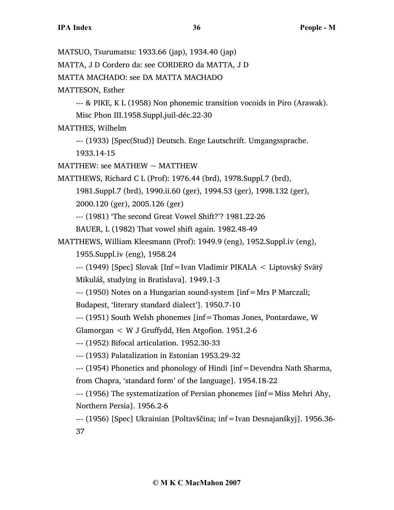MATSUO, Tsurumatsu: 1933.66 (jap), 1934.40 (jap) MATTA, J D Cordero da: see CORDERO da MATTA, J D MATTA MACHADO: see DA MATTA MACHADO MATTESON, Esther --- & PIKE, K L (1958) Non phonemic transition vocoids in Piro (Arawak). Misc Phon III.1958.Suppl.juil-déc.22-30 MATTHES, Wilhelm --- (1933) [Spec(Stud)] Deutsch. Enge Lautschrift. Umgangssprache. 1933.14-15 MATTHEW: see MATHEW  $\sim$  MATTHEW MATTHEWS, Richard C L (Prof): 1976.44 (brd), 1978.Suppl.7 (brd), 1981.Suppl.7 (brd), 1990.ii.60 (ger), 1994.53 (ger), 1998.132 (ger), 2000.120 (ger), 2005.126 (ger) --- (1981) 'The second Great Vowel Shift?'? 1981.22-26 BAUER, L (1982) That vowel shift again. 1982.48-49 MATTHEWS, William Kleesmann (Prof): 1949.9 (eng), 1952.Suppl.iv (eng), 1955.Suppl.iv (eng), 1958.24 --- (1949) [Spec] Slovak [Inf=Ivan Vladimir PIKALA < Liptovský Svätý Mikuláš, studying in Bratislava]. 1949.1-3 --- (1950) Notes on a Hungarian sound-system [inf=Mrs P Marczali; Budapest, 'literary standard dialect']. 1950.7-10 --- (1951) South Welsh phonemes [inf=Thomas Jones, Pontardawe, W Glamorgan < W J Gruffydd, Hen Atgofion. 1951.2-6 --- (1952) Bifocal articulation. 1952.30-33

--- (1953) Palatalization in Estonian 1953.29-32

--- (1954) Phonetics and phonology of Hindi [inf=Devendra Nath Sharma, from Chapra, 'standard form' of the language]. 1954.18-22

--- (1956) The systematization of Persian phonemes [inf=Miss Mehri Ahy, Northern Persia]. 1956.2-6

--- (1956) [Spec] Ukrainian [Poltavščina; inf=Ivan Desnajanśkyj]. 1956.36- 37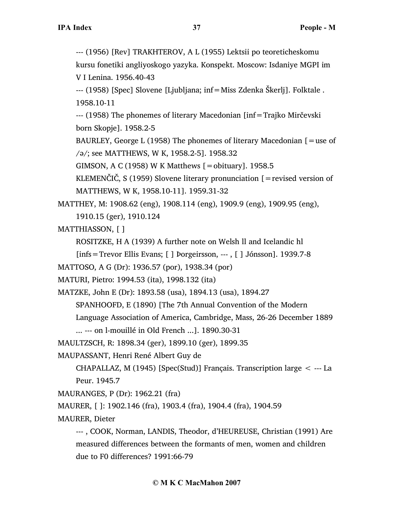```
V I Lenina. 1956.40-43
```
--- (1958) [Spec] Slovene [Ljubljana; inf=Miss Zdenka Škerlj]. Folktale . 1958.10-11

--- (1958) The phonemes of literary Macedonian [inf=Trajko Mirčevski born Skopje]. 1958.2-5

BAURLEY, George L (1958) The phonemes of literary Macedonian  $[$  = use of /ə/; see MATTHEWS, W K, 1958.2-5]. 1958.32

GIMSON, A C (1958) W K Matthews [=obituary]. 1958.5

KLEMENČIČ, S (1959) Slovene literary pronunciation  $\mathfrak{[} =$  revised version of MATTHEWS, W K, 1958.10-11]. 1959.31-32

MATTHEY, M: 1908.62 (eng), 1908.114 (eng), 1909.9 (eng), 1909.95 (eng),

1910.15 (ger), 1910.124

MATTHIASSON, [ ]

ROSITZKE, H A (1939) A further note on Welsh ll and Icelandic hl

[infs=Trevor Ellis Evans; [ ] Þorgeirsson, --- , [ ] Jónsson]. 1939.7-8

MATTOSO, A G (Dr): 1936.57 (por), 1938.34 (por)

MATURI, Pietro: 1994.53 (ita), 1998.132 (ita)

MATZKE, John E (Dr): 1893.58 (usa), 1894.13 (usa), 1894.27

SPANHOOFD, E (1890) [The 7th Annual Convention of the Modern

Language Association of America, Cambridge, Mass, 26-26 December 1889

... --- on l-mouillé in Old French ...]. 1890.30-31

MAULTZSCH, R: 1898.34 (ger), 1899.10 (ger), 1899.35

MAUPASSANT, Henri René Albert Guy de

CHAPALLAZ, M (1945) [Spec(Stud)] Français. Transcription large < --- La Peur. 1945.7

MAURANGES, P (Dr): 1962.21 (fra)

MAURER, [ ]: 1902.146 (fra), 1903.4 (fra), 1904.4 (fra), 1904.59

MAURER, Dieter

--- , COOK, Norman, LANDIS, Theodor, d'HEUREUSE, Christian (1991) Are measured differences between the formants of men, women and children due to F0 differences? 1991:66-79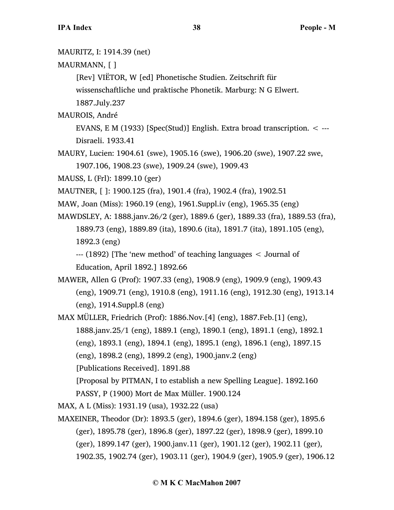MAURITZ, I: 1914.39 (net) MAURMANN, [ ] [Rev] VIËTOR, W [ed] Phonetische Studien. Zeitschrift für wissenschaftliche und praktische Phonetik. Marburg: N G Elwert. 1887.July.237 MAUROIS, André EVANS, E M (1933) [Spec(Stud)] English. Extra broad transcription.  $\lt$  ---Disraeli. 1933.41 MAURY, Lucien: 1904.61 (swe), 1905.16 (swe), 1906.20 (swe), 1907.22 swe, 1907.106, 1908.23 (swe), 1909.24 (swe), 1909.43 MAUSS, L (Frl): 1899.10 (ger) MAUTNER, [ ]: 1900.125 (fra), 1901.4 (fra), 1902.4 (fra), 1902.51 MAW, Joan (Miss): 1960.19 (eng), 1961.Suppl.iv (eng), 1965.35 (eng) MAWDSLEY, A: 1888.janv.26/2 (ger), 1889.6 (ger), 1889.33 (fra), 1889.53 (fra), 1889.73 (eng), 1889.89 (ita), 1890.6 (ita), 1891.7 (ita), 1891.105 (eng), 1892.3 (eng) --- (1892) [The 'new method' of teaching languages < Journal of Education, April 1892.] 1892.66 MAWER, Allen G (Prof): 1907.33 (eng), 1908.9 (eng), 1909.9 (eng), 1909.43 (eng), 1909.71 (eng), 1910.8 (eng), 1911.16 (eng), 1912.30 (eng), 1913.14 (eng), 1914.Suppl.8 (eng) MAX MÜLLER, Friedrich (Prof): 1886.Nov.[4] (eng), 1887.Feb.[1] (eng), 1888.janv.25/1 (eng), 1889.1 (eng), 1890.1 (eng), 1891.1 (eng), 1892.1 (eng), 1893.1 (eng), 1894.1 (eng), 1895.1 (eng), 1896.1 (eng), 1897.15 (eng), 1898.2 (eng), 1899.2 (eng), 1900.janv.2 (eng) [Publications Received]. 1891.88 [Proposal by PITMAN, I to establish a new Spelling League]. 1892.160 PASSY, P (1900) Mort de Max Müller. 1900.124 MAX, A L (Miss): 1931.19 (usa), 1932.22 (usa) MAXEINER, Theodor (Dr): 1893.5 (ger), 1894.6 (ger), 1894.158 (ger), 1895.6 (ger), 1895.78 (ger), 1896.8 (ger), 1897.22 (ger), 1898.9 (ger), 1899.10 (ger), 1899.147 (ger), 1900.janv.11 (ger), 1901.12 (ger), 1902.11 (ger),

1902.35, 1902.74 (ger), 1903.11 (ger), 1904.9 (ger), 1905.9 (ger), 1906.12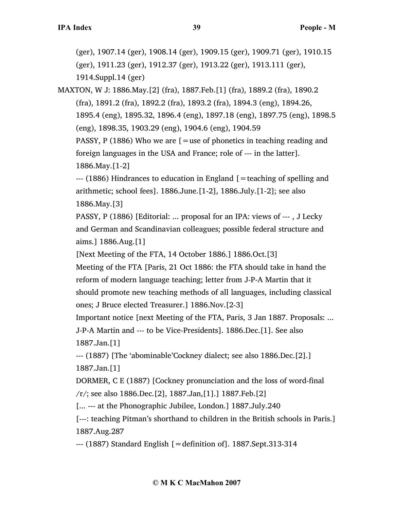(ger), 1907.14 (ger), 1908.14 (ger), 1909.15 (ger), 1909.71 (ger), 1910.15 (ger), 1911.23 (ger), 1912.37 (ger), 1913.22 (ger), 1913.111 (ger), 1914.Suppl.14 (ger)

MAXTON, W J: 1886.May.[2] (fra), 1887.Feb.[1] (fra), 1889.2 (fra), 1890.2 (fra), 1891.2 (fra), 1892.2 (fra), 1893.2 (fra), 1894.3 (eng), 1894.26, 1895.4 (eng), 1895.32, 1896.4 (eng), 1897.18 (eng), 1897.75 (eng), 1898.5 (eng), 1898.35, 1903.29 (eng), 1904.6 (eng), 1904.59 PASSY, P (1886) Who we are  $[$  = use of phonetics in teaching reading and foreign languages in the USA and France; role of --- in the latter]. 1886.May.[1-2]

 $-$ -- (1886) Hindrances to education in England  $\mathfrak{f}$  = teaching of spelling and arithmetic; school fees]. 1886.June.[1-2], 1886.July.[1-2]; see also 1886.May.[3]

PASSY, P (1886) [Editorial: ... proposal for an IPA: views of --- , J Lecky and German and Scandinavian colleagues; possible federal structure and aims.] 1886.Aug.[1]

[Next Meeting of the FTA, 14 October 1886.] 1886.Oct.[3]

Meeting of the FTA [Paris, 21 Oct 1886: the FTA should take in hand the reform of modern language teaching; letter from J-P-A Martin that it should promote new teaching methods of all languages, including classical ones; J Bruce elected Treasurer.] 1886.Nov.[2-3]

Important notice [next Meeting of the FTA, Paris, 3 Jan 1887. Proposals: ...

J-P-A Martin and --- to be Vice-Presidents]. 1886.Dec.[1]. See also 1887.Jan.[1]

--- (1887) [The 'abominable'Cockney dialect; see also 1886.Dec.[2].] 1887.Jan.[1]

DORMER, C E (1887) [Cockney pronunciation and the loss of word-final /r/; see also 1886.Dec.[2], 1887.Jan,[1].] 1887.Feb.[2]

[... --- at the Phonographic Jubilee, London.] 1887.July.240

[---: teaching Pitman's shorthand to children in the British schools in Paris.] 1887.Aug.287

--- (1887) Standard English [=definition of]. 1887.Sept.313-314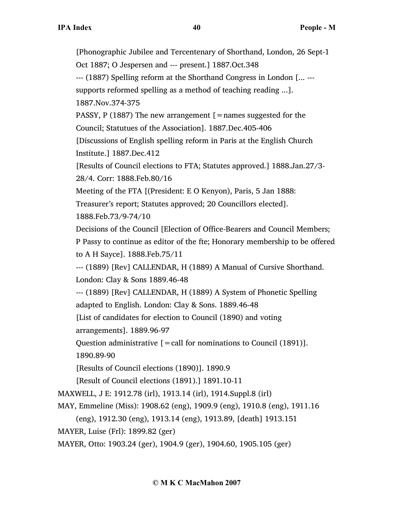[Phonographic Jubilee and Tercentenary of Shorthand, London, 26 Sept-1 Oct 1887; O Jespersen and --- present.] 1887.Oct.348 --- (1887) Spelling reform at the Shorthand Congress in London [... -- supports reformed spelling as a method of teaching reading ...]. 1887.Nov.374-375 PASSY, P (1887) The new arrangement  $\mathfrak{[}=$  names suggested for the Council; Statutues of the Association]. 1887.Dec.405-406 [Discussions of English spelling reform in Paris at the English Church Institute.] 1887.Dec.412 [Results of Council elections to FTA; Statutes approved.] 1888.Jan.27/3- 28/4. Corr: 1888.Feb.80/16 Meeting of the FTA [(President: E O Kenyon), Paris, 5 Jan 1888: Treasurer's report; Statutes approved; 20 Councillors elected]. 1888.Feb.73/9-74/10 Decisions of the Council [Election of Office-Bearers and Council Members; P Passy to continue as editor of the fte; Honorary membership to be offered to A H Sayce]. 1888.Feb.75/11 --- (1889) [Rev] CALLENDAR, H (1889) A Manual of Cursive Shorthand. London: Clay & Sons 1889.46-48 --- (1889) [Rev] CALLENDAR, H (1889) A System of Phonetic Spelling adapted to English. London: Clay & Sons. 1889.46-48 [List of candidates for election to Council (1890) and voting arrangements]. 1889.96-97 Question administrative  $[=$  call for nominations to Council (1891)]. 1890.89-90 [Results of Council elections (1890)]. 1890.9 [Result of Council elections (1891).] 1891.10-11 MAXWELL, J E: 1912.78 (irl), 1913.14 (irl), 1914.Suppl.8 (irl) MAY, Emmeline (Miss): 1908.62 (eng), 1909.9 (eng), 1910.8 (eng), 1911.16 (eng), 1912.30 (eng), 1913.14 (eng), 1913.89, [death] 1913.151 MAYER, Luise (Frl): 1899.82 (ger) MAYER, Otto: 1903.24 (ger), 1904.9 (ger), 1904.60, 1905.105 (ger)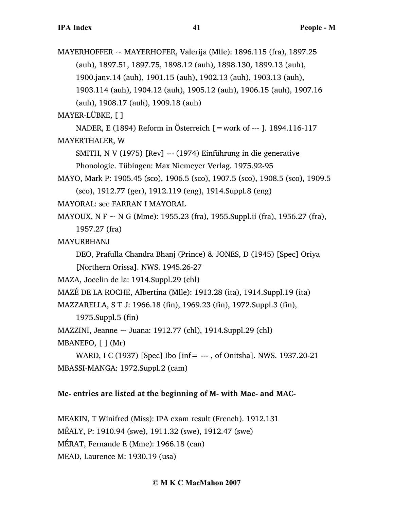MAYERHOFFER ~ MAYERHOFER, Valerija (Mlle): 1896.115 (fra), 1897.25 (auh), 1897.51, 1897.75, 1898.12 (auh), 1898.130, 1899.13 (auh), 1900.janv.14 (auh), 1901.15 (auh), 1902.13 (auh), 1903.13 (auh), 1903.114 (auh), 1904.12 (auh), 1905.12 (auh), 1906.15 (auh), 1907.16 (auh), 1908.17 (auh), 1909.18 (auh)

MAYER-LÜBKE, [ ]

NADER, E (1894) Reform in Österreich [=work of --- ]. 1894.116-117

### MAYERTHALER, W

SMITH, N V (1975) [Rev] --- (1974) Einführung in die generative

Phonologie. Tübingen: Max Niemeyer Verlag. 1975.92-95

MAYO, Mark P: 1905.45 (sco), 1906.5 (sco), 1907.5 (sco), 1908.5 (sco), 1909.5 (sco), 1912.77 (ger), 1912.119 (eng), 1914.Suppl.8 (eng)

MAYORAL: see FARRAN I MAYORAL

MAYOUX, N F  $\sim$  N G (Mme): 1955.23 (fra), 1955. Suppl.ii (fra), 1956.27 (fra), 1957.27 (fra)

MAYURBHANJ

DEO, Prafulla Chandra Bhanj (Prince) & JONES, D (1945) [Spec] Oriya [Northern Orissa]. NWS. 1945.26-27

MAZA, Jocelin de la: 1914.Suppl.29 (chl)

MAZÉ DE LA ROCHE, Albertina (Mlle): 1913.28 (ita), 1914.Suppl.19 (ita)

MAZZARELLA, S T J: 1966.18 (fin), 1969.23 (fin), 1972.Suppl.3 (fin),

1975.Suppl.5 (fin)

MAZZINI, Jeanne  $\sim$  Juana: 1912.77 (chl), 1914.Suppl.29 (chl)

MBANEFO, [ ] (Mr)

```
WARD, I C (1937) [Spec] Ibo [inf= --- , of Onitsha]. NWS. 1937.20-21
MBASSI-MANGA: 1972.Suppl.2 (cam)
```
# **Mc- entries are listed at the beginning of M- with Mac- and MAC-**

MEAKIN, T Winifred (Miss): IPA exam result (French). 1912.131 MÉALY, P: 1910.94 (swe), 1911.32 (swe), 1912.47 (swe) MÉRAT, Fernande E (Mme): 1966.18 (can) MEAD, Laurence M: 1930.19 (usa)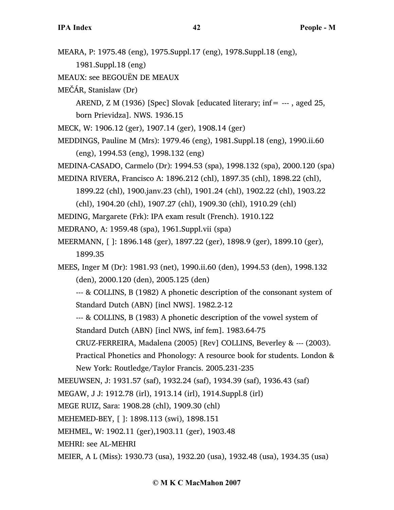- MEARA, P: 1975.48 (eng), 1975.Suppl.17 (eng), 1978.Suppl.18 (eng),
	- 1981.Suppl.18 (eng)
- MEAUX: see BEGOUËN DE MEAUX
- MEČÁR, Stanislaw (Dr)

AREND, Z M (1936) [Spec] Slovak [educated literary; inf= --- , aged 25, born Prievidza]. NWS. 1936.15

- MECK, W: 1906.12 (ger), 1907.14 (ger), 1908.14 (ger)
- MEDDINGS, Pauline M (Mrs): 1979.46 (eng), 1981.Suppl.18 (eng), 1990.ii.60 (eng), 1994.53 (eng), 1998.132 (eng)

MEDINA-CASADO, Carmelo (Dr): 1994.53 (spa), 1998.132 (spa), 2000.120 (spa)

MEDINA RIVERA, Francisco A: 1896.212 (chl), 1897.35 (chl), 1898.22 (chl),

1899.22 (chl), 1900.janv.23 (chl), 1901.24 (chl), 1902.22 (chl), 1903.22

(chl), 1904.20 (chl), 1907.27 (chl), 1909.30 (chl), 1910.29 (chl)

MEDING, Margarete (Frk): IPA exam result (French). 1910.122

MEDRANO, A: 1959.48 (spa), 1961.Suppl.vii (spa)

MEERMANN, [ ]: 1896.148 (ger), 1897.22 (ger), 1898.9 (ger), 1899.10 (ger), 1899.35

MEES, Inger M (Dr): 1981.93 (net), 1990.ii.60 (den), 1994.53 (den), 1998.132 (den), 2000.120 (den), 2005.125 (den)

--- & COLLINS, B (1982) A phonetic description of the consonant system of Standard Dutch (ABN) [incl NWS]. 1982.2-12

--- & COLLINS, B (1983) A phonetic description of the vowel system of Standard Dutch (ABN) [incl NWS, inf fem]. 1983.64-75

CRUZ-FERREIRA, Madalena (2005) [Rev] COLLINS, Beverley & --- (2003).

Practical Phonetics and Phonology: A resource book for students. London & New York: Routledge/Taylor Francis. 2005.231-235

MEEUWSEN, J: 1931.57 (saf), 1932.24 (saf), 1934.39 (saf), 1936.43 (saf)

MEGAW, J J: 1912.78 (irl), 1913.14 (irl), 1914.Suppl.8 (irl)

MEGE RUIZ, Sara: 1908.28 (chl), 1909.30 (chl)

MEHEMED-BEY, [ ]: 1898.113 (swi), 1898.151

MEHMEL, W: 1902.11 (ger),1903.11 (ger), 1903.48

- MEHRI: see AL-MEHRI
- MEIER, A L (Miss): 1930.73 (usa), 1932.20 (usa), 1932.48 (usa), 1934.35 (usa)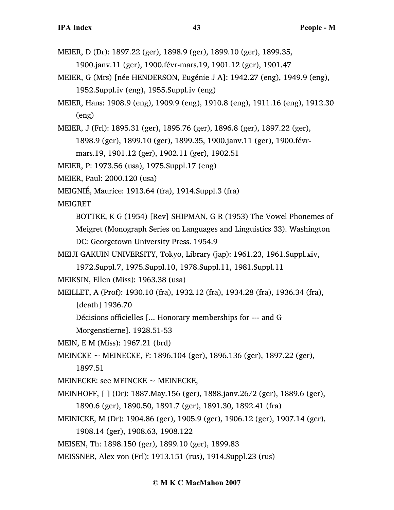MEIER, D (Dr): 1897.22 (ger), 1898.9 (ger), 1899.10 (ger), 1899.35,

1900.janv.11 (ger), 1900.févr-mars.19, 1901.12 (ger), 1901.47

- MEIER, G (Mrs) [née HENDERSON, Eugénie J A]: 1942.27 (eng), 1949.9 (eng), 1952.Suppl.iv (eng), 1955.Suppl.iv (eng)
- MEIER, Hans: 1908.9 (eng), 1909.9 (eng), 1910.8 (eng), 1911.16 (eng), 1912.30 (eng)

MEIER, J (Frl): 1895.31 (ger), 1895.76 (ger), 1896.8 (ger), 1897.22 (ger),

1898.9 (ger), 1899.10 (ger), 1899.35, 1900.janv.11 (ger), 1900.févr-

mars.19, 1901.12 (ger), 1902.11 (ger), 1902.51

MEIER, P: 1973.56 (usa), 1975.Suppl.17 (eng)

MEIER, Paul: 2000.120 (usa)

MEIGNIÉ, Maurice: 1913.64 (fra), 1914.Suppl.3 (fra)

MEIGRET

BOTTKE, K G (1954) [Rev] SHIPMAN, G R (1953) The Vowel Phonemes of Meigret (Monograph Series on Languages and Linguistics 33). Washington DC: Georgetown University Press. 1954.9

MEIJI GAKUIN UNIVERSITY, Tokyo, Library (jap): 1961.23, 1961.Suppl.xiv,

1972.Suppl.7, 1975.Suppl.10, 1978.Suppl.11, 1981.Suppl.11

MEIKSIN, Ellen (Miss): 1963.38 (usa)

MEILLET, A (Prof): 1930.10 (fra), 1932.12 (fra), 1934.28 (fra), 1936.34 (fra), [death] 1936.70

Décisions officielles [... Honorary memberships for --- and G

Morgenstierne]. 1928.51-53

MEIN, E M (Miss): 1967.21 (brd)

MEINCKE  $\sim$  MEINECKE, F: 1896.104 (ger), 1896.136 (ger), 1897.22 (ger), 1897.51

MEINECKE: see MEINCKE  $\sim$  MEINECKE,

- MEINHOFF, [ ] (Dr): 1887.May.156 (ger), 1888.janv.26/2 (ger), 1889.6 (ger), 1890.6 (ger), 1890.50, 1891.7 (ger), 1891.30, 1892.41 (fra)
- MEINICKE, M (Dr): 1904.86 (ger), 1905.9 (ger), 1906.12 (ger), 1907.14 (ger),

1908.14 (ger), 1908.63, 1908.122

MEISEN, Th: 1898.150 (ger), 1899.10 (ger), 1899.83

MEISSNER, Alex von (Frl): 1913.151 (rus), 1914.Suppl.23 (rus)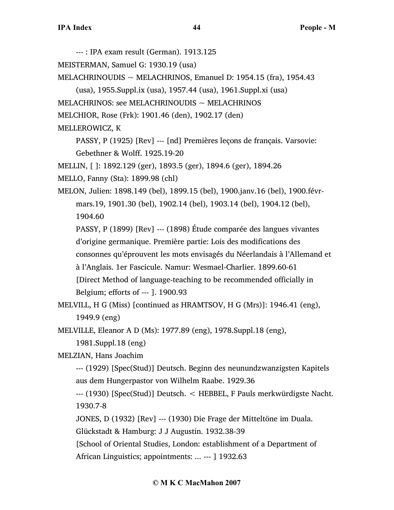--- : IPA exam result (German). 1913.125 MEISTERMAN, Samuel G: 1930.19 (usa) MELACHRINOUDIS  $\sim$  MELACHRINOS, Emanuel D: 1954.15 (fra), 1954.43 (usa), 1955.Suppl.ix (usa), 1957.44 (usa), 1961.Suppl.xi (usa) MELACHRINOS: see MELACHRINOUDIS  $\sim$  MELACHRINOS MELCHIOR, Rose (Frk): 1901.46 (den), 1902.17 (den) MELLEROWICZ, K PASSY, P (1925) [Rev] --- [nd] Premières leçons de français. Varsovie: Gebethner & Wolff. 1925.19-20 MELLIN, [ ]: 1892.129 (ger), 1893.5 (ger), 1894.6 (ger), 1894.26 MELLO, Fanny (Sta): 1899.98 (chl) MELON, Julien: 1898.149 (bel), 1899.15 (bel), 1900.janv.16 (bel), 1900.févrmars.19, 1901.30 (bel), 1902.14 (bel), 1903.14 (bel), 1904.12 (bel), 1904.60 PASSY, P (1899) [Rev] --- (1898) Étude comparée des langues vivantes d'origine germanique. Première partie: Lois des modifications des consonnes qu'éprouvent les mots envisagés du Néerlandais à l'Allemand et à l'Anglais. 1er Fascicule. Namur: Wesmael-Charlier. 1899.60-61 [Direct Method of language-teaching to be recommended officially in Belgium; efforts of --- ]. 1900.93 MELVILL, H G (Miss) [continued as HRAMTSOV, H G (Mrs)]: 1946.41 (eng), 1949.9 (eng) MELVILLE, Eleanor A D (Ms): 1977.89 (eng), 1978.Suppl.18 (eng), 1981.Suppl.18 (eng) MELZIAN, Hans Joachim --- (1929) [Spec(Stud)] Deutsch. Beginn des neunundzwanzigsten Kapitels

aus dem Hungerpastor von Wilhelm Raabe. 1929.36

--- (1930) [Spec(Stud)] Deutsch. < HEBBEL, F Pauls merkwürdigste Nacht. 1930.7-8

JONES, D (1932) [Rev] --- (1930) Die Frage der Mitteltöne im Duala.

Glückstadt & Hamburg: J J Augustin. 1932.38-39

[School of Oriental Studies, London: establishment of a Department of

African Linguistics; appointments: ... --- ] 1932.63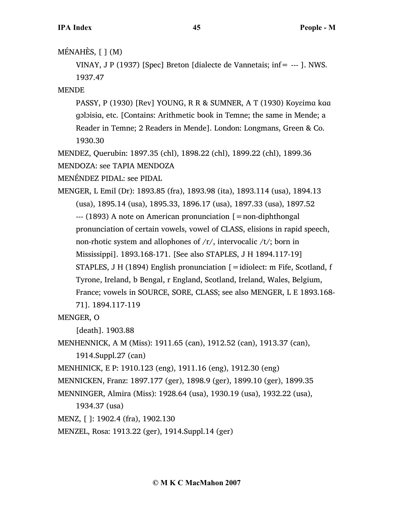# MÉNAHÈS,  $[ ] (M)$

VINAY, J P (1937) [Spec] Breton [dialecte de Vannetais; inf= --- ]. NWS. 1937.47

MENDE

PASSY, P (1930) [Rev] YOUNG, R R & SUMNER, A T (1930) Koyɛimɑ kɑɑ ɡɔlɔisiɑ, etc. [Contains: Arithmetic book in Temne; the same in Mende; a Reader in Temne; 2 Readers in Mende]. London: Longmans, Green & Co. 1930.30

MENDEZ, Querubin: 1897.35 (chl), 1898.22 (chl), 1899.22 (chl), 1899.36 MENDOZA: see TAPIA MENDOZA

MENÉNDEZ PIDAL: see PIDAL

MENGER, L Emil (Dr): 1893.85 (fra), 1893.98 (ita), 1893.114 (usa), 1894.13 (usa), 1895.14 (usa), 1895.33, 1896.17 (usa), 1897.33 (usa), 1897.52  $-$ --- (1893) A note on American pronunciation  $\mathfrak{[}=$  non-diphthongal pronunciation of certain vowels, vowel of CLASS, elisions in rapid speech, non-rhotic system and allophones of  $/r/$ , intervocalic  $/t/$ ; born in Mississippi]. 1893.168-171. [See also STAPLES, J H 1894.117-19] STAPLES, J H (1894) English pronunciation  $\mathfrak{[} =$ idiolect: m Fife, Scotland, f Tyrone, Ireland, b Bengal, r England, Scotland, Ireland, Wales, Belgium, France; vowels in SOURCE, SORE, CLASS; see also MENGER, L E 1893.168- 71]. 1894.117-119

MENGER, O

[death]. 1903.88

MENHENNICK, A M (Miss): 1911.65 (can), 1912.52 (can), 1913.37 (can),

1914.Suppl.27 (can)

MENHINICK, E P: 1910.123 (eng), 1911.16 (eng), 1912.30 (eng)

MENNICKEN, Franz: 1897.177 (ger), 1898.9 (ger), 1899.10 (ger), 1899.35

MENNINGER, Almira (Miss): 1928.64 (usa), 1930.19 (usa), 1932.22 (usa),

```
1934.37 (usa)
```
MENZ, [ ]: 1902.4 (fra), 1902.130

MENZEL, Rosa: 1913.22 (ger), 1914.Suppl.14 (ger)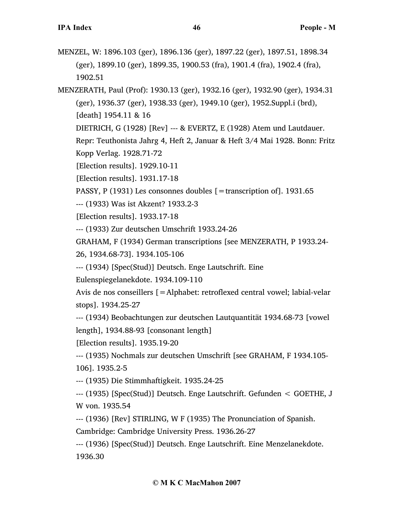MENZEL, W: 1896.103 (ger), 1896.136 (ger), 1897.22 (ger), 1897.51, 1898.34 (ger), 1899.10 (ger), 1899.35, 1900.53 (fra), 1901.4 (fra), 1902.4 (fra), 1902.51

MENZERATH, Paul (Prof): 1930.13 (ger), 1932.16 (ger), 1932.90 (ger), 1934.31 (ger), 1936.37 (ger), 1938.33 (ger), 1949.10 (ger), 1952.Suppl.i (brd), [death] 1954.11 & 16

DIETRICH, G (1928) [Rev] --- & EVERTZ, E (1928) Atem und Lautdauer.

Repr: Teuthonista Jahrg 4, Heft 2, Januar & Heft 3/4 Mai 1928. Bonn: Fritz Kopp Verlag. 1928.71-72

[Election results]. 1929.10-11

[Election results]. 1931.17-18

PASSY, P (1931) Les consonnes doubles [ = transcription of]. 1931.65

--- (1933) Was ist Akzent? 1933.2-3

[Election results]. 1933.17-18

--- (1933) Zur deutschen Umschrift 1933.24-26

GRAHAM, F (1934) German transcriptions [see MENZERATH, P 1933.24-

26, 1934.68-73]. 1934.105-106

--- (1934) [Spec(Stud)] Deutsch. Enge Lautschrift. Eine

Eulenspiegelanekdote. 1934.109-110

Avis de nos conseillers [=Alphabet: retroflexed central vowel; labial-velar stops]. 1934.25-27

--- (1934) Beobachtungen zur deutschen Lautquantität 1934.68-73 [vowel length], 1934.88-93 [consonant length]

[Election results]. 1935.19-20

--- (1935) Nochmals zur deutschen Umschrift [see GRAHAM, F 1934.105- 106]. 1935.2-5

--- (1935) Die Stimmhaftigkeit. 1935.24-25

--- (1935) [Spec(Stud)] Deutsch. Enge Lautschrift. Gefunden < GOETHE, J W von. 1935.54

--- (1936) [Rev] STIRLING, W F (1935) The Pronunciation of Spanish.

Cambridge: Cambridge University Press. 1936.26-27

--- (1936) [Spec(Stud)] Deutsch. Enge Lautschrift. Eine Menzelanekdote. 1936.30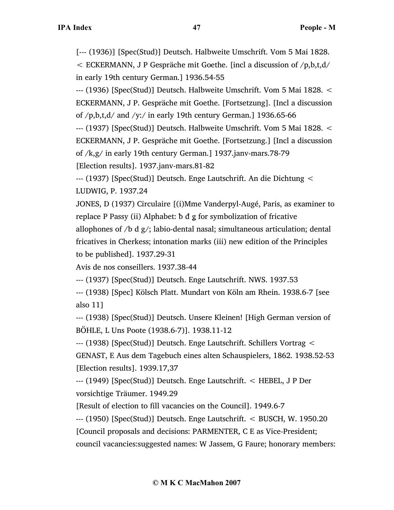[--- (1936)] [Spec(Stud)] Deutsch. Halbweite Umschrift. Vom 5 Mai 1828.  $\epsilon$  ECKERMANN, J P Gespräche mit Goethe. [incl a discussion of  $/p$ , b, t, d/

```
in early 19th century German.] 1936.54-55
```
--- (1936) [Spec(Stud)] Deutsch. Halbweite Umschrift. Vom 5 Mai 1828. < ECKERMANN, J P. Gespräche mit Goethe. [Fortsetzung]. [Incl a discussion of  $/p$ ,b,t,d/ and  $/$ y:/ in early 19th century German.] 1936.65-66

--- (1937) [Spec(Stud)] Deutsch. Halbweite Umschrift. Vom 5 Mai 1828. < ECKERMANN, J P. Gespräche mit Goethe. [Fortsetzung.] [Incl a discussion of /k,g/ in early 19th century German.] 1937.janv-mars.78-79 [Election results]. 1937.janv-mars.81-82

--- (1937) [Spec(Stud)] Deutsch. Enge Lautschrift. An die Dichtung < LUDWIG, P. 1937.24

JONES, D (1937) Circulaire [(i)Mme Vanderpyl-Augé, Paris, as examiner to replace P Passy (ii) Alphabet: b d g for symbolization of fricative allophones of /b d  $g$ /; labio-dental nasal; simultaneous articulation; dental fricatives in Cherkess; intonation marks (iii) new edition of the Principles to be published]. 1937.29-31

Avis de nos conseillers. 1937.38-44

--- (1937) [Spec(Stud)] Deutsch. Enge Lautschrift. NWS. 1937.53

--- (1938) [Spec] Kölsch Platt. Mundart von Köln am Rhein. 1938.6-7 [see also 11]

--- (1938) [Spec(Stud)] Deutsch. Unsere Kleinen! [High German version of BÖHLE, L Uns Poote (1938.6-7)]. 1938.11-12

--- (1938) [Spec(Stud)] Deutsch. Enge Lautschrift. Schillers Vortrag < GENAST, E Aus dem Tagebuch eines alten Schauspielers, 1862. 1938.52-53 [Election results]. 1939.17,37

--- (1949) [Spec(Stud)] Deutsch. Enge Lautschrift. < HEBEL, J P Der vorsichtige Träumer. 1949.29

[Result of election to fill vacancies on the Council]. 1949.6-7

--- (1950) [Spec(Stud)] Deutsch. Enge Lautschrift. < BUSCH, W. 1950.20 [Council proposals and decisions: PARMENTER, C E as Vice-President; council vacancies:suggested names: W Jassem, G Faure; honorary members: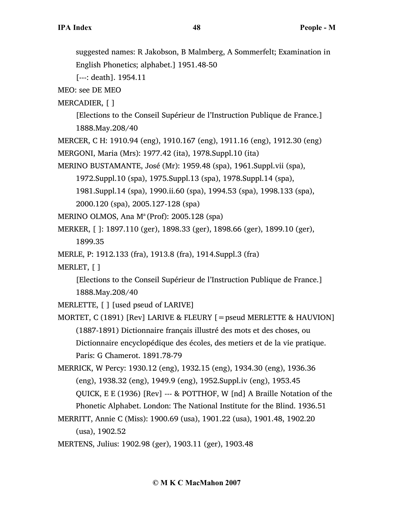suggested names: R Jakobson, B Malmberg, A Sommerfelt; Examination in English Phonetics; alphabet.] 1951.48-50

[---: death]. 1954.11

MEO: see DE MEO

MERCADIER, [ ]

[Elections to the Conseil Supérieur de l'Instruction Publique de France.] 1888.May.208/40

MERCER, C H: 1910.94 (eng), 1910.167 (eng), 1911.16 (eng), 1912.30 (eng) MERGONI, Maria (Mrs): 1977.42 (ita), 1978.Suppl.10 (ita)

MERINO BUSTAMANTE, José (Mr): 1959.48 (spa), 1961.Suppl.vii (spa),

1972.Suppl.10 (spa), 1975.Suppl.13 (spa), 1978.Suppl.14 (spa),

1981.Suppl.14 (spa), 1990.ii.60 (spa), 1994.53 (spa), 1998.133 (spa),

2000.120 (spa), 2005.127-128 (spa)

MERINO OLMOS, Ana  $M^a$  (Prof): 2005.128 (spa)

MERKER, [ ]: 1897.110 (ger), 1898.33 (ger), 1898.66 (ger), 1899.10 (ger), 1899.35

MERLE, P: 1912.133 (fra), 1913.8 (fra), 1914.Suppl.3 (fra)

MERLET, [ ]

[Elections to the Conseil Supérieur de l'Instruction Publique de France.] 1888.May.208/40

MERLETTE, [ ] [used pseud of LARIVE]

MORTET, C (1891) [Rev] LARIVE & FLEURY [=pseud MERLETTE & HAUVION] (1887-1891) Dictionnaire français illustré des mots et des choses, ou Dictionnaire encyclopédique des écoles, des metiers et de la vie pratique. Paris: G Chamerot. 1891.78-79

MERRICK, W Percy: 1930.12 (eng), 1932.15 (eng), 1934.30 (eng), 1936.36 (eng), 1938.32 (eng), 1949.9 (eng), 1952.Suppl.iv (eng), 1953.45 QUICK, E E (1936) [Rev] --- & POTTHOF, W [nd] A Braille Notation of the Phonetic Alphabet. London: The National Institute for the Blind. 1936.51

MERRITT, Annie C (Miss): 1900.69 (usa), 1901.22 (usa), 1901.48, 1902.20 (usa), 1902.52

MERTENS, Julius: 1902.98 (ger), 1903.11 (ger), 1903.48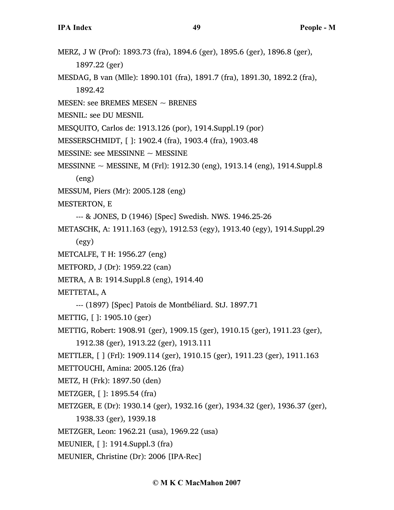- MERZ, J W (Prof): 1893.73 (fra), 1894.6 (ger), 1895.6 (ger), 1896.8 (ger), 1897.22 (ger)
- MESDAG, B van (Mlle): 1890.101 (fra), 1891.7 (fra), 1891.30, 1892.2 (fra), 1892.42
- MESEN: see BREMES MESEN  $\sim$  BRENES
- MESNIL: see DU MESNIL
- MESQUITO, Carlos de: 1913.126 (por), 1914.Suppl.19 (por)
- MESSERSCHMIDT, [ ]: 1902.4 (fra), 1903.4 (fra), 1903.48
- MESSINE: see MESSINNE  $\sim$  MESSINE
- MESSINNE ~ MESSINE, M (Frl): 1912.30 (eng), 1913.14 (eng), 1914.Suppl.8
	- (eng)
- MESSUM, Piers (Mr): 2005.128 (eng)
- MESTERTON, E
	- --- & JONES, D (1946) [Spec] Swedish. NWS. 1946.25-26
- METASCHK, A: 1911.163 (egy), 1912.53 (egy), 1913.40 (egy), 1914.Suppl.29
	- (egy)
- METCALFE, T H: 1956.27 (eng)
- METFORD, J (Dr): 1959.22 (can)
- METRA, A B: 1914.Suppl.8 (eng), 1914.40
- METTETAL, A
	- --- (1897) [Spec] Patois de Montbéliard. StJ. 1897.71
- METTIG, [ ]: 1905.10 (ger)
- METTIG, Robert: 1908.91 (ger), 1909.15 (ger), 1910.15 (ger), 1911.23 (ger),
	- 1912.38 (ger), 1913.22 (ger), 1913.111
- METTLER, [ ] (Frl): 1909.114 (ger), 1910.15 (ger), 1911.23 (ger), 1911.163
- METTOUCHI, Amina: 2005.126 (fra)
- METZ, H (Frk): 1897.50 (den)
- METZGER, [ ]: 1895.54 (fra)
- METZGER, E (Dr): 1930.14 (ger), 1932.16 (ger), 1934.32 (ger), 1936.37 (ger), 1938.33 (ger), 1939.18
- METZGER, Leon: 1962.21 (usa), 1969.22 (usa)
- MEUNIER, [ ]: 1914.Suppl.3 (fra)
- MEUNIER, Christine (Dr): 2006 [IPA-Rec]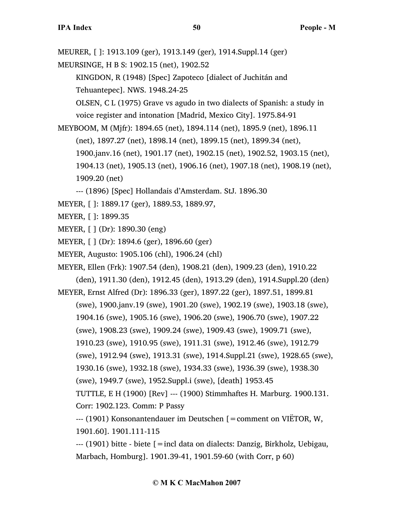MEURER, [ ]: 1913.109 (ger), 1913.149 (ger), 1914.Suppl.14 (ger)

MEURSINGE, H B S: 1902.15 (net), 1902.52

KINGDON, R (1948) [Spec] Zapoteco [dialect of Juchitán and Tehuantepec]. NWS. 1948.24-25

OLSEN, C L (1975) Grave vs agudo in two dialects of Spanish: a study in voice register and intonation [Madrid, Mexico City]. 1975.84-91

MEYBOOM, M (Mjfr): 1894.65 (net), 1894.114 (net), 1895.9 (net), 1896.11

(net), 1897.27 (net), 1898.14 (net), 1899.15 (net), 1899.34 (net),

1900.janv.16 (net), 1901.17 (net), 1902.15 (net), 1902.52, 1903.15 (net),

1904.13 (net), 1905.13 (net), 1906.16 (net), 1907.18 (net), 1908.19 (net), 1909.20 (net)

--- (1896) [Spec] Hollandais d'Amsterdam. StJ. 1896.30

- MEYER, [ ]: 1889.17 (ger), 1889.53, 1889.97,
- MEYER, [ ]: 1899.35
- MEYER, [ ] (Dr): 1890.30 (eng)
- MEYER, [ ] (Dr): 1894.6 (ger), 1896.60 (ger)
- MEYER, Augusto: 1905.106 (chl), 1906.24 (chl)

MEYER, Ellen (Frk): 1907.54 (den), 1908.21 (den), 1909.23 (den), 1910.22

(den), 1911.30 (den), 1912.45 (den), 1913.29 (den), 1914.Suppl.20 (den) MEYER, Ernst Alfred (Dr): 1896.33 (ger), 1897.22 (ger), 1897.51, 1899.81

(swe), 1900.janv.19 (swe), 1901.20 (swe), 1902.19 (swe), 1903.18 (swe),

1904.16 (swe), 1905.16 (swe), 1906.20 (swe), 1906.70 (swe), 1907.22

(swe), 1908.23 (swe), 1909.24 (swe), 1909.43 (swe), 1909.71 (swe),

1910.23 (swe), 1910.95 (swe), 1911.31 (swe), 1912.46 (swe), 1912.79

(swe), 1912.94 (swe), 1913.31 (swe), 1914.Suppl.21 (swe), 1928.65 (swe),

1930.16 (swe), 1932.18 (swe), 1934.33 (swe), 1936.39 (swe), 1938.30

(swe), 1949.7 (swe), 1952.Suppl.i (swe), [death] 1953.45

TUTTLE, E H (1900) [Rev] --- (1900) Stimmhaftes H. Marburg. 1900.131. Corr: 1902.123. Comm: P Passy

--- (1901) Konsonantendauer im Deutschen [=comment on VIËTOR, W, 1901.60]. 1901.111-115

--- (1901) bitte - biete [=incl data on dialects: Danzig, Birkholz, Uebigau, Marbach, Homburg]. 1901.39-41, 1901.59-60 (with Corr, p 60)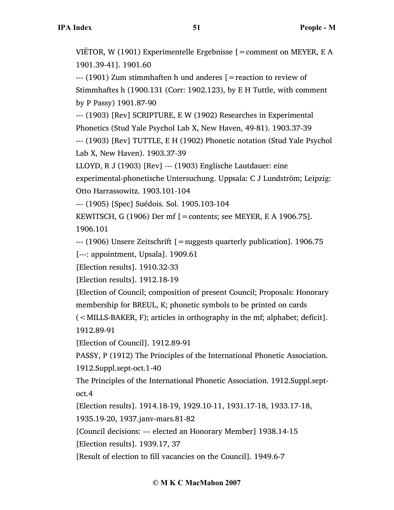VIËTOR, W (1901) Experimentelle Ergebnisse [=comment on MEYER, E A 1901.39-41]. 1901.60

 $-$ -- $(1901)$  Zum stimmhaften h und anderes  $\beta$  = reaction to review of Stimmhaftes h (1900.131 (Corr: 1902.123), by E H Tuttle, with comment by P Passy) 1901.87-90

--- (1903) [Rev] SCRIPTURE, E W (1902) Researches in Experimental Phonetics (Stud Yale Psychol Lab X, New Haven, 49-81). 1903.37-39

--- (1903) [Rev] TUTTLE, E H (1902) Phonetic notation (Stud Yale Psychol Lab X, New Haven). 1903.37-39

LLOYD, R J (1903) [Rev] --- (1903) Englische Lautdauer: eine

experimental-phonetische Untersuchung. Uppsala: C J Lundström; Leipzig: Otto Harrassowitz. 1903.101-104

--- (1905) [Spec] Suédois. Sol. 1905.103-104

KEWITSCH, G (1906) Der mf  $\lceil =$ contents; see MEYER, E A 1906.75].

1906.101

--- (1906) Unsere Zeitschrift [=suggests quarterly publication]. 1906.75

[---: appointment, Upsala]. 1909.61

[Election results]. 1910.32-33

[Election results]. 1912.18-19

[Election of Council; composition of present Council; Proposals: Honorary membership for BREUL, K; phonetic symbols to be printed on cards

(<MILLS-BAKER, F); articles in orthography in the mf; alphabet; deficit]. 1912.89-91

[Election of Council]. 1912.89-91

PASSY, P (1912) The Principles of the International Phonetic Association.

1912.Suppl.sept-oct.1-40

The Principles of the International Phonetic Association. 1912.Suppl.septoct.4

[Election results]. 1914.18-19, 1929.10-11, 1931.17-18, 1933.17-18,

1935.19-20, 1937.janv-mars.81-82

[Council decisions: --- elected an Honorary Member] 1938.14-15

[Election results]. 1939.17, 37

[Result of election to fill vacancies on the Council]. 1949.6-7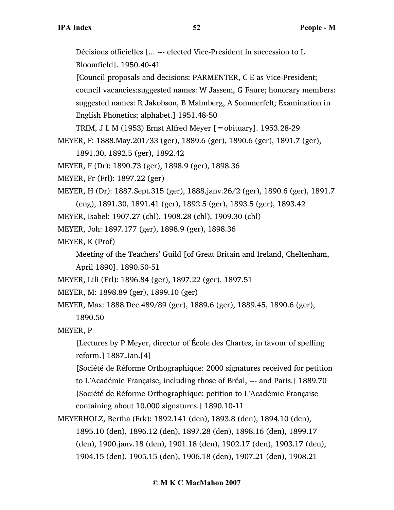Décisions officielles [... --- elected Vice-President in succession to L Bloomfield]. 1950.40-41 [Council proposals and decisions: PARMENTER, C E as Vice-President; council vacancies:suggested names: W Jassem, G Faure; honorary members: suggested names: R Jakobson, B Malmberg, A Sommerfelt; Examination in English Phonetics; alphabet.] 1951.48-50 TRIM, J L M (1953) Ernst Alfred Meyer [=obituary]. 1953.28-29 MEYER, F: 1888.May.201/33 (ger), 1889.6 (ger), 1890.6 (ger), 1891.7 (ger), 1891.30, 1892.5 (ger), 1892.42 MEYER, F (Dr): 1890.73 (ger), 1898.9 (ger), 1898.36 MEYER, Fr (Frl): 1897.22 (ger) MEYER, H (Dr): 1887.Sept.315 (ger), 1888.janv.26/2 (ger), 1890.6 (ger), 1891.7 (eng), 1891.30, 1891.41 (ger), 1892.5 (ger), 1893.5 (ger), 1893.42 MEYER, Isabel: 1907.27 (chl), 1908.28 (chl), 1909.30 (chl) MEYER, Joh: 1897.177 (ger), 1898.9 (ger), 1898.36 MEYER, K (Prof) Meeting of the Teachers' Guild [of Great Britain and Ireland, Cheltenham, April 1890]. 1890.50-51 MEYER, Lili (Frl): 1896.84 (ger), 1897.22 (ger), 1897.51 MEYER, M: 1898.89 (ger), 1899.10 (ger) MEYER, Max: 1888.Dec.489/89 (ger), 1889.6 (ger), 1889.45, 1890.6 (ger), 1890.50 MEYER, P [Lectures by P Meyer, director of École des Chartes, in favour of spelling reform.] 1887.Jan.[4] [Société de Réforme Orthographique: 2000 signatures received for petition to L'Académie Française, including those of Bréal, --- and Paris.] 1889.70 [Société de Réforme Orthographique: petition to L'Académie Française containing about 10,000 signatures.] 1890.10-11

MEYERHOLZ, Bertha (Frk): 1892.141 (den), 1893.8 (den), 1894.10 (den), 1895.10 (den), 1896.12 (den), 1897.28 (den), 1898.16 (den), 1899.17 (den), 1900.janv.18 (den), 1901.18 (den), 1902.17 (den), 1903.17 (den), 1904.15 (den), 1905.15 (den), 1906.18 (den), 1907.21 (den), 1908.21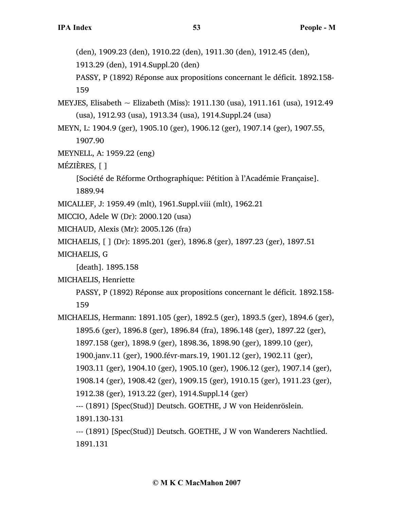(den), 1909.23 (den), 1910.22 (den), 1911.30 (den), 1912.45 (den),

1913.29 (den), 1914.Suppl.20 (den)

PASSY, P (1892) Réponse aux propositions concernant le déficit. 1892.158- 159

- MEYJES, Elisabeth ~ Elizabeth (Miss): 1911.130 (usa), 1911.161 (usa), 1912.49 (usa), 1912.93 (usa), 1913.34 (usa), 1914.Suppl.24 (usa)
- MEYN, L: 1904.9 (ger), 1905.10 (ger), 1906.12 (ger), 1907.14 (ger), 1907.55, 1907.90
- MEYNELL, A: 1959.22 (eng)
- MÉZIÈRES, [ ]

[Société de Réforme Orthographique: Pétition à l'Académie Française]. 1889.94

- MICALLEF, J: 1959.49 (mlt), 1961.Suppl.viii (mlt), 1962.21
- MICCIO, Adele W (Dr): 2000.120 (usa)
- MICHAUD, Alexis (Mr): 2005.126 (fra)

MICHAELIS, [ ] (Dr): 1895.201 (ger), 1896.8 (ger), 1897.23 (ger), 1897.51

MICHAELIS, G

[death]. 1895.158

MICHAELIS, Henriette

PASSY, P (1892) Réponse aux propositions concernant le déficit. 1892.158- 159

MICHAELIS, Hermann: 1891.105 (ger), 1892.5 (ger), 1893.5 (ger), 1894.6 (ger), 1895.6 (ger), 1896.8 (ger), 1896.84 (fra), 1896.148 (ger), 1897.22 (ger), 1897.158 (ger), 1898.9 (ger), 1898.36, 1898.90 (ger), 1899.10 (ger), 1900.janv.11 (ger), 1900.févr-mars.19, 1901.12 (ger), 1902.11 (ger), 1903.11 (ger), 1904.10 (ger), 1905.10 (ger), 1906.12 (ger), 1907.14 (ger), 1908.14 (ger), 1908.42 (ger), 1909.15 (ger), 1910.15 (ger), 1911.23 (ger), 1912.38 (ger), 1913.22 (ger), 1914.Suppl.14 (ger) --- (1891) [Spec(Stud)] Deutsch. GOETHE, J W von Heidenröslein. 1891.130-131 --- (1891) [Spec(Stud)] Deutsch. GOETHE, J W von Wanderers Nachtlied. 1891.131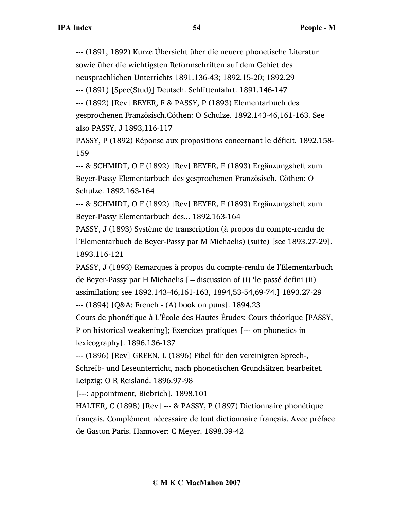--- (1891, 1892) Kurze Übersicht über die neuere phonetische Literatur sowie über die wichtigsten Reformschriften auf dem Gebiet des

neusprachlichen Unterrichts 1891.136-43; 1892.15-20; 1892.29

--- (1891) [Spec(Stud)] Deutsch. Schlittenfahrt. 1891.146-147

--- (1892) [Rev] BEYER, F & PASSY, P (1893) Elementarbuch des gesprochenen Französisch.Cöthen: O Schulze. 1892.143-46,161-163. See also PASSY, J 1893,116-117

PASSY, P (1892) Réponse aux propositions concernant le déficit. 1892.158- 159

--- & SCHMIDT, O F (1892) [Rev] BEYER, F (1893) Ergänzungsheft zum Beyer-Passy Elementarbuch des gesprochenen Französisch. Cöthen: O Schulze. 1892.163-164

--- & SCHMIDT, O F (1892) [Rev] BEYER, F (1893) Ergänzungsheft zum Beyer-Passy Elementarbuch des... 1892.163-164

PASSY, J (1893) Système de transcription (à propos du compte-rendu de l'Elementarbuch de Beyer-Passy par M Michaelis) (suite) [see 1893.27-29]. 1893.116-121

PASSY, J (1893) Remarques à propos du compte-rendu de l'Elementarbuch de Beyer-Passy par H Michaelis  $[$  = discussion of (i) 'le passé defini (ii) assimilation; see 1892.143-46,161-163, 1894,53-54,69-74.] 1893.27-29

--- (1894) [Q&A: French - (A) book on puns]. 1894.23

Cours de phonétique à L'École des Hautes Études: Cours théorique [PASSY, P on historical weakening]; Exercices pratiques [--- on phonetics in lexicography]. 1896.136-137

--- (1896) [Rev] GREEN, L (1896) Fibel für den vereinigten Sprech-, Schreib- und Leseunterricht, nach phonetischen Grundsätzen bearbeitet. Leipzig: O R Reisland. 1896.97-98

[---: appointment, Biebrich]. 1898.101

HALTER, C (1898) [Rev] --- & PASSY, P (1897) Dictionnaire phonétique français. Complément nécessaire de tout dictionnaire français. Avec préface de Gaston Paris. Hannover: C Meyer. 1898.39-42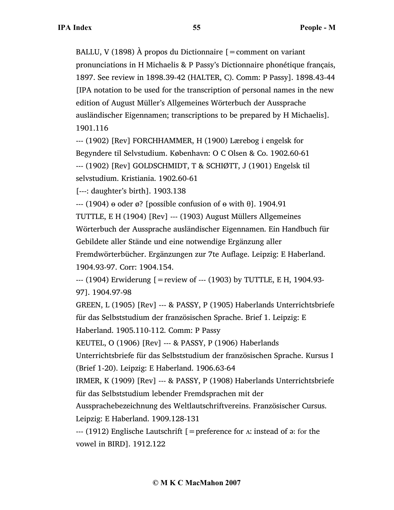BALLU, V (1898) À propos du Dictionnaire  $[=$ comment on variant pronunciations in H Michaelis & P Passy's Dictionnaire phonétique français, 1897. See review in 1898.39-42 (HALTER, C). Comm: P Passy]. 1898.43-44 [IPA notation to be used for the transcription of personal names in the new edition of August Müller's Allgemeines Wörterbuch der Aussprache ausländischer Eigennamen; transcriptions to be prepared by H Michaelis]. 1901.116

--- (1902) [Rev] FORCHHAMMER, H (1900) Lærebog i engelsk for Begyndere til Selvstudium. København: O C Olsen & Co. 1902.60-61 --- (1902) [Rev] GOLDSCHMIDT, T & SCHIØTT, J (1901) Engelsk til selvstudium. Kristiania. 1902.60-61

[---: daughter's birth]. 1903.138

 $-$ -- (1904)  $\theta$  oder  $\varnothing$ ? [possible confusion of  $\theta$  with  $\theta$ ]. 1904.91

TUTTLE, E H (1904) [Rev] --- (1903) August Müllers Allgemeines Wörterbuch der Aussprache ausländischer Eigennamen. Ein Handbuch für Gebildete aller Stände und eine notwendige Ergänzung aller Fremdwörterbücher. Ergänzungen zur 7te Auflage. Leipzig: E Haberland. 1904.93-97. Corr: 1904.154.

--- (1904) Erwiderung [=review of --- (1903) by TUTTLE, E H, 1904.93- 97]. 1904.97-98

GREEN, L (1905) [Rev] --- & PASSY, P (1905) Haberlands Unterrichtsbriefe für das Selbststudium der französischen Sprache. Brief 1. Leipzig: E

Haberland. 1905.110-112. Comm: P Passy

KEUTEL, O (1906) [Rev] --- & PASSY, P (1906) Haberlands

Unterrichtsbriefe für das Selbststudium der französischen Sprache. Kursus I (Brief 1-20). Leipzig: E Haberland. 1906.63-64

IRMER, K (1909) [Rev] --- & PASSY, P (1908) Haberlands Unterrichtsbriefe für das Selbststudium lebender Fremdsprachen mit der

Aussprachebezeichnung des Weltlautschriftvereins. Französischer Cursus. Leipzig: E Haberland. 1909.128-131

 $-$ -- (1912) Englische Lautschrift [=preference for  $\Lambda$ : instead of  $\sigma$ : for the vowel in BIRD]. 1912.122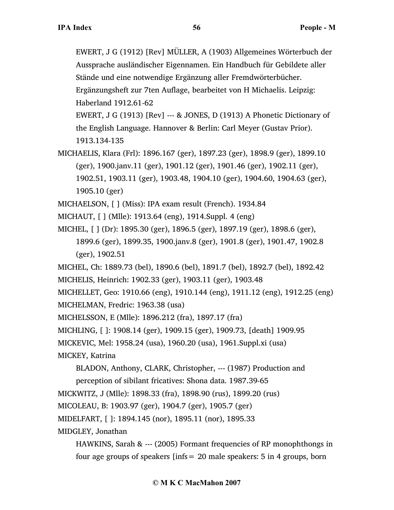EWERT, J G (1912) [Rev] MÜLLER, A (1903) Allgemeines Wörterbuch der Aussprache ausländischer Eigennamen. Ein Handbuch für Gebildete aller Stände und eine notwendige Ergänzung aller Fremdwörterbücher. Ergänzungsheft zur 7ten Auflage, bearbeitet von H Michaelis. Leipzig: Haberland 1912.61-62 EWERT, J G (1913) [Rev] --- & JONES, D (1913) A Phonetic Dictionary of

the English Language. Hannover & Berlin: Carl Meyer (Gustav Prior). 1913.134-135

MICHAELIS, Klara (Frl): 1896.167 (ger), 1897.23 (ger), 1898.9 (ger), 1899.10 (ger), 1900.janv.11 (ger), 1901.12 (ger), 1901.46 (ger), 1902.11 (ger), 1902.51, 1903.11 (ger), 1903.48, 1904.10 (ger), 1904.60, 1904.63 (ger), 1905.10 (ger)

MICHAELSON, [ ] (Miss): IPA exam result (French). 1934.84

MICHAUT, [ ] (Mlle): 1913.64 (eng), 1914.Suppl. 4 (eng)

MICHEL, [ ] (Dr): 1895.30 (ger), 1896.5 (ger), 1897.19 (ger), 1898.6 (ger), 1899.6 (ger), 1899.35, 1900.janv.8 (ger), 1901.8 (ger), 1901.47, 1902.8 (ger), 1902.51

MICHEL, Ch: 1889.73 (bel), 1890.6 (bel), 1891.7 (bel), 1892.7 (bel), 1892.42

MICHELIS, Heinrich: 1902.33 (ger), 1903.11 (ger), 1903.48

MICHELLET, Geo: 1910.66 (eng), 1910.144 (eng), 1911.12 (eng), 1912.25 (eng) MICHELMAN, Fredric: 1963.38 (usa)

MICHELSSON, E (Mlle): 1896.212 (fra), 1897.17 (fra)

MICHLING, [ ]: 1908.14 (ger), 1909.15 (ger), 1909.73, [death] 1909.95

MICKEVIC, Mel: 1958.24 (usa), 1960.20 (usa), 1961.Suppl.xi (usa)

MICKEY, Katrina

BLADON, Anthony, CLARK, Christopher, --- (1987) Production and perception of sibilant fricatives: Shona data. 1987.39-65

MICKWITZ, J (Mlle): 1898.33 (fra), 1898.90 (rus), 1899.20 (rus)

MICOLEAU, B: 1903.97 (ger), 1904.7 (ger), 1905.7 (ger)

MIDELFART, [ ]: 1894.145 (nor), 1895.11 (nor), 1895.33

MIDGLEY, Jonathan

HAWKINS, Sarah & --- (2005) Formant frequencies of RP monophthongs in four age groups of speakers [infs= 20 male speakers: 5 in 4 groups, born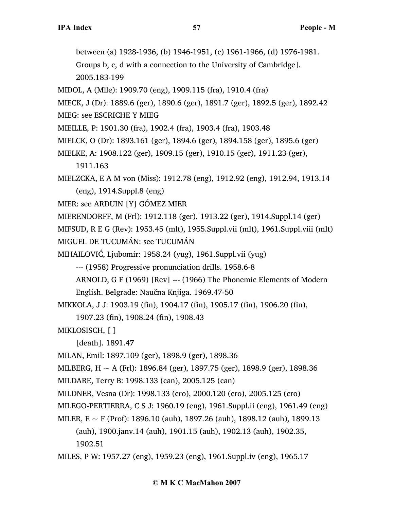between (a) 1928-1936, (b) 1946-1951, (c) 1961-1966, (d) 1976-1981.

Groups b, c, d with a connection to the University of Cambridge]. 2005.183-199

MIDOL, A (Mlle): 1909.70 (eng), 1909.115 (fra), 1910.4 (fra)

MIECK, J (Dr): 1889.6 (ger), 1890.6 (ger), 1891.7 (ger), 1892.5 (ger), 1892.42

- MIEG: see ESCRICHE Y MIEG
- MIEILLE, P: 1901.30 (fra), 1902.4 (fra), 1903.4 (fra), 1903.48
- MIELCK, O (Dr): 1893.161 (ger), 1894.6 (ger), 1894.158 (ger), 1895.6 (ger)
- MIELKE, A: 1908.122 (ger), 1909.15 (ger), 1910.15 (ger), 1911.23 (ger),
	- 1911.163
- MIELZCKA, E A M von (Miss): 1912.78 (eng), 1912.92 (eng), 1912.94, 1913.14 (eng), 1914.Suppl.8 (eng)

MIER: see ARDUIN [Y] GÓMEZ MIER

MIERENDORFF, M (Frl): 1912.118 (ger), 1913.22 (ger), 1914.Suppl.14 (ger)

MIFSUD, R E G (Rev): 1953.45 (mlt), 1955.Suppl.vii (mlt), 1961.Suppl.viii (mlt) MIGUEL DE TUCUMÁN: see TUCUMÁN

MIHAILOVIĆ, Ljubomir: 1958.24 (yug), 1961.Suppl.vii (yug)

--- (1958) Progressive pronunciation drills. 1958.6-8

ARNOLD, G F (1969) [Rev] --- (1966) The Phonemic Elements of Modern English. Belgrade: Naučna Knjiga. 1969.47-50

MIKKOLA, J J: 1903.19 (fin), 1904.17 (fin), 1905.17 (fin), 1906.20 (fin),

1907.23 (fin), 1908.24 (fin), 1908.43

MIKLOSISCH, [ ]

[death]. 1891.47

MILAN, Emil: 1897.109 (ger), 1898.9 (ger), 1898.36

MILBERG, H  $\sim$  A (Frl): 1896.84 (ger), 1897.75 (ger), 1898.9 (ger), 1898.36

MILDARE, Terry B: 1998.133 (can), 2005.125 (can)

MILDNER, Vesna (Dr): 1998.133 (cro), 2000.120 (cro), 2005.125 (cro)

MILEGO-PERTIERRA, C S J: 1960.19 (eng), 1961.Suppl.ii (eng), 1961.49 (eng)

MILER,  $E \sim F$  (Prof): 1896.10 (auh), 1897.26 (auh), 1898.12 (auh), 1899.13

(auh), 1900.janv.14 (auh), 1901.15 (auh), 1902.13 (auh), 1902.35, 1902.51

MILES, P W: 1957.27 (eng), 1959.23 (eng), 1961.Suppl.iv (eng), 1965.17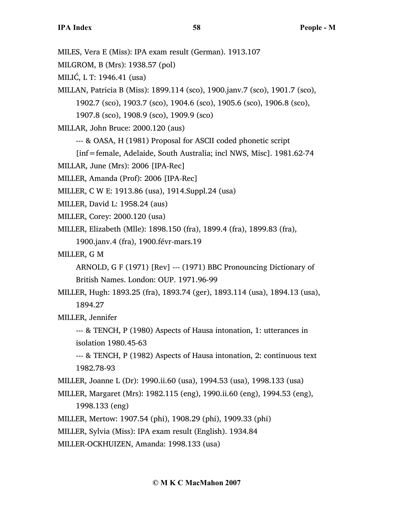MILES, Vera E (Miss): IPA exam result (German). 1913.107 MILGROM, B (Mrs): 1938.57 (pol) MILIĆ, L T: 1946.41 (usa) MILLAN, Patricia B (Miss): 1899.114 (sco), 1900.janv.7 (sco), 1901.7 (sco), 1902.7 (sco), 1903.7 (sco), 1904.6 (sco), 1905.6 (sco), 1906.8 (sco), 1907.8 (sco), 1908.9 (sco), 1909.9 (sco) MILLAR, John Bruce: 2000.120 (aus) --- & OASA, H (1981) Proposal for ASCII coded phonetic script [inf=female, Adelaide, South Australia; incl NWS, Misc]. 1981.62-74 MILLAR, June (Mrs): 2006 [IPA-Rec] MILLER, Amanda (Prof): 2006 [IPA-Rec] MILLER, C W E: 1913.86 (usa), 1914.Suppl.24 (usa) MILLER, David L: 1958.24 (aus) MILLER, Corey: 2000.120 (usa) MILLER, Elizabeth (Mlle): 1898.150 (fra), 1899.4 (fra), 1899.83 (fra), 1900.janv.4 (fra), 1900.févr-mars.19 MILLER, G M ARNOLD, G F (1971) [Rev] --- (1971) BBC Pronouncing Dictionary of British Names. London: OUP. 1971.96-99 MILLER, Hugh: 1893.25 (fra), 1893.74 (ger), 1893.114 (usa), 1894.13 (usa), 1894.27 MILLER, Jennifer --- & TENCH, P (1980) Aspects of Hausa intonation, 1: utterances in isolation 1980.45-63 --- & TENCH, P (1982) Aspects of Hausa intonation, 2: continuous text 1982.78-93 MILLER, Joanne L (Dr): 1990.ii.60 (usa), 1994.53 (usa), 1998.133 (usa) MILLER, Margaret (Mrs): 1982.115 (eng), 1990.ii.60 (eng), 1994.53 (eng), 1998.133 (eng)

MILLER, Mertow: 1907.54 (phi), 1908.29 (phi), 1909.33 (phi)

MILLER, Sylvia (Miss): IPA exam result (English). 1934.84

MILLER-OCKHUIZEN, Amanda: 1998.133 (usa)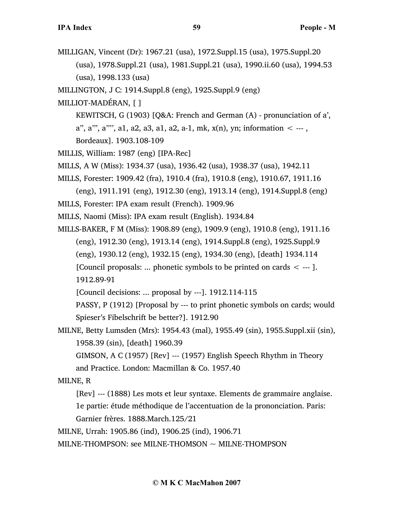- MILLIGAN, Vincent (Dr): 1967.21 (usa), 1972.Suppl.15 (usa), 1975.Suppl.20 (usa), 1978.Suppl.21 (usa), 1981.Suppl.21 (usa), 1990.ii.60 (usa), 1994.53 (usa), 1998.133 (usa)
- MILLINGTON, J C: 1914.Suppl.8 (eng), 1925.Suppl.9 (eng)
- MILLIOT-MADÉRAN, [ ]
	- KEWITSCH, G (1903) [Q&A: French and German (A) pronunciation of a',
	- a", a"', a"'', a1, a2, a3, a1, a2, a-1, mk,  $x(n)$ ,  $yn$ ; information  $\leq -1$ ,
	- Bordeaux]. 1903.108-109
- MILLIS, William: 1987 (eng) [IPA-Rec]
- MILLS, A W (Miss): 1934.37 (usa), 1936.42 (usa), 1938.37 (usa), 1942.11
- MILLS, Forester: 1909.42 (fra), 1910.4 (fra), 1910.8 (eng), 1910.67, 1911.16 (eng), 1911.191 (eng), 1912.30 (eng), 1913.14 (eng), 1914.Suppl.8 (eng)
- MILLS, Forester: IPA exam result (French). 1909.96
- MILLS, Naomi (Miss): IPA exam result (English). 1934.84
- MILLS-BAKER, F M (Miss): 1908.89 (eng), 1909.9 (eng), 1910.8 (eng), 1911.16 (eng), 1912.30 (eng), 1913.14 (eng), 1914.Suppl.8 (eng), 1925.Suppl.9 (eng), 1930.12 (eng), 1932.15 (eng), 1934.30 (eng), [death] 1934.114 [Council proposals: ... phonetic symbols to be printed on cards  $\leq$  --- ]. 1912.89-91

[Council decisions: ... proposal by ---]. 1912.114-115

PASSY, P (1912) [Proposal by --- to print phonetic symbols on cards; would Spieser's Fibelschrift be better?]. 1912.90

MILNE, Betty Lumsden (Mrs): 1954.43 (mal), 1955.49 (sin), 1955.Suppl.xii (sin), 1958.39 (sin), [death] 1960.39

GIMSON, A C (1957) [Rev] --- (1957) English Speech Rhythm in Theory and Practice. London: Macmillan & Co. 1957.40

#### MILNE, R

[Rev] --- (1888) Les mots et leur syntaxe. Elements de grammaire anglaise.

1e partie: étude méthodique de l'accentuation de la prononciation. Paris: Garnier frères. 1888.March.125/21

MILNE, Urrah: 1905.86 (ind), 1906.25 (ind), 1906.71

MILNE-THOMPSON: see MILNE-THOMSON  $\sim$  MILNE-THOMPSON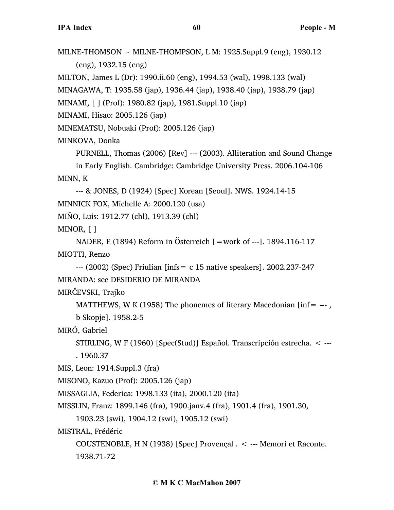MILNE-THOMSON  $\sim$  MILNE-THOMPSON, L M: 1925.Suppl.9 (eng), 1930.12 (eng), 1932.15 (eng) MILTON, James L (Dr): 1990.ii.60 (eng), 1994.53 (wal), 1998.133 (wal)

MINAGAWA, T: 1935.58 (jap), 1936.44 (jap), 1938.40 (jap), 1938.79 (jap)

MINAMI, [ ] (Prof): 1980.82 (jap), 1981.Suppl.10 (jap)

MINAMI, Hisao: 2005.126 (jap)

MINEMATSU, Nobuaki (Prof): 2005.126 (jap)

# MINKOVA, Donka

PURNELL, Thomas (2006) [Rev] --- (2003). Alliteration and Sound Change

in Early English. Cambridge: Cambridge University Press. 2006.104-106 MINN, K

--- & JONES, D (1924) [Spec] Korean [Seoul]. NWS. 1924.14-15

```
MINNICK FOX, Michelle A: 2000.120 (usa)
```
MIÑO, Luis: 1912.77 (chl), 1913.39 (chl)

MINOR, [ ]

```
NADER, E (1894) Reform in Österreich [=work of ---]. 1894.116-117
MIOTTI, Renzo
```
 $-$ -- $(2002)$  (Spec) Friulian [infs = c 15 native speakers]. 2002.237-247 MIRANDA: see DESIDERIO DE MIRANDA

MIRČEVSKI, Trajko

```
MATTHEWS, W K (1958) The phonemes of literary Macedonian [inf = -1],
```

```
b Skopje]. 1958.2-5
```
MIRÓ, Gabriel

```
STIRLING, W F (1960) [Spec(Stud)] Español. Transcripción estrecha. < ---
. 1960.37
```
MIS, Leon: 1914.Suppl.3 (fra)

MISONO, Kazuo (Prof): 2005.126 (jap)

MISSAGLIA, Federica: 1998.133 (ita), 2000.120 (ita)

```
MISSLIN, Franz: 1899.146 (fra), 1900.janv.4 (fra), 1901.4 (fra), 1901.30,
```

```
1903.23 (swi), 1904.12 (swi), 1905.12 (swi)
```
MISTRAL, Frédéric

COUSTENOBLE, H N (1938) [Spec] Provençal . < --- Memori et Raconte. 1938.71-72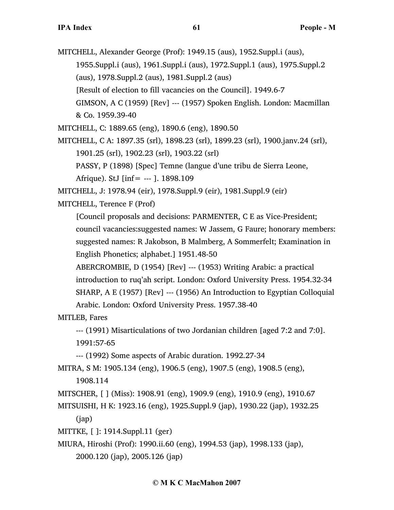- MITCHELL, Alexander George (Prof): 1949.15 (aus), 1952.Suppl.i (aus), 1955.Suppl.i (aus), 1961.Suppl.i (aus), 1972.Suppl.1 (aus), 1975.Suppl.2
	- (aus), 1978.Suppl.2 (aus), 1981.Suppl.2 (aus)
	- [Result of election to fill vacancies on the Council]. 1949.6-7
	- GIMSON, A C (1959) [Rev] --- (1957) Spoken English. London: Macmillan & Co. 1959.39-40
- MITCHELL, C: 1889.65 (eng), 1890.6 (eng), 1890.50
- MITCHELL, C A: 1897.35 (srl), 1898.23 (srl), 1899.23 (srl), 1900.janv.24 (srl), 1901.25 (srl), 1902.23 (srl), 1903.22 (srl)
	- PASSY, P (1898) [Spec] Temne (langue d'une tribu de Sierra Leone,

Afrique). StJ  $\left[ \text{inf} = -1 \right]$ . 1898.109

MITCHELL, J: 1978.94 (eir), 1978.Suppl.9 (eir), 1981.Suppl.9 (eir)

MITCHELL, Terence F (Prof)

[Council proposals and decisions: PARMENTER, C E as Vice-President; council vacancies:suggested names: W Jassem, G Faure; honorary members: suggested names: R Jakobson, B Malmberg, A Sommerfelt; Examination in English Phonetics; alphabet.] 1951.48-50

ABERCROMBIE, D (1954) [Rev] --- (1953) Writing Arabic: a practical introduction to ruq'ah script. London: Oxford University Press. 1954.32-34 SHARP, A E (1957) [Rev] --- (1956) An Introduction to Egyptian Colloquial Arabic. London: Oxford University Press. 1957.38-40

MITLEB, Fares

--- (1991) Misarticulations of two Jordanian children [aged 7:2 and 7:0]. 1991:57-65

--- (1992) Some aspects of Arabic duration. 1992.27-34

MITRA, S M: 1905.134 (eng), 1906.5 (eng), 1907.5 (eng), 1908.5 (eng),

1908.114

MITSCHER, [ ] (Miss): 1908.91 (eng), 1909.9 (eng), 1910.9 (eng), 1910.67

MITSUISHI, H K: 1923.16 (eng), 1925.Suppl.9 (jap), 1930.22 (jap), 1932.25 (jap)

MITTKE, [ ]: 1914.Suppl.11 (ger)

MIURA, Hiroshi (Prof): 1990.ii.60 (eng), 1994.53 (jap), 1998.133 (jap),

2000.120 (jap), 2005.126 (jap)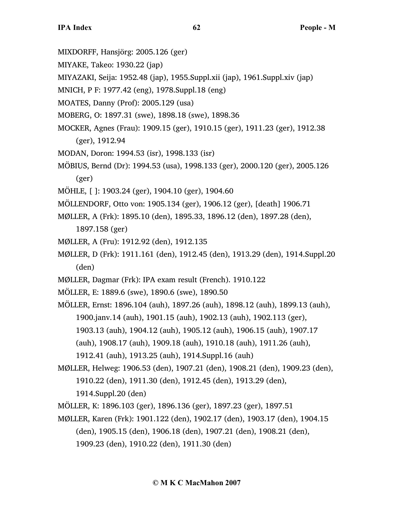- MIXDORFF, Hansjörg: 2005.126 (ger)
- MIYAKE, Takeo: 1930.22 (jap)
- MIYAZAKI, Seija: 1952.48 (jap), 1955.Suppl.xii (jap), 1961.Suppl.xiv (jap)
- MNICH, P F: 1977.42 (eng), 1978.Suppl.18 (eng)
- MOATES, Danny (Prof): 2005.129 (usa)
- MOBERG, O: 1897.31 (swe), 1898.18 (swe), 1898.36
- MOCKER, Agnes (Frau): 1909.15 (ger), 1910.15 (ger), 1911.23 (ger), 1912.38
	- (ger), 1912.94
- MODAN, Doron: 1994.53 (isr), 1998.133 (isr)
- MÖBIUS, Bernd (Dr): 1994.53 (usa), 1998.133 (ger), 2000.120 (ger), 2005.126 (ger)
- MÖHLE, [ ]: 1903.24 (ger), 1904.10 (ger), 1904.60
- MÖLLENDORF, Otto von: 1905.134 (ger), 1906.12 (ger), [death] 1906.71
- MØLLER, A (Frk): 1895.10 (den), 1895.33, 1896.12 (den), 1897.28 (den),
	- 1897.158 (ger)
- MØLLER, A (Fru): 1912.92 (den), 1912.135
- MØLLER, D (Frk): 1911.161 (den), 1912.45 (den), 1913.29 (den), 1914.Suppl.20 (den)
- MØLLER, Dagmar (Frk): IPA exam result (French). 1910.122
- MÖLLER, E: 1889.6 (swe), 1890.6 (swe), 1890.50
- MÖLLER, Ernst: 1896.104 (auh), 1897.26 (auh), 1898.12 (auh), 1899.13 (auh), 1900.janv.14 (auh), 1901.15 (auh), 1902.13 (auh), 1902.113 (ger), 1903.13 (auh), 1904.12 (auh), 1905.12 (auh), 1906.15 (auh), 1907.17 (auh), 1908.17 (auh), 1909.18 (auh), 1910.18 (auh), 1911.26 (auh), 1912.41 (auh), 1913.25 (auh), 1914.Suppl.16 (auh)
- MØLLER, Helweg: 1906.53 (den), 1907.21 (den), 1908.21 (den), 1909.23 (den), 1910.22 (den), 1911.30 (den), 1912.45 (den), 1913.29 (den), 1914.Suppl.20 (den)
- MÖLLER, K: 1896.103 (ger), 1896.136 (ger), 1897.23 (ger), 1897.51
- MØLLER, Karen (Frk): 1901.122 (den), 1902.17 (den), 1903.17 (den), 1904.15 (den), 1905.15 (den), 1906.18 (den), 1907.21 (den), 1908.21 (den), 1909.23 (den), 1910.22 (den), 1911.30 (den)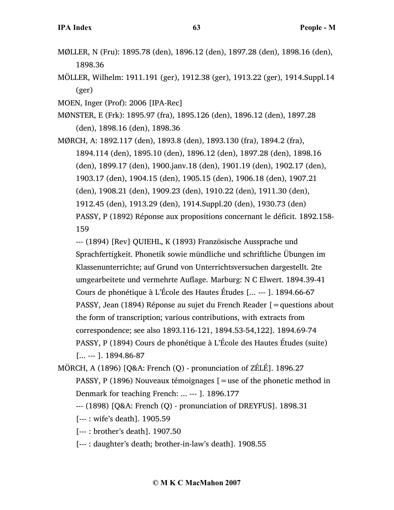- MØLLER, N (Fru): 1895.78 (den), 1896.12 (den), 1897.28 (den), 1898.16 (den), 1898.36
- MÖLLER, Wilhelm: 1911.191 (ger), 1912.38 (ger), 1913.22 (ger), 1914.Suppl.14 (ger)
- MOEN, Inger (Prof): 2006 [IPA-Rec]
- MØNSTER, E (Frk): 1895.97 (fra), 1895.126 (den), 1896.12 (den), 1897.28 (den), 1898.16 (den), 1898.36
- MØRCH, A: 1892.117 (den), 1893.8 (den), 1893.130 (fra), 1894.2 (fra), 1894.114 (den), 1895.10 (den), 1896.12 (den), 1897.28 (den), 1898.16 (den), 1899.17 (den), 1900.janv.18 (den), 1901.19 (den), 1902.17 (den), 1903.17 (den), 1904.15 (den), 1905.15 (den), 1906.18 (den), 1907.21 (den), 1908.21 (den), 1909.23 (den), 1910.22 (den), 1911.30 (den), 1912.45 (den), 1913.29 (den), 1914.Suppl.20 (den), 1930.73 (den) PASSY, P (1892) Réponse aux propositions concernant le déficit. 1892.158- 159

--- (1894) [Rev] QUIEHL, K (1893) Französische Aussprache und Sprachfertigkeit. Phonetik sowie mündliche und schriftliche Übungen im Klassenunterrichte; auf Grund von Unterrichtsversuchen dargestellt. 2te umgearbeitete und vermehrte Auflage. Marburg: N C Elwert. 1894.39-41 Cours de phonétique à L'École des Hautes Études [... --- ]. 1894.66-67 PASSY, Jean (1894) Réponse au sujet du French Reader [=questions about the form of transcription; various contributions, with extracts from correspondence; see also 1893.116-121, 1894.53-54,122]. 1894.69-74 PASSY, P (1894) Cours de phonétique à L'École des Hautes Études (suite) [... --- ]. 1894.86-87

- MÖRCH, A (1896) [Q&A: French (Q) pronunciation of ZÉLÉ]. 1896.27 PASSY, P (1896) Nouveaux témoignages [=use of the phonetic method in Denmark for teaching French: ... --- ]. 1896.177
	- --- (1898) [Q&A: French (Q) pronunciation of DREYFUS]. 1898.31
	- [--- : wife's death]. 1905.59
	- [--- : brother's death]. 1907.50
	- [--- : daughter's death; brother-in-law's death]. 1908.55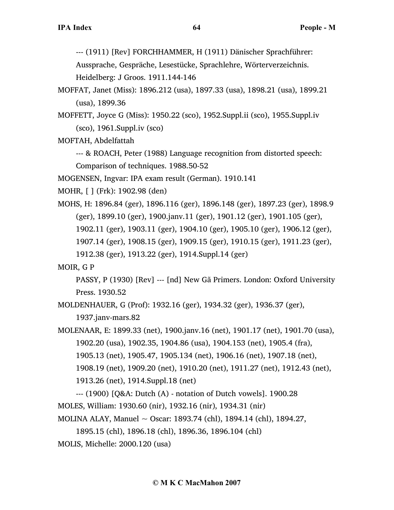--- (1911) [Rev] FORCHHAMMER, H (1911) Dänischer Sprachführer:

Aussprache, Gespräche, Lesestücke, Sprachlehre, Wörterverzeichnis. Heidelberg: J Groos. 1911.144-146

- MOFFAT, Janet (Miss): 1896.212 (usa), 1897.33 (usa), 1898.21 (usa), 1899.21 (usa), 1899.36
- MOFFETT, Joyce G (Miss): 1950.22 (sco), 1952.Suppl.ii (sco), 1955.Suppl.iv (sco), 1961.Suppl.iv (sco)

MOFTAH, Abdelfattah

--- & ROACH, Peter (1988) Language recognition from distorted speech: Comparison of techniques. 1988.50-52

MOGENSEN, Ingvar: IPA exam result (German). 1910.141

MOHR, [ ] (Frk): 1902.98 (den)

MOHS, H: 1896.84 (ger), 1896.116 (ger), 1896.148 (ger), 1897.23 (ger), 1898.9 (ger), 1899.10 (ger), 1900.janv.11 (ger), 1901.12 (ger), 1901.105 (ger), 1902.11 (ger), 1903.11 (ger), 1904.10 (ger), 1905.10 (ger), 1906.12 (ger), 1907.14 (ger), 1908.15 (ger), 1909.15 (ger), 1910.15 (ger), 1911.23 (ger), 1912.38 (ger), 1913.22 (ger), 1914.Suppl.14 (ger)

MOIR, G P

PASSY, P (1930) [Rev] --- [nd] New Gã Primers. London: Oxford University Press. 1930.52

MOLDENHAUER, G (Prof): 1932.16 (ger), 1934.32 (ger), 1936.37 (ger), 1937.janv-mars.82

MOLENAAR, E: 1899.33 (net), 1900.janv.16 (net), 1901.17 (net), 1901.70 (usa), 1902.20 (usa), 1902.35, 1904.86 (usa), 1904.153 (net), 1905.4 (fra), 1905.13 (net), 1905.47, 1905.134 (net), 1906.16 (net), 1907.18 (net), 1908.19 (net), 1909.20 (net), 1910.20 (net), 1911.27 (net), 1912.43 (net), 1913.26 (net), 1914.Suppl.18 (net)

--- (1900) [Q&A: Dutch (A) - notation of Dutch vowels]. 1900.28 MOLES, William: 1930.60 (nir), 1932.16 (nir), 1934.31 (nir) MOLINA ALAY, Manuel  $\sim$  Oscar: 1893.74 (chl), 1894.14 (chl), 1894.27,

1895.15 (chl), 1896.18 (chl), 1896.36, 1896.104 (chl) MOLIS, Michelle: 2000.120 (usa)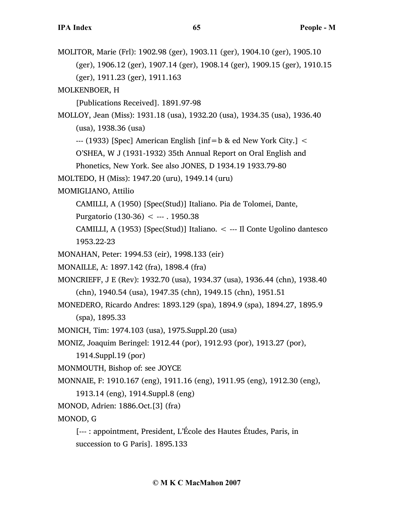MOLITOR, Marie (Frl): 1902.98 (ger), 1903.11 (ger), 1904.10 (ger), 1905.10 (ger), 1906.12 (ger), 1907.14 (ger), 1908.14 (ger), 1909.15 (ger), 1910.15 (ger), 1911.23 (ger), 1911.163

MOLKENBOER, H

[Publications Received]. 1891.97-98

MOLLOY, Jean (Miss): 1931.18 (usa), 1932.20 (usa), 1934.35 (usa), 1936.40 (usa), 1938.36 (usa)

 $-$ -- (1933) [Spec] American English [inf=b & ed New York City.]  $\leq$ 

O'SHEA, W J (1931-1932) 35th Annual Report on Oral English and

Phonetics, New York. See also JONES, D 1934.19 1933.79-80

MOLTEDO, H (Miss): 1947.20 (uru), 1949.14 (uru)

MOMIGLIANO, Attilio

CAMILLI, A (1950) [Spec(Stud)] Italiano. Pia de Tolomei, Dante,

Purgatorio (130-36) < --- . 1950.38

CAMILLI, A (1953) [Spec(Stud)] Italiano. < --- Il Conte Ugolino dantesco 1953.22-23

MONAHAN, Peter: 1994.53 (eir), 1998.133 (eir)

MONAILLE, A: 1897.142 (fra), 1898.4 (fra)

MONCRIEFF, J E (Rev): 1932.70 (usa), 1934.37 (usa), 1936.44 (chn), 1938.40 (chn), 1940.54 (usa), 1947.35 (chn), 1949.15 (chn), 1951.51

MONEDERO, Ricardo Andres: 1893.129 (spa), 1894.9 (spa), 1894.27, 1895.9 (spa), 1895.33

MONICH, Tim: 1974.103 (usa), 1975.Suppl.20 (usa)

MONIZ, Joaquim Beringel: 1912.44 (por), 1912.93 (por), 1913.27 (por),

1914.Suppl.19 (por)

MONMOUTH, Bishop of: see JOYCE

MONNAIE, F: 1910.167 (eng), 1911.16 (eng), 1911.95 (eng), 1912.30 (eng),

1913.14 (eng), 1914.Suppl.8 (eng)

MONOD, Adrien: 1886.Oct.[3] (fra)

MONOD, G

[--- : appointment, President, L'École des Hautes Études, Paris, in succession to G Paris]. 1895.133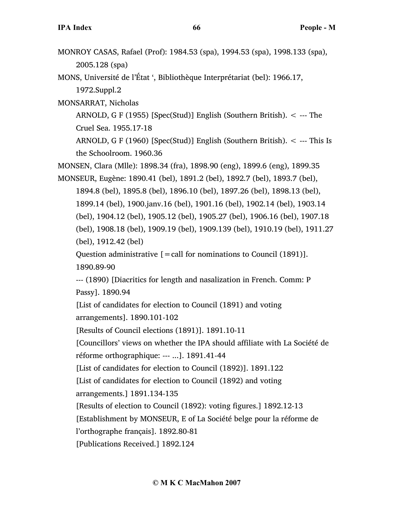MONROY CASAS, Rafael (Prof): 1984.53 (spa), 1994.53 (spa), 1998.133 (spa), 2005.128 (spa)

MONS, Université de l'État ', Bibliothèque Interprétariat (bel): 1966.17, 1972.Suppl.2

MONSARRAT, Nicholas

ARNOLD, G F (1955) [Spec(Stud)] English (Southern British). < --- The Cruel Sea. 1955.17-18

ARNOLD, G F (1960) [Spec(Stud)] English (Southern British). < --- This Is the Schoolroom. 1960.36

MONSEN, Clara (Mlle): 1898.34 (fra), 1898.90 (eng), 1899.6 (eng), 1899.35

MONSEUR, Eugène: 1890.41 (bel), 1891.2 (bel), 1892.7 (bel), 1893.7 (bel), 1894.8 (bel), 1895.8 (bel), 1896.10 (bel), 1897.26 (bel), 1898.13 (bel), 1899.14 (bel), 1900.janv.16 (bel), 1901.16 (bel), 1902.14 (bel), 1903.14 (bel), 1904.12 (bel), 1905.12 (bel), 1905.27 (bel), 1906.16 (bel), 1907.18 (bel), 1908.18 (bel), 1909.19 (bel), 1909.139 (bel), 1910.19 (bel), 1911.27 (bel), 1912.42 (bel)

Question administrative  $[=$  call for nominations to Council (1891)]. 1890.89-90

--- (1890) [Diacritics for length and nasalization in French. Comm: P Passy]. 1890.94

[List of candidates for election to Council (1891) and voting arrangements]. 1890.101-102

[Results of Council elections (1891)]. 1891.10-11

[Councillors' views on whether the IPA should affiliate with La Société de réforme orthographique: --- ...]. 1891.41-44

[List of candidates for election to Council (1892)]. 1891.122

[List of candidates for election to Council (1892) and voting

arrangements.] 1891.134-135

[Results of election to Council (1892): voting figures.] 1892.12-13

[Establishment by MONSEUR, E of La Société belge pour la réforme de

l'orthographe français]. 1892.80-81

[Publications Received.] 1892.124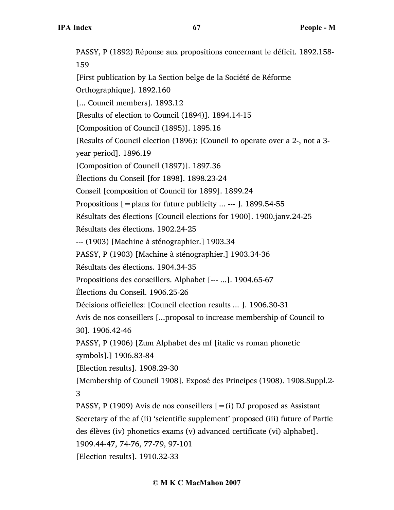PASSY, P (1892) Réponse aux propositions concernant le déficit. 1892.158- 159 [First publication by La Section belge de la Société de Réforme Orthographique]. 1892.160 [... Council members]. 1893.12 [Results of election to Council (1894)]. 1894.14-15 [Composition of Council (1895)]. 1895.16 [Results of Council election (1896): [Council to operate over a 2-, not a 3 year period]. 1896.19 [Composition of Council (1897)]. 1897.36 Élections du Conseil [for 1898]. 1898.23-24 Conseil [composition of Council for 1899]. 1899.24 Propositions  $[=$  plans for future publicity ... --- ]. 1899.54-55 Résultats des élections [Council elections for 1900]. 1900.janv.24-25 Résultats des élections. 1902.24-25 --- (1903) [Machine à sténographier.] 1903.34 PASSY, P (1903) [Machine à sténographier.] 1903.34-36 Résultats des élections. 1904.34-35 Propositions des conseillers. Alphabet [--- ...]. 1904.65-67 Élections du Conseil. 1906.25-26 Décisions officielles: [Council election results ... ]. 1906.30-31 Avis de nos conseillers [...proposal to increase membership of Council to 30]. 1906.42-46 PASSY, P (1906) [Zum Alphabet des mf [italic vs roman phonetic symbols].] 1906.83-84 [Election results]. 1908.29-30 [Membership of Council 1908]. Exposé des Principes (1908). 1908.Suppl.2- 3 PASSY, P (1909) Avis de nos conseillers  $[=(i)$  DJ proposed as Assistant Secretary of the af (ii) 'scientific supplement' proposed (iii) future of Partie des élèves (iv) phonetics exams (v) advanced certificate (vi) alphabet]. 1909.44-47, 74-76, 77-79, 97-101 [Election results]. 1910.32-33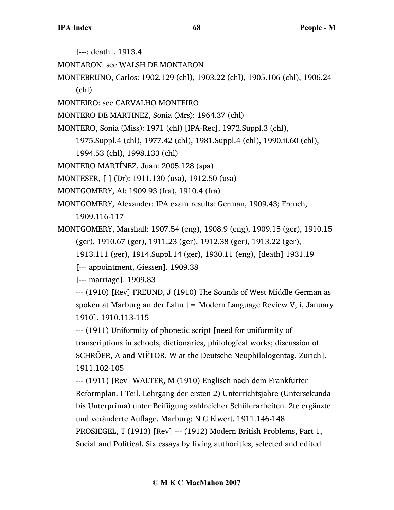[---: death]. 1913.4

MONTARON: see WALSH DE MONTARON

- MONTEBRUNO, Carlos: 1902.129 (chl), 1903.22 (chl), 1905.106 (chl), 1906.24 (chl)
- MONTEIRO: see CARVALHO MONTEIRO
- MONTERO DE MARTINEZ, Sonia (Mrs): 1964.37 (chl)

MONTERO, Sonia (Miss): 1971 (chl) [IPA-Rec], 1972.Suppl.3 (chl),

- 1975.Suppl.4 (chl), 1977.42 (chl), 1981.Suppl.4 (chl), 1990.ii.60 (chl),
- 1994.53 (chl), 1998.133 (chl)

MONTERO MARTÍNEZ, Juan: 2005.128 (spa)

MONTESER, [ ] (Dr): 1911.130 (usa), 1912.50 (usa)

MONTGOMERY, Al: 1909.93 (fra), 1910.4 (fra)

MONTGOMERY, Alexander: IPA exam results: German, 1909.43; French,

1909.116-117

MONTGOMERY, Marshall: 1907.54 (eng), 1908.9 (eng), 1909.15 (ger), 1910.15 (ger), 1910.67 (ger), 1911.23 (ger), 1912.38 (ger), 1913.22 (ger),

1913.111 (ger), 1914.Suppl.14 (ger), 1930.11 (eng), [death] 1931.19

[--- appointment, Giessen]. 1909.38

[--- marriage]. 1909.83

--- (1910) [Rev] FREUND, J (1910) The Sounds of West Middle German as spoken at Marburg an der Lahn  $=$  Modern Language Review V, i, January 1910]. 1910.113-115

--- (1911) Uniformity of phonetic script [need for uniformity of transcriptions in schools, dictionaries, philological works; discussion of SCHRÖER, A and VIËTOR, W at the Deutsche Neuphilologentag, Zurich]. 1911.102-105

--- (1911) [Rev] WALTER, M (1910) Englisch nach dem Frankfurter Reformplan. I Teil. Lehrgang der ersten 2) Unterrichtsjahre (Untersekunda bis Unterprima) unter Beifügung zahlreicher Schülerarbeiten. 2te ergänzte und veränderte Auflage. Marburg: N G Elwert. 1911.146-148 PROSIEGEL, T (1913) [Rev] --- (1912) Modern British Problems, Part 1, Social and Political. Six essays by living authorities, selected and edited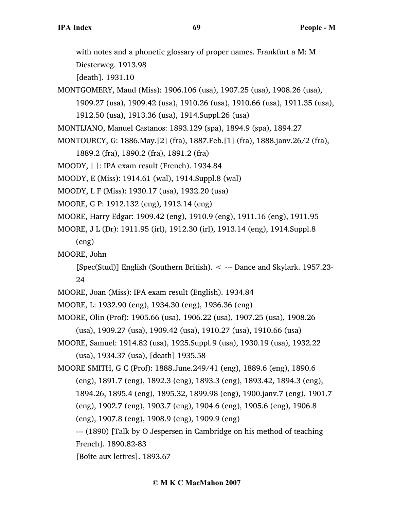with notes and a phonetic glossary of proper names. Frankfurt a M: M

Diesterweg. 1913.98

[death]. 1931.10

- MONTGOMERY, Maud (Miss): 1906.106 (usa), 1907.25 (usa), 1908.26 (usa), 1909.27 (usa), 1909.42 (usa), 1910.26 (usa), 1910.66 (usa), 1911.35 (usa),
	- 1912.50 (usa), 1913.36 (usa), 1914.Suppl.26 (usa)
- MONTIJANO, Manuel Castanos: 1893.129 (spa), 1894.9 (spa), 1894.27
- MONTOURCY, G: 1886.May.[2] (fra), 1887.Feb.[1] (fra), 1888.janv.26/2 (fra),
	- 1889.2 (fra), 1890.2 (fra), 1891.2 (fra)
- MOODY, [ ]: IPA exam result (French). 1934.84
- MOODY, E (Miss): 1914.61 (wal), 1914.Suppl.8 (wal)
- MOODY, L F (Miss): 1930.17 (usa), 1932.20 (usa)
- MOORE, G P: 1912.132 (eng), 1913.14 (eng)
- MOORE, Harry Edgar: 1909.42 (eng), 1910.9 (eng), 1911.16 (eng), 1911.95
- MOORE, J L (Dr): 1911.95 (irl), 1912.30 (irl), 1913.14 (eng), 1914.Suppl.8
	- (eng)

MOORE, John

[Spec(Stud)] English (Southern British). < --- Dance and Skylark. 1957.23- 24

- MOORE, Joan (Miss): IPA exam result (English). 1934.84
- MOORE, L: 1932.90 (eng), 1934.30 (eng), 1936.36 (eng)
- MOORE, Olin (Prof): 1905.66 (usa), 1906.22 (usa), 1907.25 (usa), 1908.26 (usa), 1909.27 (usa), 1909.42 (usa), 1910.27 (usa), 1910.66 (usa)
- MOORE, Samuel: 1914.82 (usa), 1925.Suppl.9 (usa), 1930.19 (usa), 1932.22 (usa), 1934.37 (usa), [death] 1935.58
- MOORE SMITH, G C (Prof): 1888.June.249/41 (eng), 1889.6 (eng), 1890.6 (eng), 1891.7 (eng), 1892.3 (eng), 1893.3 (eng), 1893.42, 1894.3 (eng), 1894.26, 1895.4 (eng), 1895.32, 1899.98 (eng), 1900.janv.7 (eng), 1901.7 (eng), 1902.7 (eng), 1903.7 (eng), 1904.6 (eng), 1905.6 (eng), 1906.8 (eng), 1907.8 (eng), 1908.9 (eng), 1909.9 (eng) --- (1890) [Talk by O Jespersen in Cambridge on his method of teaching
	- French]. 1890.82-83
	- [Boîte aux lettres]. 1893.67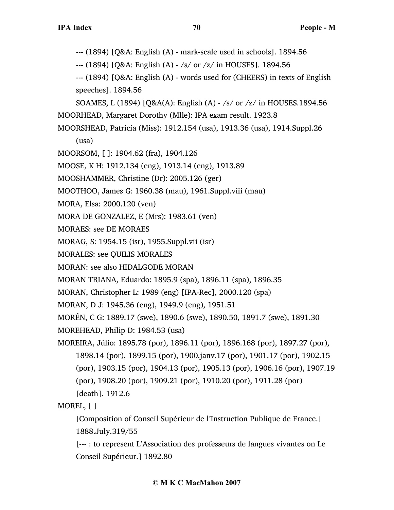--- (1894) [Q&A: English (A) - mark-scale used in schools]. 1894.56

--- (1894) [Q&A: English (A) - /s/ or /z/ in HOUSES]. 1894.56

- --- (1894) [Q&A: English (A) words used for (CHEERS) in texts of English speeches]. 1894.56
- SOAMES, L (1894) [Q&A(A): English (A) /s/ or /z/ in HOUSES.1894.56 MOORHEAD, Margaret Dorothy (Mlle): IPA exam result. 1923.8
- MOORSHEAD, Patricia (Miss): 1912.154 (usa), 1913.36 (usa), 1914.Suppl.26
	- (usa)
- MOORSOM, [ ]: 1904.62 (fra), 1904.126
- MOOSE, K H: 1912.134 (eng), 1913.14 (eng), 1913.89
- MOOSHAMMER, Christine (Dr): 2005.126 (ger)
- MOOTHOO, James G: 1960.38 (mau), 1961.Suppl.viii (mau)
- MORA, Elsa: 2000.120 (ven)
- MORA DE GONZALEZ, E (Mrs): 1983.61 (ven)
- MORAES: see DE MORAES
- MORAG, S: 1954.15 (isr), 1955.Suppl.vii (isr)
- MORALES: see QUILIS MORALES
- MORAN: see also HIDALGODE MORAN
- MORAN TRIANA, Eduardo: 1895.9 (spa), 1896.11 (spa), 1896.35
- MORAN, Christopher L: 1989 (eng) [IPA-Rec], 2000.120 (spa)
- MORAN, D J: 1945.36 (eng), 1949.9 (eng), 1951.51
- MORÉN, C G: 1889.17 (swe), 1890.6 (swe), 1890.50, 1891.7 (swe), 1891.30
- MOREHEAD, Philip D: 1984.53 (usa)
- MOREIRA, Júlio: 1895.78 (por), 1896.11 (por), 1896.168 (por), 1897.27 (por), 1898.14 (por), 1899.15 (por), 1900.janv.17 (por), 1901.17 (por), 1902.15 (por), 1903.15 (por), 1904.13 (por), 1905.13 (por), 1906.16 (por), 1907.19 (por), 1908.20 (por), 1909.21 (por), 1910.20 (por), 1911.28 (por) [death]. 1912.6
- MOREL, [ ]
	- [Composition of Conseil Supérieur de l'Instruction Publique de France.] 1888.July.319/55
	- [--- : to represent L'Association des professeurs de langues vivantes on Le Conseil Supérieur.] 1892.80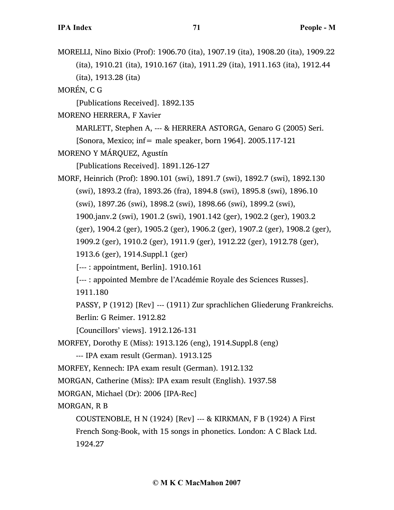MORELLI, Nino Bixio (Prof): 1906.70 (ita), 1907.19 (ita), 1908.20 (ita), 1909.22 (ita), 1910.21 (ita), 1910.167 (ita), 1911.29 (ita), 1911.163 (ita), 1912.44 (ita), 1913.28 (ita)

MORÉN, C G

[Publications Received]. 1892.135

MORENO HERRERA, F Xavier

MARLETT, Stephen A, --- & HERRERA ASTORGA, Genaro G (2005) Seri.

[Sonora, Mexico; inf= male speaker, born 1964].  $2005.117-121$ 

MORENO Y MÁRQUEZ, Agustín

[Publications Received]. 1891.126-127

MORF, Heinrich (Prof): 1890.101 (swi), 1891.7 (swi), 1892.7 (swi), 1892.130 (swi), 1893.2 (fra), 1893.26 (fra), 1894.8 (swi), 1895.8 (swi), 1896.10 (swi), 1897.26 (swi), 1898.2 (swi), 1898.66 (swi), 1899.2 (swi), 1900.janv.2 (swi), 1901.2 (swi), 1901.142 (ger), 1902.2 (ger), 1903.2 (ger), 1904.2 (ger), 1905.2 (ger), 1906.2 (ger), 1907.2 (ger), 1908.2 (ger), 1909.2 (ger), 1910.2 (ger), 1911.9 (ger), 1912.22 (ger), 1912.78 (ger), 1913.6 (ger), 1914.Suppl.1 (ger)

[--- : appointment, Berlin]. 1910.161

[--- : appointed Membre de l'Académie Royale des Sciences Russes].

1911.180

PASSY, P (1912) [Rev] --- (1911) Zur sprachlichen Gliederung Frankreichs.

Berlin: G Reimer. 1912.82

[Councillors' views]. 1912.126-131

MORFEY, Dorothy E (Miss): 1913.126 (eng), 1914.Suppl.8 (eng)

--- IPA exam result (German). 1913.125

MORFEY, Kennech: IPA exam result (German). 1912.132

MORGAN, Catherine (Miss): IPA exam result (English). 1937.58

MORGAN, Michael (Dr): 2006 [IPA-Rec]

MORGAN, R B

COUSTENOBLE, H N (1924) [Rev] --- & KIRKMAN, F B (1924) A First French Song-Book, with 15 songs in phonetics. London: A C Black Ltd. 1924.27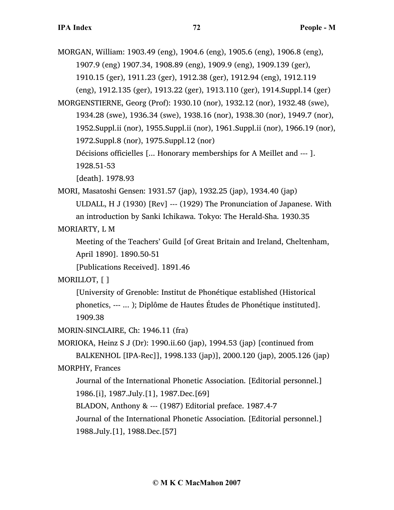MORGAN, William: 1903.49 (eng), 1904.6 (eng), 1905.6 (eng), 1906.8 (eng), 1907.9 (eng) 1907.34, 1908.89 (eng), 1909.9 (eng), 1909.139 (ger), 1910.15 (ger), 1911.23 (ger), 1912.38 (ger), 1912.94 (eng), 1912.119 (eng), 1912.135 (ger), 1913.22 (ger), 1913.110 (ger), 1914.Suppl.14 (ger) MORGENSTIERNE, Georg (Prof): 1930.10 (nor), 1932.12 (nor), 1932.48 (swe), 1934.28 (swe), 1936.34 (swe), 1938.16 (nor), 1938.30 (nor), 1949.7 (nor),

1952.Suppl.ii (nor), 1955.Suppl.ii (nor), 1961.Suppl.ii (nor), 1966.19 (nor), 1972.Suppl.8 (nor), 1975.Suppl.12 (nor)

Décisions officielles [... Honorary memberships for A Meillet and --- ]. 1928.51-53

[death]. 1978.93

MORI, Masatoshi Gensen: 1931.57 (jap), 1932.25 (jap), 1934.40 (jap) ULDALL, H J (1930) [Rev] --- (1929) The Pronunciation of Japanese. With an introduction by Sanki Ichikawa. Tokyo: The Herald-Sha. 1930.35

MORIARTY, L M

Meeting of the Teachers' Guild [of Great Britain and Ireland, Cheltenham, April 1890]. 1890.50-51

[Publications Received]. 1891.46

MORILLOT, [ ]

[University of Grenoble: Institut de Phonétique established (Historical phonetics, --- ... ); Diplôme de Hautes Études de Phonétique instituted]. 1909.38

MORIN-SINCLAIRE, Ch: 1946.11 (fra)

MORIOKA, Heinz S J (Dr): 1990.ii.60 (jap), 1994.53 (jap) [continued from BALKENHOL [IPA-Rec]], 1998.133 (jap)], 2000.120 (jap), 2005.126 (jap) MORPHY, Frances

Journal of the International Phonetic Association. [Editorial personnel.] 1986.[i], 1987.July.[1], 1987.Dec.[69]

BLADON, Anthony & --- (1987) Editorial preface. 1987.4-7

Journal of the International Phonetic Association. [Editorial personnel.]

1988.July.[1], 1988.Dec.[57]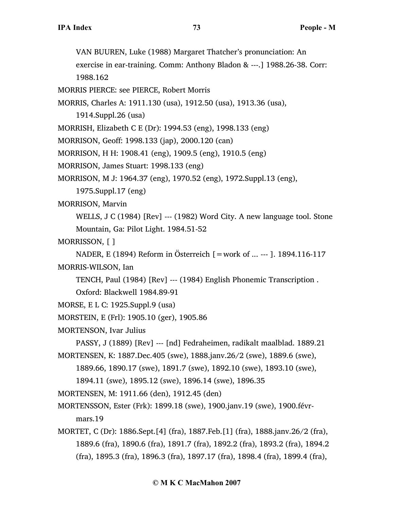VAN BUUREN, Luke (1988) Margaret Thatcher's pronunciation: An

exercise in ear-training. Comm: Anthony Bladon & ---.] 1988.26-38. Corr:

1988.162

MORRIS PIERCE: see PIERCE, Robert Morris

MORRIS, Charles A: 1911.130 (usa), 1912.50 (usa), 1913.36 (usa),

1914.Suppl.26 (usa)

MORRISH, Elizabeth C E (Dr): 1994.53 (eng), 1998.133 (eng)

MORRISON, Geoff: 1998.133 (jap), 2000.120 (can)

MORRISON, H H: 1908.41 (eng), 1909.5 (eng), 1910.5 (eng)

MORRISON, James Stuart: 1998.133 (eng)

MORRISON, M J: 1964.37 (eng), 1970.52 (eng), 1972.Suppl.13 (eng),

1975.Suppl.17 (eng)

MORRISON, Marvin

WELLS, J C (1984) [Rev] --- (1982) Word City. A new language tool. Stone Mountain, Ga: Pilot Light. 1984.51-52

MORRISSON, [ ]

NADER, E (1894) Reform in Österreich [=work of ... --- ]. 1894.116-117 MORRIS-WILSON, Ian

TENCH, Paul (1984) [Rev] --- (1984) English Phonemic Transcription .

Oxford: Blackwell 1984.89-91

```
MORSE, E L C: 1925.Suppl.9 (usa)
```
- MORSTEIN, E (Frl): 1905.10 (ger), 1905.86
- MORTENSON, Ivar Julius

PASSY, J (1889) [Rev] --- [nd] Fedraheimen, radikalt maalblad. 1889.21 MORTENSEN, K: 1887.Dec.405 (swe), 1888.janv.26/2 (swe), 1889.6 (swe),

1889.66, 1890.17 (swe), 1891.7 (swe), 1892.10 (swe), 1893.10 (swe),

1894.11 (swe), 1895.12 (swe), 1896.14 (swe), 1896.35

MORTENSEN, M: 1911.66 (den), 1912.45 (den)

MORTENSSON, Ester (Frk): 1899.18 (swe), 1900.janv.19 (swe), 1900.févrmars.19

MORTET, C (Dr): 1886.Sept.[4] (fra), 1887.Feb.[1] (fra), 1888.janv.26/2 (fra), 1889.6 (fra), 1890.6 (fra), 1891.7 (fra), 1892.2 (fra), 1893.2 (fra), 1894.2 (fra), 1895.3 (fra), 1896.3 (fra), 1897.17 (fra), 1898.4 (fra), 1899.4 (fra),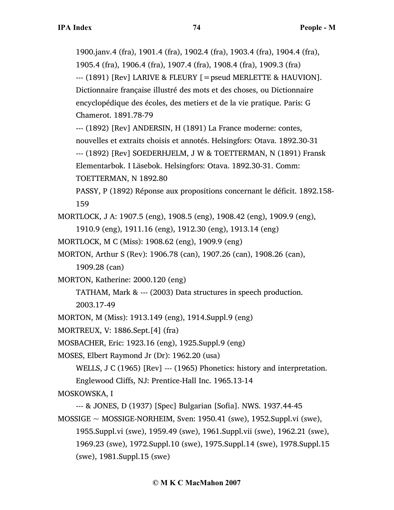1900.janv.4 (fra), 1901.4 (fra), 1902.4 (fra), 1903.4 (fra), 1904.4 (fra), 1905.4 (fra), 1906.4 (fra), 1907.4 (fra), 1908.4 (fra), 1909.3 (fra) --- (1891) [Rev] LARIVE & FLEURY [=pseud MERLETTE & HAUVION]. Dictionnaire française illustré des mots et des choses, ou Dictionnaire encyclopédique des écoles, des metiers et de la vie pratique. Paris: G Chamerot. 1891.78-79

--- (1892) [Rev] ANDERSIN, H (1891) La France moderne: contes,

nouvelles et extraits choisis et annotés. Helsingfors: Otava. 1892.30-31

--- (1892) [Rev] SOEDERHJELM, J W & TOETTERMAN, N (1891) Fransk

Elementarbok. I Läsebok. Helsingfors: Otava. 1892.30-31. Comm:

TOETTERMAN, N 1892.80

PASSY, P (1892) Réponse aux propositions concernant le déficit. 1892.158- 159

MORTLOCK, J A: 1907.5 (eng), 1908.5 (eng), 1908.42 (eng), 1909.9 (eng),

1910.9 (eng), 1911.16 (eng), 1912.30 (eng), 1913.14 (eng)

MORTLOCK, M C (Miss): 1908.62 (eng), 1909.9 (eng)

MORTON, Arthur S (Rev): 1906.78 (can), 1907.26 (can), 1908.26 (can),

1909.28 (can)

MORTON, Katherine: 2000.120 (eng)

TATHAM, Mark & --- (2003) Data structures in speech production. 2003.17-49

MORTON, M (Miss): 1913.149 (eng), 1914.Suppl.9 (eng)

MORTREUX, V: 1886.Sept.[4] (fra)

MOSBACHER, Eric: 1923.16 (eng), 1925.Suppl.9 (eng)

MOSES, Elbert Raymond Jr (Dr): 1962.20 (usa)

WELLS, J C (1965) [Rev] --- (1965) Phonetics: history and interpretation. Englewood Cliffs, NJ: Prentice-Hall Inc. 1965.13-14

MOSKOWSKA, I

--- & JONES, D (1937) [Spec] Bulgarian [Sofia]. NWS. 1937.44-45  $MOSSIGE \sim MOSSIGE-NORHEIM$ , Sven: 1950.41 (swe), 1952.Suppl.vi (swe),

1955.Suppl.vi (swe), 1959.49 (swe), 1961.Suppl.vii (swe), 1962.21 (swe), 1969.23 (swe), 1972.Suppl.10 (swe), 1975.Suppl.14 (swe), 1978.Suppl.15 (swe), 1981.Suppl.15 (swe)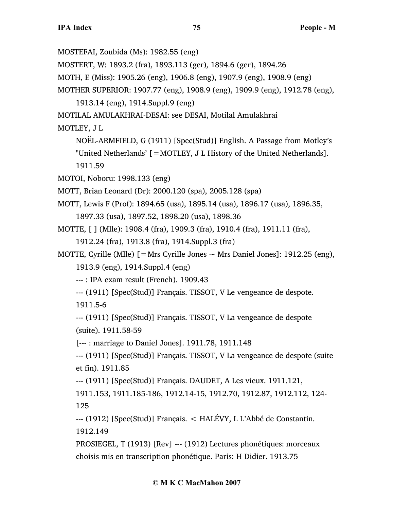MOSTEFAI, Zoubida (Ms): 1982.55 (eng)

MOSTERT, W: 1893.2 (fra), 1893.113 (ger), 1894.6 (ger), 1894.26

MOTH, E (Miss): 1905.26 (eng), 1906.8 (eng), 1907.9 (eng), 1908.9 (eng)

MOTHER SUPERIOR: 1907.77 (eng), 1908.9 (eng), 1909.9 (eng), 1912.78 (eng),

1913.14 (eng), 1914.Suppl.9 (eng)

MOTILAL AMULAKHRAI-DESAI: see DESAI, Motilal Amulakhrai

MOTLEY, J L

NOËL-ARMFIELD, G (1911) [Spec(Stud)] English. A Passage from Motley's "United Netherlands' [=MOTLEY, J L History of the United Netherlands]. 1911.59

MOTOI, Noboru: 1998.133 (eng)

MOTT, Brian Leonard (Dr): 2000.120 (spa), 2005.128 (spa)

MOTT, Lewis F (Prof): 1894.65 (usa), 1895.14 (usa), 1896.17 (usa), 1896.35, 1897.33 (usa), 1897.52, 1898.20 (usa), 1898.36

MOTTE, [ ] (Mlle): 1908.4 (fra), 1909.3 (fra), 1910.4 (fra), 1911.11 (fra), 1912.24 (fra), 1913.8 (fra), 1914.Suppl.3 (fra)

MOTTE, Cyrille (Mlle)  $[=$  Mrs Cyrille Jones  $\sim$  Mrs Daniel Jones]: 1912.25 (eng),

1913.9 (eng), 1914.Suppl.4 (eng)

--- : IPA exam result (French). 1909.43

--- (1911) [Spec(Stud)] Français. TISSOT, V Le vengeance de despote.

1911.5-6

--- (1911) [Spec(Stud)] Français. TISSOT, V La vengeance de despote (suite). 1911.58-59

[--- : marriage to Daniel Jones]. 1911.78, 1911.148

--- (1911) [Spec(Stud)] Français. TISSOT, V La vengeance de despote (suite et fin). 1911.85

--- (1911) [Spec(Stud)] Français. DAUDET, A Les vieux. 1911.121,

1911.153, 1911.185-186, 1912.14-15, 1912.70, 1912.87, 1912.112, 124- 125

--- (1912) [Spec(Stud)] Français. < HALÉVY, L L'Abbé de Constantin. 1912.149

PROSIEGEL, T (1913) [Rev] --- (1912) Lectures phonétiques: morceaux choisis mis en transcription phonétique. Paris: H Didier. 1913.75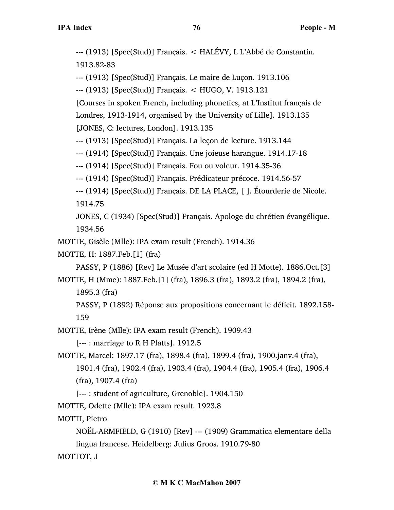--- (1913) [Spec(Stud)] Français. < HALÉVY, L L'Abbé de Constantin. 1913.82-83

--- (1913) [Spec(Stud)] Français. Le maire de Luçon. 1913.106

--- (1913) [Spec(Stud)] Français. < HUGO, V. 1913.121

[Courses in spoken French, including phonetics, at L'Institut français de Londres, 1913-1914, organised by the University of Lille]. 1913.135

[JONES, C: lectures, London]. 1913.135

--- (1913) [Spec(Stud)] Français. La leçon de lecture. 1913.144

--- (1914) [Spec(Stud)] Français. Une joieuse harangue. 1914.17-18

--- (1914) [Spec(Stud)] Français. Fou ou voleur. 1914.35-36

--- (1914) [Spec(Stud)] Français. Prédicateur précoce. 1914.56-57

--- (1914) [Spec(Stud)] Français. DE LA PLACE, [ ]. Étourderie de Nicole. 1914.75

JONES, C (1934) [Spec(Stud)] Français. Apologe du chrétien évangélique. 1934.56

MOTTE, Gisèle (Mlle): IPA exam result (French). 1914.36

MOTTE, H: 1887.Feb.[1] (fra)

PASSY, P (1886) [Rev] Le Musée d'art scolaire (ed H Motte). 1886.Oct.[3]

MOTTE, H (Mme): 1887.Feb.[1] (fra), 1896.3 (fra), 1893.2 (fra), 1894.2 (fra), 1895.3 (fra)

PASSY, P (1892) Réponse aux propositions concernant le déficit. 1892.158- 159

MOTTE, Irène (Mlle): IPA exam result (French). 1909.43

[--- : marriage to R H Platts]. 1912.5

MOTTE, Marcel: 1897.17 (fra), 1898.4 (fra), 1899.4 (fra), 1900.janv.4 (fra),

1901.4 (fra), 1902.4 (fra), 1903.4 (fra), 1904.4 (fra), 1905.4 (fra), 1906.4 (fra), 1907.4 (fra)

[--- : student of agriculture, Grenoble]. 1904.150

MOTTE, Odette (Mlle): IPA exam result. 1923.8

MOTTI, Pietro

NOËL-ARMFIELD, G (1910) [Rev] --- (1909) Grammatica elementare della lingua francese. Heidelberg: Julius Groos. 1910.79-80

MOTTOT, J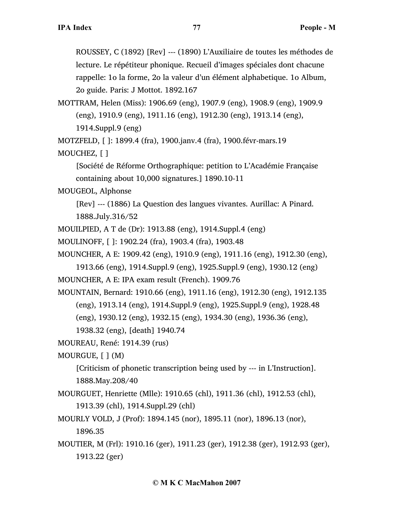ROUSSEY, C (1892) [Rev] --- (1890) L'Auxiliaire de toutes les méthodes de lecture. Le répétiteur phonique. Recueil d'images spéciales dont chacune rappelle: 1o la forme, 2o la valeur d'un élément alphabetique. 1o Album, 2o guide. Paris: J Mottot. 1892.167

MOTTRAM, Helen (Miss): 1906.69 (eng), 1907.9 (eng), 1908.9 (eng), 1909.9 (eng), 1910.9 (eng), 1911.16 (eng), 1912.30 (eng), 1913.14 (eng), 1914.Suppl.9 (eng)

MOTZFELD, [ ]: 1899.4 (fra), 1900.janv.4 (fra), 1900.févr-mars.19

MOUCHEZ, [ ]

[Société de Réforme Orthographique: petition to L'Académie Française containing about 10,000 signatures.] 1890.10-11

MOUGEOL, Alphonse

[Rev] --- (1886) La Question des langues vivantes. Aurillac: A Pinard. 1888.July.316/52

MOUILPIED, A T de (Dr): 1913.88 (eng), 1914.Suppl.4 (eng)

MOULINOFF, [ ]: 1902.24 (fra), 1903.4 (fra), 1903.48

MOUNCHER, A E: 1909.42 (eng), 1910.9 (eng), 1911.16 (eng), 1912.30 (eng),

1913.66 (eng), 1914.Suppl.9 (eng), 1925.Suppl.9 (eng), 1930.12 (eng)

MOUNCHER, A E: IPA exam result (French). 1909.76

MOUNTAIN, Bernard: 1910.66 (eng), 1911.16 (eng), 1912.30 (eng), 1912.135 (eng), 1913.14 (eng), 1914.Suppl.9 (eng), 1925.Suppl.9 (eng), 1928.48

(eng), 1930.12 (eng), 1932.15 (eng), 1934.30 (eng), 1936.36 (eng),

1938.32 (eng), [death] 1940.74

MOUREAU, René: 1914.39 (rus)

MOURGUE, [ ] (M)

[Criticism of phonetic transcription being used by --- in L'Instruction]. 1888.May.208/40

MOURGUET, Henriette (Mlle): 1910.65 (chl), 1911.36 (chl), 1912.53 (chl), 1913.39 (chl), 1914.Suppl.29 (chl)

MOURLY VOLD, J (Prof): 1894.145 (nor), 1895.11 (nor), 1896.13 (nor),

1896.35

MOUTIER, M (Frl): 1910.16 (ger), 1911.23 (ger), 1912.38 (ger), 1912.93 (ger), 1913.22 (ger)

## **© M K C MacMahon 2007**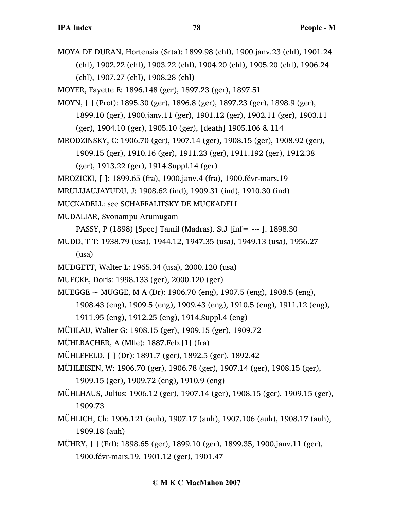MOYA DE DURAN, Hortensia (Srta): 1899.98 (chl), 1900.janv.23 (chl), 1901.24 (chl), 1902.22 (chl), 1903.22 (chl), 1904.20 (chl), 1905.20 (chl), 1906.24 (chl), 1907.27 (chl), 1908.28 (chl)

MOYER, Fayette E: 1896.148 (ger), 1897.23 (ger), 1897.51

MOYN, [ ] (Prof): 1895.30 (ger), 1896.8 (ger), 1897.23 (ger), 1898.9 (ger), 1899.10 (ger), 1900.janv.11 (ger), 1901.12 (ger), 1902.11 (ger), 1903.11 (ger), 1904.10 (ger), 1905.10 (ger), [death] 1905.106 & 114

MRODZINSKY, C: 1906.70 (ger), 1907.14 (ger), 1908.15 (ger), 1908.92 (ger),

1909.15 (ger), 1910.16 (ger), 1911.23 (ger), 1911.192 (ger), 1912.38

(ger), 1913.22 (ger), 1914.Suppl.14 (ger)

MROZICKI, [ ]: 1899.65 (fra), 1900.janv.4 (fra), 1900.févr-mars.19

MRULIJAUJAYUDU, J: 1908.62 (ind), 1909.31 (ind), 1910.30 (ind)

MUCKADELL: see SCHAFFALITSKY DE MUCKADELL

MUDALIAR, Svonampu Arumugam

PASSY, P (1898) [Spec] Tamil (Madras). StJ [inf= --- ]. 1898.30

MUDD, T T: 1938.79 (usa), 1944.12, 1947.35 (usa), 1949.13 (usa), 1956.27 (usa)

- MUDGETT, Walter L: 1965.34 (usa), 2000.120 (usa)
- MUECKE, Doris: 1998.133 (ger), 2000.120 (ger)

MUEGGE ~ MUGGE, M A (Dr): 1906.70 (eng), 1907.5 (eng), 1908.5 (eng),

1908.43 (eng), 1909.5 (eng), 1909.43 (eng), 1910.5 (eng), 1911.12 (eng),

1911.95 (eng), 1912.25 (eng), 1914.Suppl.4 (eng)

MÜHLAU, Walter G: 1908.15 (ger), 1909.15 (ger), 1909.72

MÜHLBACHER, A (Mlle): 1887.Feb.[1] (fra)

MÜHLEFELD, [ ] (Dr): 1891.7 (ger), 1892.5 (ger), 1892.42

MÜHLEISEN, W: 1906.70 (ger), 1906.78 (ger), 1907.14 (ger), 1908.15 (ger), 1909.15 (ger), 1909.72 (eng), 1910.9 (eng)

MÜHLHAUS, Julius: 1906.12 (ger), 1907.14 (ger), 1908.15 (ger), 1909.15 (ger), 1909.73

MÜHLICH, Ch: 1906.121 (auh), 1907.17 (auh), 1907.106 (auh), 1908.17 (auh), 1909.18 (auh)

MÜHRY, [ ] (Frl): 1898.65 (ger), 1899.10 (ger), 1899.35, 1900.janv.11 (ger), 1900.févr-mars.19, 1901.12 (ger), 1901.47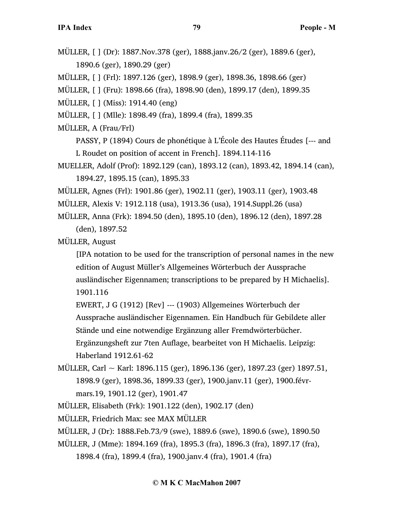MÜLLER, [ ] (Dr): 1887.Nov.378 (ger), 1888.janv.26/2 (ger), 1889.6 (ger), 1890.6 (ger), 1890.29 (ger)

MÜLLER, [ ] (Frl): 1897.126 (ger), 1898.9 (ger), 1898.36, 1898.66 (ger)

MÜLLER, [ ] (Fru): 1898.66 (fra), 1898.90 (den), 1899.17 (den), 1899.35

MÜLLER, [ ] (Miss): 1914.40 (eng)

- MÜLLER, [ ] (Mlle): 1898.49 (fra), 1899.4 (fra), 1899.35
- MÜLLER, A (Frau/Frl)
	- PASSY, P (1894) Cours de phonétique à L'École des Hautes Études [--- and L Roudet on position of accent in French]. 1894.114-116
- MUELLER, Adolf (Prof): 1892.129 (can), 1893.12 (can), 1893.42, 1894.14 (can), 1894.27, 1895.15 (can), 1895.33
- MÜLLER, Agnes (Frl): 1901.86 (ger), 1902.11 (ger), 1903.11 (ger), 1903.48
- MÜLLER, Alexis V: 1912.118 (usa), 1913.36 (usa), 1914.Suppl.26 (usa)
- MÜLLER, Anna (Frk): 1894.50 (den), 1895.10 (den), 1896.12 (den), 1897.28 (den), 1897.52

MÜLLER, August

- [IPA notation to be used for the transcription of personal names in the new edition of August Müller's Allgemeines Wörterbuch der Aussprache ausländischer Eigennamen; transcriptions to be prepared by H Michaelis]. 1901.116
- EWERT, J G (1912) [Rev] --- (1903) Allgemeines Wörterbuch der Aussprache ausländischer Eigennamen. Ein Handbuch für Gebildete aller Stände und eine notwendige Ergänzung aller Fremdwörterbücher. Ergänzungsheft zur 7ten Auflage, bearbeitet von H Michaelis. Leipzig:
- Haberland 1912.61-62
- MÜLLER, Carl  $\sim$  Karl: 1896.115 (ger), 1896.136 (ger), 1897.23 (ger) 1897.51, 1898.9 (ger), 1898.36, 1899.33 (ger), 1900.janv.11 (ger), 1900.févrmars.19, 1901.12 (ger), 1901.47
- MÜLLER, Elisabeth (Frk): 1901.122 (den), 1902.17 (den)
- MÜLLER, Friedrich Max: see MAX MÜLLER
- MÜLLER, J (Dr): 1888.Feb.73/9 (swe), 1889.6 (swe), 1890.6 (swe), 1890.50
- MÜLLER, J (Mme): 1894.169 (fra), 1895.3 (fra), 1896.3 (fra), 1897.17 (fra),

1898.4 (fra), 1899.4 (fra), 1900.janv.4 (fra), 1901.4 (fra)

## **© M K C MacMahon 2007**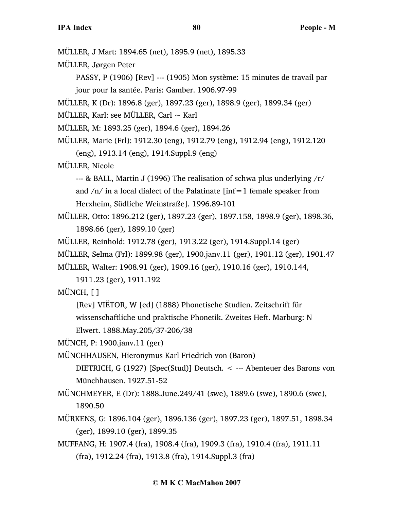MÜLLER, J Mart: 1894.65 (net), 1895.9 (net), 1895.33

MÜLLER, Jørgen Peter

PASSY, P (1906) [Rev] --- (1905) Mon système: 15 minutes de travail par jour pour la santée. Paris: Gamber. 1906.97-99

MÜLLER, K (Dr): 1896.8 (ger), 1897.23 (ger), 1898.9 (ger), 1899.34 (ger)

MÜLLER, Karl: see MÜLLER, Carl  $\sim$  Karl

MÜLLER, M: 1893.25 (ger), 1894.6 (ger), 1894.26

MÜLLER, Marie (Frl): 1912.30 (eng), 1912.79 (eng), 1912.94 (eng), 1912.120 (eng), 1913.14 (eng), 1914.Suppl.9 (eng)

MÜLLER, Nicole

--- & BALL, Martin J (1996) The realisation of schwa plus underlying /r/ and  $/n/$  in a local dialect of the Palatinate [inf=1 female speaker from Herxheim, Südliche Weinstraße]. 1996.89-101

MÜLLER, Otto: 1896.212 (ger), 1897.23 (ger), 1897.158, 1898.9 (ger), 1898.36, 1898.66 (ger), 1899.10 (ger)

MÜLLER, Reinhold: 1912.78 (ger), 1913.22 (ger), 1914.Suppl.14 (ger)

MÜLLER, Selma (Frl): 1899.98 (ger), 1900.janv.11 (ger), 1901.12 (ger), 1901.47

MÜLLER, Walter: 1908.91 (ger), 1909.16 (ger), 1910.16 (ger), 1910.144,

1911.23 (ger), 1911.192

MÜNCH, [ ]

[Rev] VIËTOR, W [ed] (1888) Phonetische Studien. Zeitschrift für wissenschaftliche und praktische Phonetik. Zweites Heft. Marburg: N

Elwert. 1888.May.205/37-206/38

MÜNCH, P: 1900.janv.11 (ger)

MÜNCHHAUSEN, Hieronymus Karl Friedrich von (Baron)

DIETRICH, G (1927) [Spec(Stud)] Deutsch. < --- Abenteuer des Barons von Münchhausen. 1927.51-52

MÜNCHMEYER, E (Dr): 1888.June.249/41 (swe), 1889.6 (swe), 1890.6 (swe), 1890.50

- MÜRKENS, G: 1896.104 (ger), 1896.136 (ger), 1897.23 (ger), 1897.51, 1898.34 (ger), 1899.10 (ger), 1899.35
- MUFFANG, H: 1907.4 (fra), 1908.4 (fra), 1909.3 (fra), 1910.4 (fra), 1911.11 (fra), 1912.24 (fra), 1913.8 (fra), 1914.Suppl.3 (fra)

## **© M K C MacMahon 2007**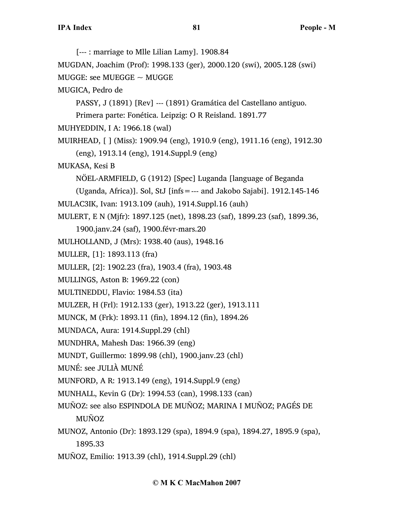[--- : marriage to Mlle Lilian Lamy]. 1908.84 MUGDAN, Joachim (Prof): 1998.133 (ger), 2000.120 (swi), 2005.128 (swi) MUGGE: see MUEGGE  $\sim$  MUGGE MUGICA, Pedro de PASSY, J (1891) [Rev] --- (1891) Gramática del Castellano antiguo. Primera parte: Fonética. Leipzig: O R Reisland. 1891.77 MUHYEDDIN, I A: 1966.18 (wal) MUIRHEAD, [ ] (Miss): 1909.94 (eng), 1910.9 (eng), 1911.16 (eng), 1912.30 (eng), 1913.14 (eng), 1914.Suppl.9 (eng) MUKASA, Kesi B NÖEL-ARMFIELD, G (1912) [Spec] Luganda [language of Beganda (Uganda, Africa)]. Sol, StJ [infs=--- and Jakobo Sajabi]. 1912.145-146 MULAC3IK, Ivan: 1913.109 (auh), 1914.Suppl.16 (auh) MULERT, E N (Mjfr): 1897.125 (net), 1898.23 (saf), 1899.23 (saf), 1899.36, 1900.janv.24 (saf), 1900.févr-mars.20 MULHOLLAND, J (Mrs): 1938.40 (aus), 1948.16 MULLER, [1]: 1893.113 (fra) MULLER, [2]: 1902.23 (fra), 1903.4 (fra), 1903.48 MULLINGS, Aston B: 1969.22 (con) MULTINEDDU, Flavio: 1984.53 (ita) MULZER, H (Frl): 1912.133 (ger), 1913.22 (ger), 1913.111 MUNCK, M (Frk): 1893.11 (fin), 1894.12 (fin), 1894.26 MUNDACA, Aura: 1914.Suppl.29 (chl) MUNDHRA, Mahesh Das: 1966.39 (eng) MUNDT, Guillermo: 1899.98 (chl), 1900.janv.23 (chl) MUNÉ: see JULIÀ MUNÉ MUNFORD, A R: 1913.149 (eng), 1914.Suppl.9 (eng) MUNHALL, Kevin G (Dr): 1994.53 (can), 1998.133 (can) MUÑOZ: see also ESPINDOLA DE MUÑOZ; MARINA I MUÑOZ; PAGÉS DE MUÑOZ MUNOZ, Antonio (Dr): 1893.129 (spa), 1894.9 (spa), 1894.27, 1895.9 (spa), 1895.33 MUÑOZ, Emilio: 1913.39 (chl), 1914.Suppl.29 (chl)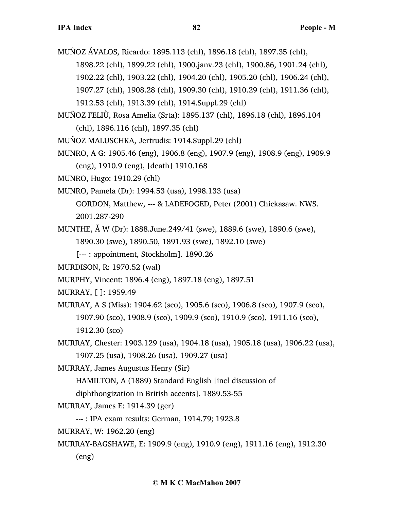MUÑOZ ÁVALOS, Ricardo: 1895.113 (chl), 1896.18 (chl), 1897.35 (chl),

1898.22 (chl), 1899.22 (chl), 1900.janv.23 (chl), 1900.86, 1901.24 (chl),

1902.22 (chl), 1903.22 (chl), 1904.20 (chl), 1905.20 (chl), 1906.24 (chl),

- 1907.27 (chl), 1908.28 (chl), 1909.30 (chl), 1910.29 (chl), 1911.36 (chl),
- 1912.53 (chl), 1913.39 (chl), 1914.Suppl.29 (chl)
- MUÑOZ FELIÙ, Rosa Amelia (Srta): 1895.137 (chl), 1896.18 (chl), 1896.104 (chl), 1896.116 (chl), 1897.35 (chl)
- MUNOZ MALUSCHKA, Jertrudis: 1914.Suppl.29 (chl)
- MUNRO, A G: 1905.46 (eng), 1906.8 (eng), 1907.9 (eng), 1908.9 (eng), 1909.9 (eng), 1910.9 (eng), [death] 1910.168
- MUNRO, Hugo: 1910.29 (chl)
- MUNRO, Pamela (Dr): 1994.53 (usa), 1998.133 (usa)

GORDON, Matthew, --- & LADEFOGED, Peter (2001) Chickasaw. NWS. 2001.287-290

- MUNTHE, Å W (Dr): 1888.June.249/41 (swe), 1889.6 (swe), 1890.6 (swe), 1890.30 (swe), 1890.50, 1891.93 (swe), 1892.10 (swe)
	- [--- : appointment, Stockholm]. 1890.26
- MURDISON, R: 1970.52 (wal)
- MURPHY, Vincent: 1896.4 (eng), 1897.18 (eng), 1897.51
- MURRAY, [ ]: 1959.49

MURRAY, A S (Miss): 1904.62 (sco), 1905.6 (sco), 1906.8 (sco), 1907.9 (sco), 1907.90 (sco), 1908.9 (sco), 1909.9 (sco), 1910.9 (sco), 1911.16 (sco), 1912.30 (sco)

- MURRAY, Chester: 1903.129 (usa), 1904.18 (usa), 1905.18 (usa), 1906.22 (usa), 1907.25 (usa), 1908.26 (usa), 1909.27 (usa)
- MURRAY, James Augustus Henry (Sir)

HAMILTON, A (1889) Standard English [incl discussion of

diphthongization in British accents]. 1889.53-55

MURRAY, James E: 1914.39 (ger)

--- : IPA exam results: German, 1914.79; 1923.8

- MURRAY, W: 1962.20 (eng)
- MURRAY-BAGSHAWE, E: 1909.9 (eng), 1910.9 (eng), 1911.16 (eng), 1912.30 (eng)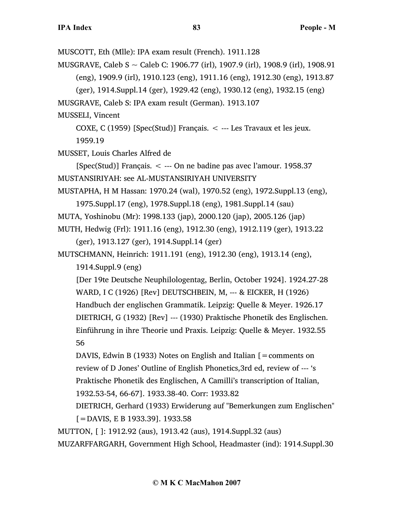MUSCOTT, Eth (Mlle): IPA exam result (French). 1911.128

MUSGRAVE, Caleb S ~ Caleb C: 1906.77 (irl), 1907.9 (irl), 1908.9 (irl), 1908.91 (eng), 1909.9 (irl), 1910.123 (eng), 1911.16 (eng), 1912.30 (eng), 1913.87

(ger), 1914.Suppl.14 (ger), 1929.42 (eng), 1930.12 (eng), 1932.15 (eng)

MUSGRAVE, Caleb S: IPA exam result (German). 1913.107

MUSSELI, Vincent

COXE, C (1959) [Spec(Stud)] Français.  $\lt$  --- Les Travaux et les jeux.

1959.19

MUSSET, Louis Charles Alfred de

[Spec(Stud)] Français. < --- On ne badine pas avec l'amour. 1958.37 MUSTANSIRIYAH: see AL-MUSTANSIRIYAH UNIVERSITY

MUSTAPHA, H M Hassan: 1970.24 (wal), 1970.52 (eng), 1972.Suppl.13 (eng),

1975.Suppl.17 (eng), 1978.Suppl.18 (eng), 1981.Suppl.14 (sau)

MUTA, Yoshinobu (Mr): 1998.133 (jap), 2000.120 (jap), 2005.126 (jap)

MUTH, Hedwig (Frl): 1911.16 (eng), 1912.30 (eng), 1912.119 (ger), 1913.22 (ger), 1913.127 (ger), 1914.Suppl.14 (ger)

MUTSCHMANN, Heinrich: 1911.191 (eng), 1912.30 (eng), 1913.14 (eng),

1914.Suppl.9 (eng)

[Der 19te Deutsche Neuphilologentag, Berlin, October 1924]. 1924.27-28 WARD, I C (1926) [Rev] DEUTSCHBEIN, M, --- & EICKER, H (1926) Handbuch der englischen Grammatik. Leipzig: Quelle & Meyer. 1926.17 DIETRICH, G (1932) [Rev] --- (1930) Praktische Phonetik des Englischen. Einführung in ihre Theorie und Praxis. Leipzig: Quelle & Meyer. 1932.55 56

DAVIS, Edwin B (1933) Notes on English and Italian  $\mathcal{I} =$  comments on review of D Jones' Outline of English Phonetics,3rd ed, review of --- 's Praktische Phonetik des Englischen, A Camilli's transcription of Italian, 1932.53-54, 66-67]. 1933.38-40. Corr: 1933.82

DIETRICH, Gerhard (1933) Erwiderung auf "Bemerkungen zum Englischen" [=DAVIS, E B 1933.39]. 1933.58

MUTTON, [ ]: 1912.92 (aus), 1913.42 (aus), 1914.Suppl.32 (aus)

MUZARFFARGARH, Government High School, Headmaster (ind): 1914.Suppl.30